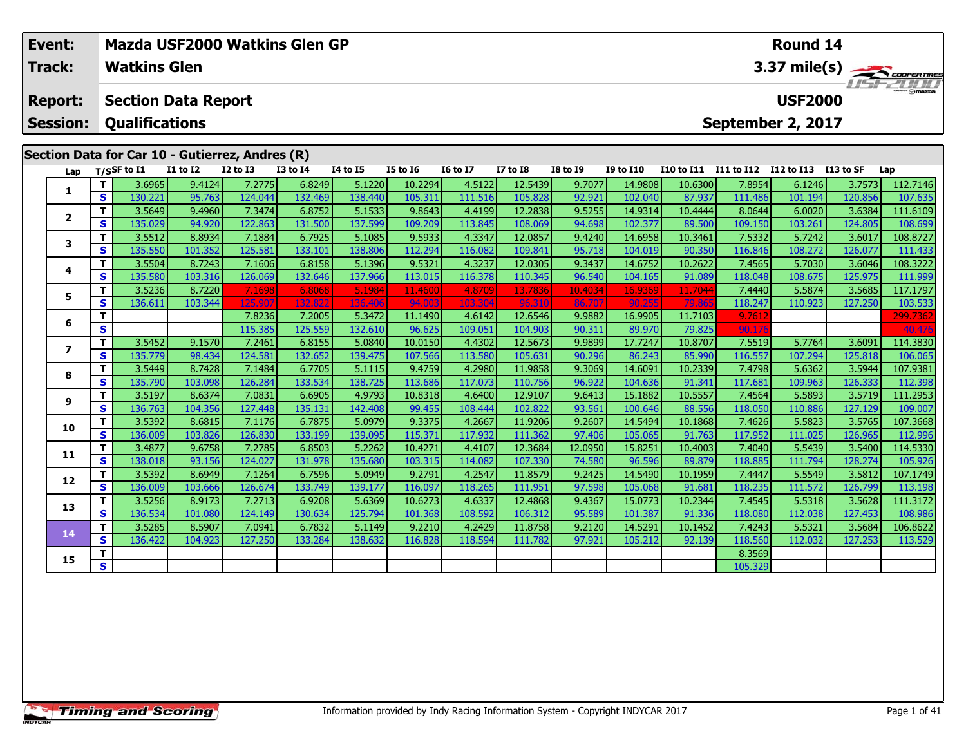| Event:          |   |                             |                            |                                                 | Mazda USF2000 Watkins Glen GP |                 |                 |                 |                 |                 |                  |                   |              | Round 14          |           |                 |
|-----------------|---|-----------------------------|----------------------------|-------------------------------------------------|-------------------------------|-----------------|-----------------|-----------------|-----------------|-----------------|------------------|-------------------|--------------|-------------------|-----------|-----------------|
| Track:          |   | <b>Watkins Glen</b>         |                            |                                                 |                               |                 |                 |                 |                 |                 |                  |                   |              |                   |           | 3.37 mile(s)    |
| <b>Report:</b>  |   |                             | <b>Section Data Report</b> |                                                 |                               |                 |                 |                 |                 |                 |                  |                   |              | <b>USF2000</b>    |           | <b>ISF 2000</b> |
| <b>Session:</b> |   | <b>Qualifications</b>       |                            |                                                 |                               |                 |                 |                 |                 |                 |                  |                   |              | September 2, 2017 |           |                 |
|                 |   |                             |                            | Section Data for Car 10 - Gutierrez, Andres (R) |                               |                 |                 |                 |                 |                 |                  |                   |              |                   |           |                 |
| Lap             |   | $T/S$ SF to $\overline{11}$ | <b>I1 to I2</b>            | <b>I2 to I3</b>                                 | <b>I3 to I4</b>               | <b>14 to 15</b> | <b>I5 to 16</b> | <b>16 to 17</b> | <b>I7 to I8</b> | <b>I8 to 19</b> | <b>I9 to I10</b> | <b>I10 to I11</b> | I11 to $112$ | <b>I12 to I13</b> | I13 to SF | Lap             |
|                 |   | 3.6965                      | 9.4124                     | 7.2775                                          | 6.8249                        | 5.1220          | 10.2294         | 4.5122          | 12.5439         | 9.7077          | 14.9808          | 10.6300           | 7.8954       | 6.1246            | 3.7573    | 112.7146        |
|                 | S | 130.221                     | 95.763                     | 124.044                                         | 132.469                       | 138.440         | 105.311         | 111.516         | 105.828         | 92.921          | 102.040          | 87.937            | 111.486      | 101.194           | 120.856   | 107.635         |
| $\mathbf{2}$    |   | 3.5649                      | 9.4960                     | 7.3474                                          | 6.8752                        | 5.1533          | 9.8643          | 4.4199          | 12.2838         | 9.5255          | 14.9314          | 10.4444           | 8.0644       | 6.0020            | 3.6384    | 111.6109        |
|                 | S | 135.029                     | 94.920                     | 122.863                                         | 131.500                       | 137.599         | 109.209         | 113.845         | 108.069         | 94.698          | 102.377          | 89.500            | 109.150      | 103.261           | 124.805   | 108.699         |
| 3               |   | 3.5512                      | 8.8934                     | 7.1884                                          | 6.7925                        | 5.1085          | 9.5933          | 4.3347          | 12.0857         | 9.4240          | 14.6958          | 10.3461           | 7.5332       | 5.7242            | 3.6017    | 108.8727        |
|                 | S | 135.550                     | 101.352                    | 125.581                                         | 133.101                       | 138.806         | 112.294         | 116.082         | 109.841         | 95.718          | 104.019          | 90.350            | 116.846      | 108.272           | 126.077   | 111.433         |
| 4               |   | 3.5504                      | 8.7243                     | 7.1606                                          | 6.8158                        | 5.1396          | 9.5321          | 4.3237          | 12.0305         | 9.3437          | 14.6752          | 10.2622           | 7.4565       | 5.7030            | 3.6046    | 108.3222        |
|                 | S | 135.580                     | 103.316                    | 126.069                                         | 132.646                       | 137.966         | 113.015         | 116.378         | 110.345         | 96.540          | 104.165          | 91.089            | 118.048      | 108.675           | 125.975   | 111.999         |
| 5.              |   | 3.5236                      | 8.7220                     | 7.1698                                          | 6.8068                        | 5.1984          | 11.4600         | 4.8709          | 13.7836         | 10.4034         | 16.9369          | 11.7044           | 7.4440       | 5.5874            | 3.5685    | 117.1797        |
|                 | S | 136.611                     | 103.344                    | 125.90                                          | 132.822                       | 136.406         | 94.003          | 103.304         | 96.310          | 86.707          | 90.255           | 79.865            | 118.247      | 110.923           | 127.250   | 103.533         |
| 6               |   |                             |                            | 7.8236                                          | 7.2005                        | 5.3472          | 11.1490         | 4.6142          | 12.6546         | 9.9882          | 16.9905          | 11.7103           | 9.761        |                   |           | 299.7362        |
|                 | S |                             |                            | 115.385                                         | 125.559                       | 132.610         | 96.625          | 109.051         | 104.903         | 90.311          | 89.970           | 79.825            | 90.176       |                   |           | 40.476          |
|                 |   | 3.5452                      | 9.1570                     | 7.2461                                          | 6.8155                        | 5.0840          | 10.0150         | 4.4302          | 12.5673         | 9.9899          | 17.7247          | 10.8707           | 7.5519       | 5.7764            | 3.6091    | 114.3830        |
| $\overline{ }$  | S | 135.779                     | 98.434                     | 124.581                                         | 132.652                       | 139.475         | 107.566         | 113.580         | 105.631         | 90.296          | 86.243           | 85.990            | 116.557      | 107.294           | 125.818   | 106.065         |
| Ω               |   | 3.5449                      | 8.7428                     | 7.1484                                          | 6.7705                        | 5.1115          | 9.4759          | 4.2980          | 11.9858         | 9.3069          | 14.6091          | 10.2339           | 7.4798       | 5.6362            | 3.5944    | 107.9381        |

|    |     | 3.5452  | 9.1570  | 7.2461  | 6.8155  | 5.0840  | 10.01501 | 4.4302  | 12.5673 | 9.9899  | 17.7247 | 10.8707 | 7.5519  | 5.7764  | 3.6091  | 114.3830 |
|----|-----|---------|---------|---------|---------|---------|----------|---------|---------|---------|---------|---------|---------|---------|---------|----------|
|    | s l | 135.779 | 98.434  | 124.581 | 132.652 | 139.475 | 107.566  | 113.580 | 105.631 | 90.296  | 86.243  | 85.990  | 116.557 | 107.294 | 125.818 | 106.065  |
| 8  |     | 3.5449  | 8.7428  | 7.1484  | 6.7705  | 5.1115  | 9.4759   | 4.2980  | 11.9858 | 9.3069  | 14.6091 | 10.2339 | 7.4798  | 5.6362  | 3.5944  | 107.9381 |
|    | S.  | 135.790 | 103.098 | 126.284 | 133.534 | 138.725 | 113.686  | 117.073 | 110.756 | 96.922  | 104.636 | 91.341  | 117.681 | 109.963 | 126.333 | 112.398  |
| 9  |     | 3.5197  | 8.6374  | 7.0831  | 6.6905  | 4.9793  | 10.8318  | 4.6400  | 12.9107 | 9.6413  | 15.1882 | 10.5557 | 7.4564  | 5.5893  | 3.5719  | 111.2953 |
|    | S.  | 136.763 | 104.356 | 127.448 | 135.131 | 142.408 | 99.455   | 108.444 | 102.822 | 93.561  | 100.646 | 88.556  | 118.050 | 110.886 | 127.129 | 109.007  |
| 10 |     | 3.5392  | 8.6815  | 7.1176  | 6.7875  | 5.0979  | 9.3375   | 4.2667  | 11.9206 | 9.2607  | 14.5494 | 10.1868 | 7.4626  | 5.5823  | 3.5765  | 107.3668 |
|    | S.  | 136.009 | 103.826 | 126.830 | 133.199 | 139.095 | 115.371  | 117.932 | 111.362 | 97.406  | 105.065 | 91.763  | 117.952 | 111.025 | 126.965 | 112.996  |
| 11 |     | 3.4877  | 9.6758  | 7.2785  | 6.8503  | 5.2262  | 10.4271  | 4.4107  | 12.3684 | 12.0950 | 15.8251 | 10.4003 | 7.4040  | 5.5439  | 3.5400  | 114.5330 |
|    | S   | 138.018 | 93.156  | 124.027 | 131.978 | 135.680 | 103.315  | 114.082 | 107.330 | 74.580  | 96.596  | 89.879  | 118.885 | 111.794 | 128.274 | 105.926  |
| 12 |     | 3.5392  | 8.6949  | 7.1264  | 6.7596  | 5.0949  | 9.2791   | 4.2547  | 11.8579 | 9.2425  | 14.5490 | 10.1959 | 7.4447  | 5.5549  | 3.5812  | 107.1749 |
|    | S.  | 136.009 | 103.666 | 126.674 | 133.749 | 139.177 | 116.097  | 118.265 | 111.951 | 97.598  | 105.068 | 91.681  | 118.235 | 111.572 | 126.799 | 113.198  |
| 13 |     | 3.5256  | 8.9173  | 7.2713  | 6.9208  | 5.6369  | 10.6273  | 4.6337  | 12.4868 | 9.4367  | 15.0773 | 10.2344 | 7.4545  | 5.5318  | 3.5628  | 111.3172 |
|    | S.  | 136.534 | 101.080 | 124.149 | 130.634 | 125.794 | 101.368  | 108.592 | 106.312 | 95.589  | 101.387 | 91.336  | 118.080 | 112.038 | 127.453 | 108.986  |
| 14 |     | 3.5285  | 8.5907  | 7.0941  | 6.7832  | 5.1149  | 9.2210   | 4.2429  | 11.8758 | 9.2120  | 14.5291 | 10.1452 | 7.4243  | 5.5321  | 3.5684  | 106.8622 |
|    | S.  | 136.422 | 104.923 | 127.250 | 133.284 | 138.632 | 116.828  | 118.594 | 111.782 | 97.921  | 105.212 | 92.139  | 118.560 | 112.032 | 127.253 | 113.529  |
| 15 |     |         |         |         |         |         |          |         |         |         |         |         | 8.3569  |         |         |          |
|    | S.  |         |         |         |         |         |          |         |         |         |         |         | 105.329 |         |         |          |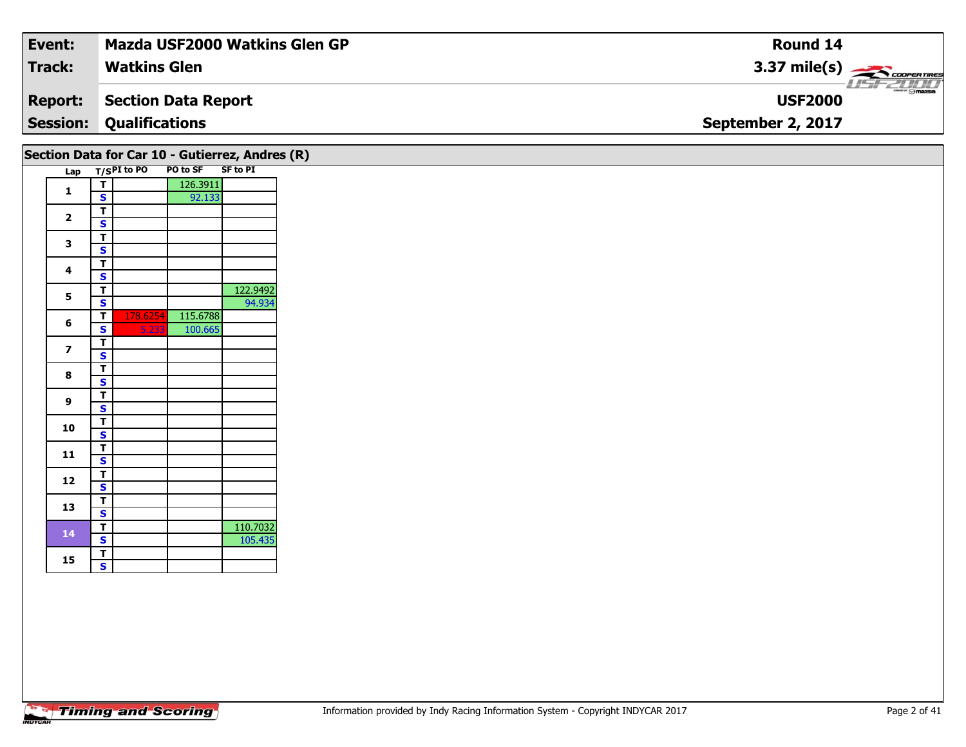| Event:          | Mazda USF2000 Watkins Glen GP | <b>Round 14</b>        |
|-----------------|-------------------------------|------------------------|
| <b>Track:</b>   | <b>Watkins Glen</b>           | $3.37 \text{ mile(s)}$ |
| <b>Report:</b>  | Section Data Report           | <b>USF2000</b>         |
| <b>Session:</b> | <b>Qualifications</b>         | September 2, 2017      |
|                 |                               |                        |

|                |   |             |          | Section Data for Car 10 - Gutierrez, Andres (R) |
|----------------|---|-------------|----------|-------------------------------------------------|
| Lap            |   | T/SPI to PO | PO to SF | <b>SF to PI</b>                                 |
| 1              | T |             | 126.3911 |                                                 |
|                | S |             | 92.133   |                                                 |
| $\overline{2}$ | T |             |          |                                                 |
|                | S |             |          |                                                 |
| 3              | T |             |          |                                                 |
|                | S |             |          |                                                 |
| 4              | T |             |          |                                                 |
|                | S |             |          |                                                 |
| 5              | T |             |          | 122.9492                                        |
|                | S |             |          | 94.934                                          |
| 6              | T | 178.6254    | 115.6788 |                                                 |
|                | S | 5.233       | 100.665  |                                                 |
| 7              | T |             |          |                                                 |
|                | S |             |          |                                                 |
| 8              | т |             |          |                                                 |
|                | S |             |          |                                                 |
| 9              | T |             |          |                                                 |
|                | S |             |          |                                                 |
| 10             | T |             |          |                                                 |
|                | S |             |          |                                                 |
| 11             | T |             |          |                                                 |
|                | S |             |          |                                                 |
| 12             | T |             |          |                                                 |
|                | S |             |          |                                                 |
| 13             | т |             |          |                                                 |
|                | S |             |          |                                                 |
| 14             | T |             |          | 110.7032                                        |
|                | S |             |          | 105.435                                         |
| 15             | T |             |          |                                                 |
|                | S |             |          |                                                 |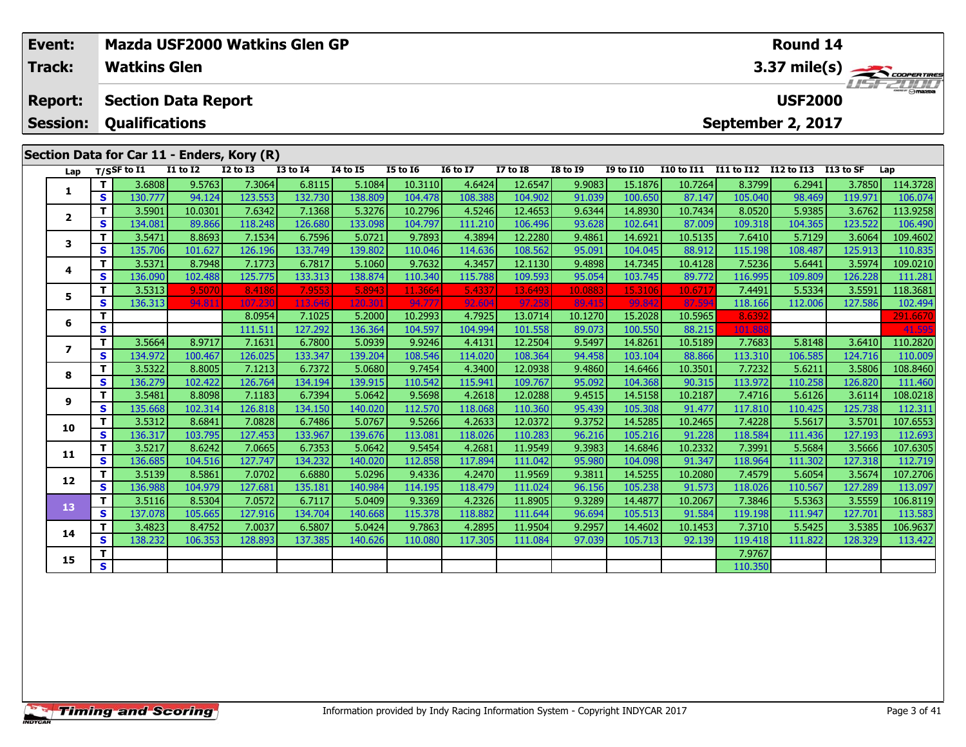| Event:          | Mazda USF2000 Watkins Glen GP<br><b>Watkins Glen</b> |                       |                            |                                            |                 |          |                 |                 |                 |                 |                  |                   |            | Round 14             |         |                   |
|-----------------|------------------------------------------------------|-----------------------|----------------------------|--------------------------------------------|-----------------|----------|-----------------|-----------------|-----------------|-----------------|------------------|-------------------|------------|----------------------|---------|-------------------|
| Track:          |                                                      |                       |                            |                                            |                 |          |                 |                 |                 |                 |                  |                   |            |                      |         | 3.37 mile(s)      |
| <b>Report:</b>  |                                                      |                       | <b>Section Data Report</b> |                                            |                 |          |                 |                 |                 |                 |                  |                   |            | <b>USF2000</b>       |         | <b>THE PEOPLE</b> |
| <b>Session:</b> |                                                      | <b>Qualifications</b> |                            |                                            |                 |          |                 |                 |                 |                 |                  |                   |            | September 2, 2017    |         |                   |
|                 |                                                      |                       |                            | Section Data for Car 11 - Enders, Kory (R) |                 |          |                 |                 |                 |                 |                  |                   |            |                      |         |                   |
| Lap             |                                                      | $T/S$ SF to I1        | <b>I1 to I2</b>            | <b>I2 to I3</b>                            | <b>I3 to I4</b> | 14 to 15 | <b>I5 to 16</b> | <b>16 to 17</b> | <b>I7 to I8</b> | <b>I8 to 19</b> | <b>I9 to I10</b> | <b>I10 to I11</b> | I11 to I12 | I12 to I13 I13 to SF |         | Lap               |
|                 |                                                      | 3.6808                | 9.5763                     | 7.3064                                     | 6.8115          | 5.1084   | 10.3110         | 4.6424          | 12.6547         | 9.9083          | 15.1876          | 10.7264           | 8.3799     | 6.2941               | 3.7850  | 114.3728          |
|                 | <b>S</b>                                             | 130.777               | 94.124                     | 123.553                                    | 132.730         | 138.809  | 104.478         | 108.388         | 104.902         | 91.039          | 100.650          | 87.147            | 105.040    | 98.469               | 119.971 | 106.074           |
| $\overline{2}$  | Τ.                                                   | 3.5901                | 10.0301                    | 7.6342                                     | 7.1368          | 5.3276   | 10.2796         | 4.5246          | 12.4653         | 9.6344          | 14.8930          | 10.7434           | 8.0520     | 5.9385               | 3.6762  | 113.9258          |
|                 | S.                                                   | 134.081               | 89.866                     | 118.248                                    | 126.680         | 133.098  | 104.797         | 111.210         | 106.496         | 93.628          | 102.641          | 87.009            | 109.318    | 104.365              | 123.522 | 106.490           |
| 3               | Τ.                                                   | 3.5471                | 8.8693                     | 7.1534                                     | 6.7596          | 5.0721   | 9.7893          | 4.3894          | 12.2280         | 9.4861          | 14.6921          | 10.5135           | 7.6410     | 5.7129               | 3.6064  | 109.4602          |
|                 | S.                                                   | 135.706               | 101.627                    | 126.196                                    | 133.749         | 139.802  | 110.046         | 114.636         | 108.562         | 95.091          | 104.045          | 88.912            | 115.198    | 108.487              | 125.913 | 110.835           |
| 4               |                                                      | 3.5371                | 8.7948                     | 7.1773                                     | 6.7817          | 5.1060   | 9.7632          | 4.3457          | 12.1130         | 9.4898          | 14.7345          | 10.4128           | 7.5236     | 5.6441               | 3.5974  | 109.0210          |
|                 | S.                                                   | 136.090               | 102.488                    | 125.775                                    | 133.313         | 138.874  | 110.340         | 115.788         | 109.593         | 95.054          | 103.745          | 89.772            | 116.995    | 109.809              | 126.228 | 111.281           |
| 5               |                                                      | 3.5313                | 9.5070                     | 8.4186                                     | 7.9553          | 5.8943   | 11.3664         | 5.4337          | 13.6493         | 10.0883         | 15.3106          | 10.671            | 7.4491     | 5.5334               | 3.5591  | 118.3681          |
|                 | S.                                                   | 136.313               | 94.811                     | 107.230                                    | 113.646         | 120.30   | 94.777          | 92.604          | 97.258          | 89.415          | 99.842           | 87.594            | 118.166    | 112.006              | 127.586 | 102.494           |
| 6               |                                                      |                       |                            | 8.0954                                     | 7.1025          | 5.2000   | 10.2993         | 4.7925          | 13.0714         | 10.1270         | 15.2028          | 10.5965           | 8.639      |                      |         | 291.6670          |
|                 | S                                                    |                       |                            | 111.511                                    | 127.292         | 136.364  | 104.597         | 104.994         | 101.558         | 89.073          | 100.550          | 88.215            | 101.888    |                      |         | 41.595            |
| 7               |                                                      | 3.5664                | 8.9717                     | 7.1631                                     | 6.7800          | 5.0939   | 9.9246          | 4.4131          | 12.2504         | 9.5497          | 14.8261          | 10.5189           | 7.7683     | 5.8148               | 3.6410  | 110.2820          |
|                 | S                                                    | 134.972               | 100.467                    | 126.025                                    | 133.347         | 139.204  | 108.546         | 114.020         | 108.364         | 94.458          | 103.104          | 88.866            | 113.310    | 106.585              | 124.716 | 110.009           |
|                 | $T$ i                                                | 3532                  | 8.8005                     | 7 1 2 1 3 1                                | 67372           | 5.06801  | 9 7454          | 4 3400          | 120938          | 94860           | 14 6466          | 10.3501           | 7 72321    | 56211                | 358061  | 108 8460          |

|    |              | 3.5664 l | 8.9717  | 7.1631  | 6.7800 l | 5.0939  | 9.9246  | 4.4131  | 12.2504  | 9.5497 | 14.8261 | 10.5189  | 7.7683 I | 5.8148  | 3.6410  | 110.2820 |
|----|--------------|----------|---------|---------|----------|---------|---------|---------|----------|--------|---------|----------|----------|---------|---------|----------|
|    | S.           | 134.972  | 100.467 | 126.025 | 133.347  | 139.204 | 108.546 | 114.020 | 108.364  | 94.458 | 103.104 | 88.866   | 113.310  | 106.585 | 124.716 | 110.009  |
| 8  | T            | 3.5322   | 8.8005  | 7.1213  | 6.7372   | 5.0680  | 9.7454  | 4.3400  | 12.0938  | 9.4860 | 14.6466 | 10.3501  | 7.7232   | 5.6211  | 3.5806  | 108.8460 |
|    | S.           | 136.279  | 102.422 | 126.764 | 134.194  | 139.915 | 110.542 | 115.941 | 109.767  | 95.092 | 104.368 | 90.315   | 113.972  | 110.258 | 126.820 | 111.460  |
| 9  | т            | 3.5481   | 8.8098  | 7.1183  | 6.7394   | 5.0642  | 9.5698  | 4.2618  | 12.0288  | 9.4515 | 14.5158 | 10.2187  | 7.4716   | 5.6126  | 3.6114  | 108.0218 |
|    | S.           | 135.668  | 102.314 | 126.818 | 134.150  | 140.020 | 112.570 | 118.068 | 110.360  | 95.439 | 105.308 | 91.477   | 117.810  | 110.425 | 125.738 | 112.311  |
| 10 | т.           | 3.5312   | 8.6841  | 7.0828  | 6.7486   | 5.0767  | 9.5266  | 4.2633  | 12.0372  | 9.3752 | 14.5285 | 10.24651 | 7.4228   | 5.5617  | 3.5701  | 107.6553 |
|    | S.           | 136.317  | 103.795 | 127.453 | 133.967  | 139.676 | 113.081 | 118.026 | 110.283  | 96.216 | 105.216 | 91.228   | 118.584  | 111.436 | 127.193 | 112.693  |
| 11 | т            | 3.5217   | 8.6242  | 7.0665  | 6.7353   | 5.0642  | 9.5454  | 4.2681  | 11.9549  | 9.3983 | 14.6846 | 10.2332  | 7.3991   | 5.5684  | 3.5666  | 107.6305 |
|    | S.           | 136.685  | 104.516 | 127.747 | 134.232  | 140.020 | 112.858 | 117.894 | 111.0421 | 95.980 | 104.098 | 91.347   | 118.964  | 111.302 | 127.318 | 112.719  |
| 12 |              | 3.5139   | 8.5861  | 7.0702  | 6.6880   | 5.0296  | 9.4336  | 4.2470  | 11.9569  | 9.3811 | 14.5255 | 10.2080  | 7.4579   | 5.6054  | 3.5674  | 107.2706 |
|    | $\mathbf{s}$ | 136.988  | 104.979 | 127.681 | 135.181  | 140.984 | 114.195 | 118.479 | 111.024  | 96.156 | 105.238 | 91.573   | 118.026  | 110.567 | 127.289 | 113.097  |
| 13 |              | 3.5116   | 8.5304  | 7.0572  | 6.7117   | 5.0409  | 9.3369  | 4.2326  | 11.8905  | 9.3289 | 14.4877 | 10.2067  | 7.3846   | 5.5363  | 3.5559  | 106.8119 |
|    | S.           | 137.078  | 105.665 | 127.916 | 134.704  | 140.668 | 115.378 | 118.882 | 111.644  | 96.694 | 105.513 | 91.584   | 119.198  | 111.947 | 127.701 | 113.583  |
| 14 | т            | 3.4823   | 8.4752  | 7.0037  | 6.5807   | 5.0424  | 9.7863  | 4.2895  | 11.9504  | 9.2957 | 14.4602 | 10.1453  | 7.3710   | 5.5425  | 3.5385  | 106.9637 |
|    | S.           | 138.232  | 106.353 | 128.893 | 137.385  | 140.626 | 110.080 | 117.305 | 111.084  | 97.039 | 105.713 | 92.139   | 119.418  | 111.822 | 128.329 | 113.422  |
| 15 | т            |          |         |         |          |         |         |         |          |        |         |          | 7.9767   |         |         |          |
|    | S            |          |         |         |          |         |         |         |          |        |         |          | 110.350  |         |         |          |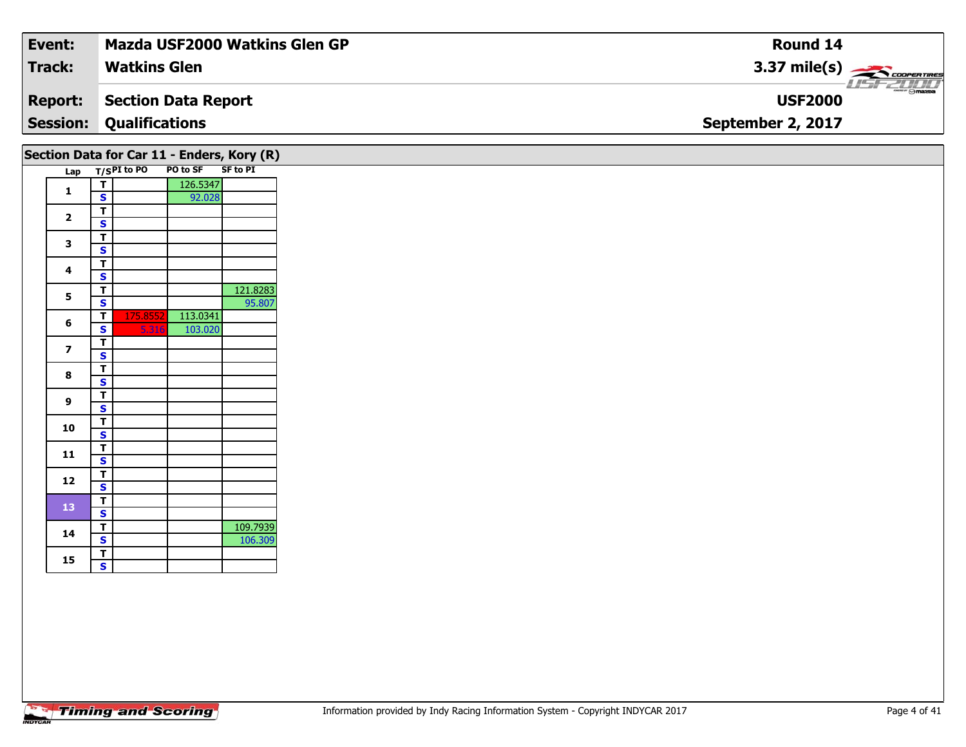| Event:         | Mazda USF2000 Watkins Glen GP              | <b>Round 14</b>                    |
|----------------|--------------------------------------------|------------------------------------|
| <b>Track:</b>  | <b>Watkins Glen</b>                        | $3.37 \text{ mile(s)}$             |
| <b>Report:</b> | Section Data Report                        | <b>LISE 2000</b><br><b>USF2000</b> |
|                | <b>Session: Qualifications</b>             | September 2, 2017                  |
|                | Section Data for Car 11 - Enders, Kory (R) |                                    |

| Lap          |        | T/SPI to PO PO to SF SF to PI |          | $\sim$   |
|--------------|--------|-------------------------------|----------|----------|
|              | Т      |                               | 126.5347 |          |
| 1            | S      |                               | 92.028   |          |
| $\mathbf{2}$ | T      |                               |          |          |
|              | S      |                               |          |          |
| 3            | T      |                               |          |          |
|              | S      |                               |          |          |
| 4            | т      |                               |          |          |
|              | S      |                               |          |          |
| 5            | T      |                               |          | 121.8283 |
|              | S      |                               |          | 95.807   |
| 6            | т      | 175.8552                      | 113.0341 |          |
|              | S      | 5.316                         | 103.020  |          |
| 7            | T      |                               |          |          |
|              | S      |                               |          |          |
| 8            | т      |                               |          |          |
|              | S<br>T |                               |          |          |
| 9            | S      |                               |          |          |
|              | т      |                               |          |          |
| 10           | S      |                               |          |          |
|              | т      |                               |          |          |
| 11           | S      |                               |          |          |
|              | т      |                               |          |          |
| 12           | S      |                               |          |          |
|              | T      |                               |          |          |
| 13           | S      |                               |          |          |
|              | т      |                               |          | 109.7939 |
| 14           | S      |                               |          | 106.309  |
|              | T      |                               |          |          |
| 15           | Ś      |                               |          |          |
|              |        |                               |          |          |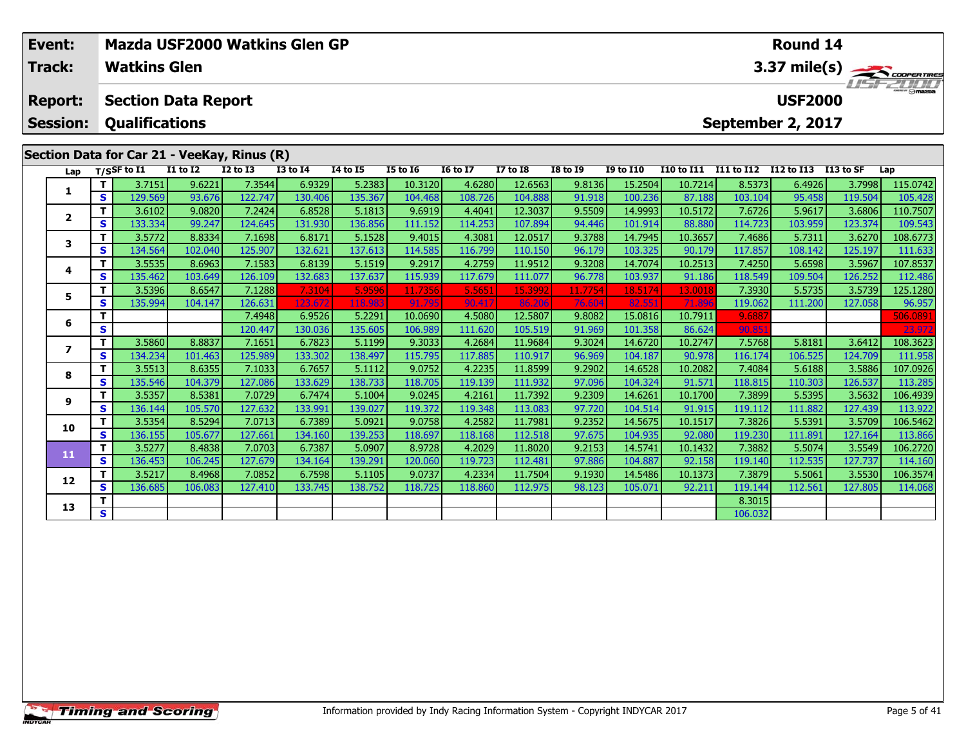|                                                                                                                                                                                                                                                                                                                                              | Event:<br>Track:                  |                 | <b>Watkins Glen</b>   |                            |                 | Mazda USF2000 Watkins Glen GP |                 |                 |                 |                  |                   |            |            |                  | <b>Round 14</b>                     |         | 3.37 mile(s)      |
|----------------------------------------------------------------------------------------------------------------------------------------------------------------------------------------------------------------------------------------------------------------------------------------------------------------------------------------------|-----------------------------------|-----------------|-----------------------|----------------------------|-----------------|-------------------------------|-----------------|-----------------|-----------------|------------------|-------------------|------------|------------|------------------|-------------------------------------|---------|-------------------|
|                                                                                                                                                                                                                                                                                                                                              | <b>Report:</b><br><b>Session:</b> |                 | <b>Qualifications</b> | <b>Section Data Report</b> |                 |                               |                 |                 |                 |                  |                   |            |            |                  | <b>USF2000</b><br>September 2, 2017 |         | <b>LISITZLINI</b> |
| Section Data for Car 21 - VeeKay, Rinus (R)<br>$T/S$ SF to $I1$<br>Lap                                                                                                                                                                                                                                                                       |                                   | <b>I1 to I2</b> | <b>I2 to I3</b>       | <b>I3 to I4</b>            | <b>I4 to I5</b> | <b>I5 to 16</b>               | <b>16 to 17</b> | <b>I7 to I8</b> | <b>I8 to I9</b> | <b>I9 to I10</b> | <b>I10 to I11</b> | I11 to I12 | I12 to I13 | <b>I13 to SF</b> | Lap                                 |         |                   |
|                                                                                                                                                                                                                                                                                                                                              |                                   |                 | 3.7151                | 9.6221                     | 7.3544          | 6.9329                        | 5.2383          | 10.3120         | 4.6280          | 12.6563          | 9.8136            | 15.2504    | 10.7214    | 8.5373           | 6.4926                              | 3.7998  | 115.0742          |
|                                                                                                                                                                                                                                                                                                                                              | s l                               | 129.569         | 93.676                | 122.747                    | 130.406         | 135.367                       | 104.468         | 108.726         | 104.888         | 91.918           | 100.236           | 87.188     | 103.104    | 95.458           | 119.504                             | 105.428 |                   |
|                                                                                                                                                                                                                                                                                                                                              |                                   |                 | 3.6102                | 9.0820                     | 7.2424          | 6.8528                        | 5.1813          | 9.6919          | 4.4041          | 12.3037          | 9.5509            | 14.9993    | 10.5172    | 7.6726           | 5.9617                              | 3.6806  | 110.7507          |
|                                                                                                                                                                                                                                                                                                                                              |                                   | s l             |                       | 99.247                     |                 |                               | 136.856         | 111.152         | 114.253         | 107.894          | 94.446            | 101.914    | 88.880     | 114.723          | 103.959                             | 123.374 | 109.543           |
| $\overline{2}$<br>133.334<br>131.930<br>124.645<br>6.8171<br>8.8334<br>5.1528<br>9.4015<br>3.5772<br>7.1698<br>3<br>134.564<br>132.621<br>137.613<br>S I<br>125.907<br>114.585<br>102.040<br>6.8139<br>5.1519<br>8.6963<br>7.1583<br>9.2917<br>3.5535<br>4<br>s l<br>135.462<br>132.683 <b>I</b><br>137.637<br>115.939<br>103.649<br>126.109 | 4.3081                            | 12.0517         | 9.3788                | 14.7945                    | 10.3657         | 7.4686                        | 5.7311          | 3.6270          | 108.6773        |                  |                   |            |            |                  |                                     |         |                   |
|                                                                                                                                                                                                                                                                                                                                              |                                   |                 |                       |                            |                 |                               | 116.799         | 110.150         | 96.179          | 103.325          | 90.179            | 117.857    | 108.142    | 125.197          | 111.633                             |         |                   |
|                                                                                                                                                                                                                                                                                                                                              |                                   |                 |                       |                            |                 |                               | 4.2759          | 11.9512         | 9.3208          | 14.7074          | 10.2513           | 7.4250     | 5.6598     | 3.5967           | 107.8537                            |         |                   |
|                                                                                                                                                                                                                                                                                                                                              |                                   |                 |                       |                            |                 |                               | 117.679         | 111.077         | 96.778          | 103.937          | 91.186            | 118.549    | 109.504    | 126.252          | 112.486                             |         |                   |

5 | T | 3.5396| 8.6547| 7.1288| 7.3104| 5.9596| 11.7356| 5.5651| 15.3992| 11.7754| 18.5174| 13.0018| 7.3930| 5.5735| 3.5739| 125.1280<br>| S | 135.994| 104.147| 126.631| 123.672| 118.983| 91.795| 90.417| 86.206| 76.604| 82.55

**<sup>T</sup>** 7.4948 6.9526 5.2291 10.0690 4.5080 12.5807 9.8082 15.0816 10.7911 9.6887 506.0891 **<sup>S</sup>** 120.447 130.036 135.605 106.989 111.620 105.519 91.969 101.358 86.624 90.851 23.972

7 | T | 3.5860 | 8.8837 | 7.1651 | 6.7823 | 5.1199 | 9.3033 | 4.2684 | 11.9684 | 9.3024 | 14.6720 | 10.2747 | 7.5768 | 5.8181 | 3.6412 |108.3623<br>7 | S | 134.234 | 101.463 | 125.989 | 133.302 | 138.497 | 115.795 | 117.885 |

8 T | 3.5513 8.6355 7.1033 6.7657 5.1112 9.0752 4.2235 11.8599 9.2902 14.6528 10.2082 7.4084 5.6188 3.5886 107.0926<br>8 S 135.546 104.379 127.086 133.629 138.733 118.705 119.139 111.932 97.096 104.324 91.571 118.815 110.303

106.4939 | T | 3.5357 | 8.5381 | 7.0729 | 6.7474 | 5.1004 | 9.0245 | 4.2161 | 11.7392 | 9.2309 | 14.6261 | 10.1700 | 7.3899 | 5.5395 | 3.5632 | 106.4939 |<br>S | 136.144 | 105.570 | 127.632 | 133.991 | 139.027 | 119.372 | 11

0 | T | 3.5354| 8.5294| 7.0713| 6.7389| 5.0921| 9.0758| 4.2582| 11.7981| 9.2352| 14.5675| 10.1517| 7.3826| 5.5391| 3.5709| 106.5462<br>| S | 136.155| 105.677| 127.661| 134.160| 139.253| 118.697| 118.168| 112.518| 97.675| 104.

**<sup>T</sup>** 3.5277 8.4838 7.0703 6.7387 5.0907 8.9728 4.2029 11.8020 9.2153 14.5741 10.1432 7.3882 5.5074 3.5549 106.2720 **<sup>S</sup>** 136.453 106.245 127.679 134.164 139.291 120.060 119.723 112.481 97.886 104.887 92.158 119.140 112.535 127.737 114.160

2 | T | 3.5217| 8.4968| 7.0852| 6.7598| 5.1105| 9.0737| 4.2334| 11.7504| 9.1930| 14.5486| 10.1373| 7.3879| 5.5061| 3.5530| 106.3574<br>| S | 136.685| 106.083| 127.410| 133.745| 138.752| 118.725| 118.860| 112.975| 98.123| 105.

**T** 8.3015 **S** 106.032

**5**

**6**

**7**

**8**

**9**

**10**

**11**

**12**

**13**

112.486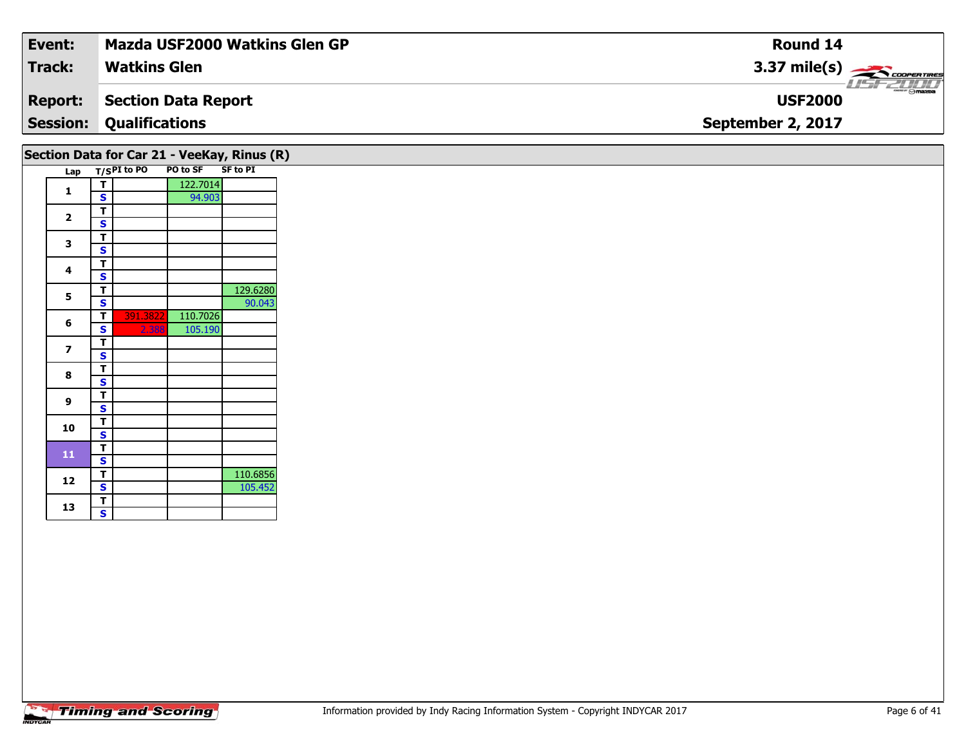| Event:          | <b>Mazda USF2000 Watkins Glen GP</b> | Round 14                                  |
|-----------------|--------------------------------------|-------------------------------------------|
| <b>Track:</b>   | <b>Watkins Glen</b>                  | $3.37 \text{ mile(s)}$                    |
| <b>Report:</b>  | <b>Section Data Report</b>           | $\frac{1}{\odot}$ mazpa<br><b>USF2000</b> |
| <b>Session:</b> | <b>Qualifications</b>                | September 2, 2017                         |
|                 |                                      |                                           |

|                         |   |               |          | Section Data for Car 21 - VeeKay, Rinus (R) |
|-------------------------|---|---------------|----------|---------------------------------------------|
| Lap                     |   | $T/SPI$ to PO | PO to SF | SF to PI                                    |
|                         | т |               | 122.7014 |                                             |
| 1                       | Ś |               | 94.903   |                                             |
|                         | т |               |          |                                             |
| $\overline{\mathbf{2}}$ | S |               |          |                                             |
| 3                       | т |               |          |                                             |
|                         | S |               |          |                                             |
| 4                       | т |               |          |                                             |
|                         | S |               |          |                                             |
| 5                       | т |               |          | 129.6280                                    |
|                         | S |               |          | 90.043                                      |
| 6                       | т | 391.3822      | 110.7026 |                                             |
|                         | S | 2.388         | 105.190  |                                             |
| 7                       | т |               |          |                                             |
|                         | S |               |          |                                             |
| 8                       | T |               |          |                                             |
|                         | S |               |          |                                             |
| 9                       | т |               |          |                                             |
|                         | S |               |          |                                             |
| 10                      | т |               |          |                                             |
|                         | S |               |          |                                             |
| 11                      | т |               |          |                                             |
|                         | S |               |          |                                             |
| 12                      | т |               |          | 110.6856                                    |
|                         | S |               |          | 105.452                                     |
|                         | T |               |          |                                             |
| 13                      | S |               |          |                                             |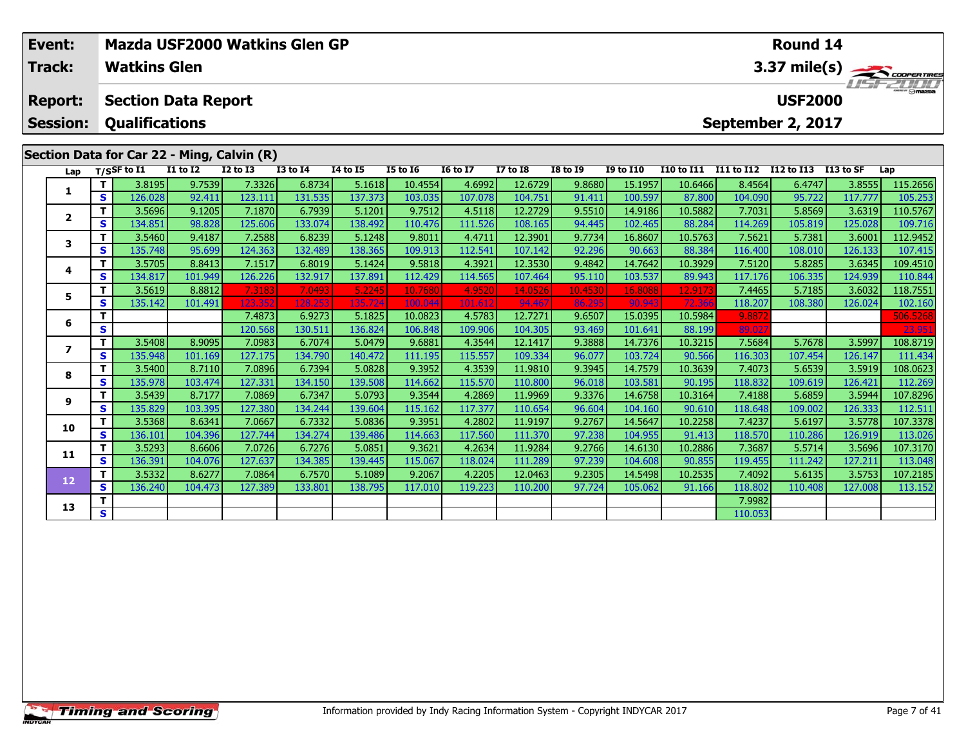|         | Event:<br>Track: |        | <b>Watkins Glen</b>   |                            |                                            | Mazda USF2000 Watkins Glen GP |                 |                 | Round 14<br>3.37 mile(s) $\frac{1}{\sqrt{1-\frac{1}{2}}}\frac{1}{\sqrt{1-\frac{1}{2}}}\frac{1}{\sqrt{1-\frac{1}{2}}}\frac{1}{\sqrt{1-\frac{1}{2}}}\frac{1}{\sqrt{1-\frac{1}{2}}}\frac{1}{\sqrt{1-\frac{1}{2}}}\frac{1}{\sqrt{1-\frac{1}{2}}}\frac{1}{\sqrt{1-\frac{1}{2}}}\frac{1}{\sqrt{1-\frac{1}{2}}}\frac{1}{\sqrt{1-\frac{1}{2}}}\frac{1}{\sqrt{1-\frac{1}{2}}}\frac{1}{\sqrt{1-\frac{1}{2}}}\frac{1}{\sqrt{1-\frac{1}{2$ |                 |                 |                  |                   |            |                   |           |          |
|---------|------------------|--------|-----------------------|----------------------------|--------------------------------------------|-------------------------------|-----------------|-----------------|--------------------------------------------------------------------------------------------------------------------------------------------------------------------------------------------------------------------------------------------------------------------------------------------------------------------------------------------------------------------------------------------------------------------------------|-----------------|-----------------|------------------|-------------------|------------|-------------------|-----------|----------|
|         | <b>Report:</b>   |        |                       | <b>Section Data Report</b> |                                            |                               |                 |                 |                                                                                                                                                                                                                                                                                                                                                                                                                                |                 |                 |                  |                   |            | <b>USF2000</b>    |           |          |
|         | <b>Session:</b>  |        | <b>Qualifications</b> |                            |                                            |                               |                 |                 |                                                                                                                                                                                                                                                                                                                                                                                                                                |                 |                 |                  |                   |            | September 2, 2017 |           |          |
|         |                  |        |                       |                            | Section Data for Car 22 - Ming, Calvin (R) |                               |                 |                 |                                                                                                                                                                                                                                                                                                                                                                                                                                |                 |                 |                  |                   |            |                   |           |          |
|         |                  |        | Lap T/SSF to I1       | <b>I1 to I2</b>            | $I2$ to $I3$                               | <b>I3 to I4</b>               | <b>I4 to I5</b> | <b>I5 to I6</b> | <b>16 to 17</b>                                                                                                                                                                                                                                                                                                                                                                                                                | <b>I7 to I8</b> | <b>I8 to I9</b> | <b>I9 to I10</b> | <b>I10 to I11</b> | I11 to I12 | I12 to I13        | I13 to SF | Lap      |
|         |                  |        | 3.8195                | 9.7539                     | 7.3326                                     | 6.8734                        | 5.1618          | 10.4554         | 4.6992                                                                                                                                                                                                                                                                                                                                                                                                                         | 12.6729         | 9.8680          | 15.1957          | 10.6466           | 8.4564     | 6.4747            | 3.8555    | 115.2656 |
|         |                  | S      | 126.028               | 92.411                     | 123.111                                    | 131.535                       | 137.373         | 103.035         | 107.078                                                                                                                                                                                                                                                                                                                                                                                                                        | 104.751         | 91.411          | 100.597          | 87.800            | 104.090    | 95.722            | 117.777   | 105.253  |
|         | $\mathbf{2}$     |        | 3.5696                | 9.1205                     | 7.1870                                     | 6.7939                        | 5.1201          | 9.7512          | 4.5118                                                                                                                                                                                                                                                                                                                                                                                                                         | 12.2729         | 9.5510          | 14.9186          | 10.5882           | 7.7031     | 5.8569            | 3.6319    | 110.5767 |
|         |                  | S.     | 134.851               | 98.828                     | 125.606                                    | 133.074                       | 138.492         | 110.476         | 111.526                                                                                                                                                                                                                                                                                                                                                                                                                        | 108.165         | 94.445          | 102.465          | 88.284            | 114.269    | 105.819           | 125.028   | 109.716  |
|         | 3                |        | 3.5460                | 9.4187                     | 7.2588                                     | 6.8239                        | 5.1248          | 9.8011          | 4.4711                                                                                                                                                                                                                                                                                                                                                                                                                         | 12.3901         | 9.7734          | 16.8607          | 10.5763           | 7.5621     | 5.7381            | 3.6001    | 112.9452 |
|         |                  | S.     | 135.748               | 95.699                     | 124.363                                    | 132.489                       | 138.365         | 109.913         | 112.541                                                                                                                                                                                                                                                                                                                                                                                                                        | 107.142         | 92.296          | 90.663           | 88.384            | 116.400    | 108.010           | 126.133   | 107.415  |
|         | 4                |        | 3.5705                | 8.8413                     | 7.1517                                     | 6.8019                        | 5.1424          | 9.5818          | 4.3921                                                                                                                                                                                                                                                                                                                                                                                                                         | 12.3530         | 9.4842          | 14.7642          | 10.3929           | 7.5120     | 5.8285            | 3.6345    | 109.4510 |
|         |                  | S l    | 134.817               | 101.949                    | 126.226                                    | 132.917                       | 137.891         | 112.429         | 114.565                                                                                                                                                                                                                                                                                                                                                                                                                        | 107.464         | 95.110          | 103.537          | 89.943            | 117.176    | 106.335           | 124.939   | 110.844  |
|         | 3.5619           | 8.8812 | 7.3183                | 7.0493                     | 5.2245                                     | 10.7680                       | 4.9520          | 14.0526         | 10.4530                                                                                                                                                                                                                                                                                                                                                                                                                        | 16.8088         | 12.9173         | 7.4465           | 5.7185            | 3.6032     | 118.7551          |           |          |
|         | 5                | S      | 135.142               | 101.491                    | 123.352                                    | 128.253                       | 135.724         | 100.044         | 101.612                                                                                                                                                                                                                                                                                                                                                                                                                        | 94.467          | 86.295          | 90.943           | 72.366            | 118.207    | 108.380           | 126.024   | 102.160  |
|         |                  |        | 7.4873                | 6.9273                     | 5.1825                                     | 10.0823                       | 4.5783          | 12.7271         | 9.6507                                                                                                                                                                                                                                                                                                                                                                                                                         | 15.0395         | 10.5984         | 9.887            |                   |            | 506.5268          |           |          |
| 6<br>S. |                  |        | 120.568 <b>l</b>      | 130.511 <b>I</b>           | 136.8241                                   | 106.848                       | 109.906         | 104.305         | 93.469                                                                                                                                                                                                                                                                                                                                                                                                                         | 101.641         | 88.199          | 89.02            |                   |            | 23.951            |           |          |

7 | T | 3.5408| 8.9095| 7.0983| 6.7074| 5.0479| 9.6881| 4.3544| 12.1417| 9.3888| 14.7376| 10.3215| 7.5684| 5.7678| 3.5997| 108.8719<br>7 | S | 135.948 101.169 127.175 134.790 140.472 111.195 115.557 109.334 96.077 103.724 90.

**<sup>T</sup>** 3.5400 8.7110 7.0896 6.7394 5.0828 9.3952 4.3539 11.9810 9.3945 14.7579 10.3639 7.4073 5.6539 3.5919 108.0623 **<sup>S</sup>** 135.978 103.474 127.331 134.150 139.508 114.662 115.570 110.800 96.018 103.581 90.195 118.832 109.619 126.421 112.269

107.8296.117 | 3.5439 | 8.7177 | 7.0869 | 6.7347 | 5.0793 | 9.3544 | 4.2869 | 11.9969 | 9.3376 | 14.6758 | 10.3164 | 7.4188 | 5.6859 | 3.5944 | 107.8296 | 9 | 5 | 9 | 5 | 9 | 5 | 9 | 5<br>S | 135.829 | 103.395 | 127.380 | 13

0 | T | 3.5368| 8.6341| 7.0667| 6.7332| 5.0836| 9.3951| 4.2802| 11.9197| 9.2767| 14.5647| 10.2258| 7.4237| 5.6197| 3.5778| 107.3378<br>| S | 136.101| 104.396| 127.744| 134.274| 139.486| 114.663| 117.560| 111.370| 97.238| 104.

**<sup>T</sup>** 3.5293 8.6606 7.0726 6.7276 5.0851 9.3621 4.2634 11.9284 9.2766 14.6130 10.2886 7.3687 5.5714 3.5696 107.3170 **<sup>S</sup>** 136.391 104.076 127.637 134.385 139.445 115.067 118.024 111.289 97.239 104.608 90.855 119.455 111.242 127.211 113.048

2 T 3.5332| 8.6277| 7.0864| 6.7570| 5.1089| 9.2067| 4.2205| 12.0463| 9.2305| 14.5498| 10.2535| 7.4092| 5.6135| 3.5753| 107.2185<br>| S 136.240| 104.473| 127.389| 133.801| 138.795| 117.010| 119.223| 110.200| 97.724| 105.062| 9

**<sup>T</sup>** 7.9982 **<sup>S</sup>** 110.053

**7**

**8**

**9**

**10**

**11**

**12**

**13**

111.434

112.511

113.152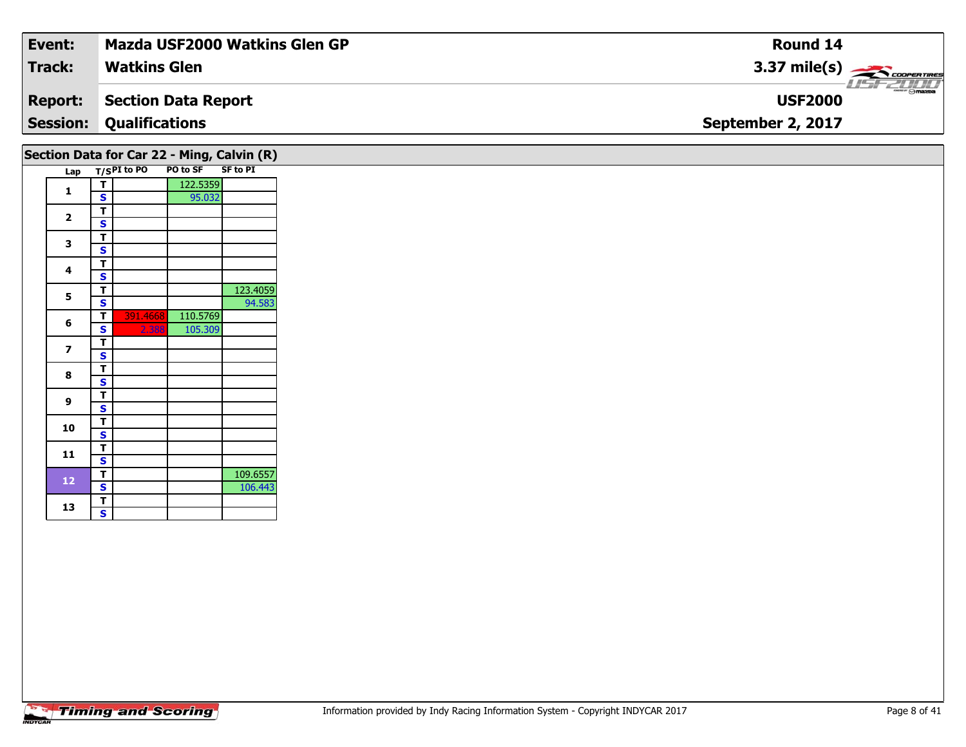| Event:         | Mazda USF2000 Watkins Glen GP              | <b>Round 14</b>                    |
|----------------|--------------------------------------------|------------------------------------|
| <b>Track:</b>  | <b>Watkins Glen</b>                        | $3.37 \text{ mile(s)}$             |
| <b>Report:</b> | Section Data Report                        | <b>LISF 2000</b><br><b>USF2000</b> |
|                | <b>Session: Qualifications</b>             | September 2, 2017                  |
|                | Section Data for Car 22 - Ming, Calvin (R) |                                    |

| Lap |                         | T/SPI to PO | PO to SF | SF to PI |
|-----|-------------------------|-------------|----------|----------|
|     | т                       |             | 122.5359 |          |
| 1   | S                       |             | 95.032   |          |
|     | T                       |             |          |          |
| 2   | S                       |             |          |          |
|     | т                       |             |          |          |
| 3   | S                       |             |          |          |
|     | Т                       |             |          |          |
| 4   | S                       |             |          |          |
|     | т                       |             |          | 123.4059 |
| 5   | $\overline{\mathbf{s}}$ |             |          | 94.583   |
|     | Т                       | 391.4668    | 110.5769 |          |
| 6   | S                       | 2.388       | 105.309  |          |
|     | т                       |             |          |          |
| 7   | S                       |             |          |          |
|     | T                       |             |          |          |
| 8   | S                       |             |          |          |
|     | т                       |             |          |          |
| 9   | S                       |             |          |          |
|     | T                       |             |          |          |
| 10  | S                       |             |          |          |
|     | т                       |             |          |          |
| 11  | S                       |             |          |          |
|     | т                       |             |          | 109.6557 |
| 12  | S                       |             |          | 106.443  |
|     | T                       |             |          |          |
| 13  | $\overline{\mathbf{s}}$ |             |          |          |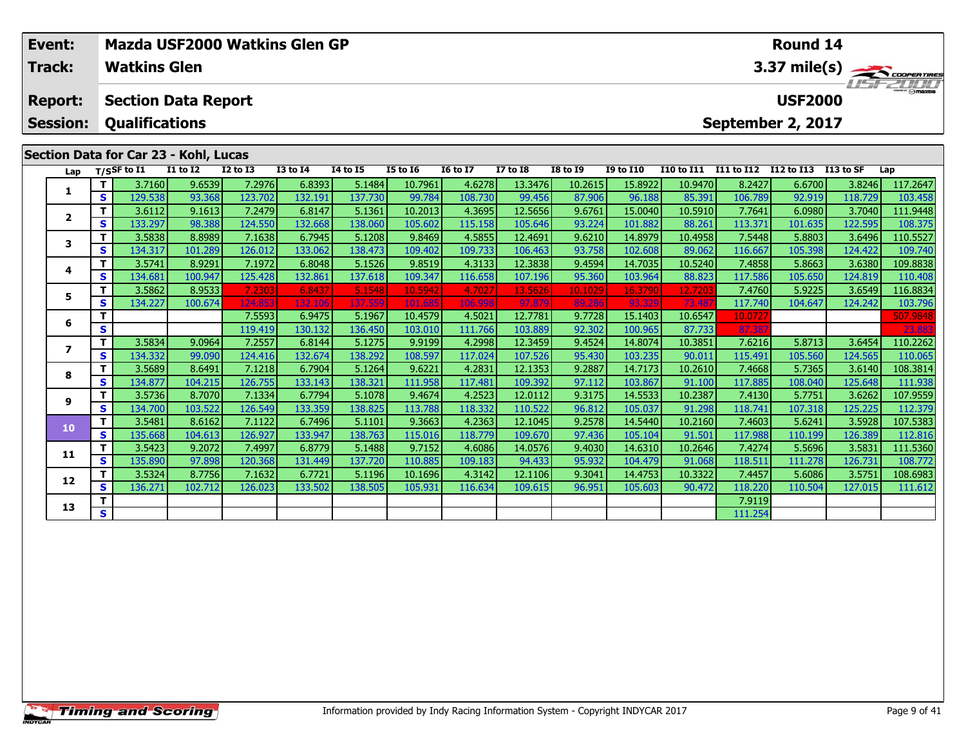| Event:          |          |                       |                                       |                 | <b>Mazda USF2000 Watkins Glen GP</b> |                 |                 |                 |                 |                 |                  |                   |                   | <b>Round 14</b> |                                    |              |  |  |
|-----------------|----------|-----------------------|---------------------------------------|-----------------|--------------------------------------|-----------------|-----------------|-----------------|-----------------|-----------------|------------------|-------------------|-------------------|-----------------|------------------------------------|--------------|--|--|
| <b>Track:</b>   |          | <b>Watkins Glen</b>   |                                       |                 |                                      |                 |                 |                 |                 |                 |                  |                   |                   |                 |                                    | 3.37 mile(s) |  |  |
| <b>Report:</b>  |          |                       | <b>Section Data Report</b>            |                 |                                      |                 |                 |                 |                 |                 |                  |                   |                   |                 | <b>LIST 2000</b><br><b>USF2000</b> |              |  |  |
| <b>Session:</b> |          | <b>Qualifications</b> |                                       |                 |                                      |                 |                 |                 |                 |                 |                  |                   | September 2, 2017 |                 |                                    |              |  |  |
|                 |          |                       | Section Data for Car 23 - Kohl, Lucas |                 |                                      |                 |                 |                 |                 |                 |                  |                   |                   |                 |                                    |              |  |  |
| Lap             |          | T/SSF to I1           | <b>I1 to I2</b>                       | <b>I2 to I3</b> | <b>I3 to I4</b>                      | <b>I4 to I5</b> | <b>I5 to 16</b> | <b>16 to 17</b> | <b>I7 to I8</b> | <b>I8 to 19</b> | <b>I9 to I10</b> | <b>I10 to I11</b> | <b>I11 to I12</b> | I12 to I13      | I13 to SF                          | Lap          |  |  |
|                 |          | 3.7160                | 9.6539                                | 7.2976          | 6.8393                               | 5.1484          | 10.7961         | 4.6278          | 13.3476         | 10.2615         | 15.8922          | 10.9470           | 8.2427            | 6.6700          | 3.8246                             | 117.2647     |  |  |
|                 | S.       | 129.538               | 93.368                                | 123.702         | 132.191                              | 137.730         | 99.784          | 108.730         | 99.456          | 87.906          | 96.188           | 85.391            | 106.789           | 92.919          | 118.729                            | 103.458      |  |  |
|                 |          | 3.6112                | 9.1613                                | 7.2479          | 6.8147                               | 5.1361          | 10.2013         | 4.3695          | 12.5656         | 9.6761          | 15.0040          | 10.5910           | 7.7641            | 6.0980          | 3.7040                             | 111.9448     |  |  |
| $\mathbf{2}$    | <b>S</b> | 133.297               | 98.388                                | 124.550         | 132.668                              | 138.060         | 105.602         | 115.158         | 105.646         | 93.224          | 101.882          | 88.261            | 113.371           | 101.635         | 122.595                            | 108.375      |  |  |
|                 |          | 3.5838                | 8.8989                                | 7.1638          | 6.7945                               | 5.1208          | 9.8469          | 4.5855          | 12.4691         | 9.6210          | 14.8979          | 10.4958           | 7.5448            | 5.8803          | 3.6496                             | 110.5527     |  |  |
|                 | <b>S</b> | 134.317               | 101.289                               | 126.012         | 133.062                              | 138.473         | 109.402         | 109.733         | 106.463         | 93.758          | 102.608          | 89.062            | 116.667           | 105.398         | 124.422                            | 109.740      |  |  |
|                 |          | 3.5741                | 8.9291                                | 7.1972          | 6.8048                               | 5.1526          | 9.8519          | 4.3133          | 12.3838         | 9.4594          | 14.7035          | 10.5240           | 7.4858            | 5.8663          | 3.6380                             | 109.8838     |  |  |
| 4               | S.       | 134.681               | 100.947                               | 125.428         | 132.861                              | 137.618         | 109.347         | 116.658         | 107.196         | 95.360          | 103.964          | 88.823            | 117.586           | 105.650         | 124.819                            | 110.408      |  |  |

5 | T | 3.5862| 8.9533 7.2303| 6.8437| 5.1548| 10.5942| 4.7027| 13.5626| 10.1029| 16.3790| 12.7203| 7.4760| 5.9225| 3.6549| 116.8834<br>| S | 134.227 100.674 124.853 132.106 137.559 101.685 106.998| 97.879| 89.286 93.329| 73.

**<sup>T</sup>** 7.5593 6.9475 5.1967 10.4579 4.5021 12.7781 9.7728 15.1403 10.6547 10.0727 507.9848 **<sup>S</sup>** 119.419 130.132 136.450 103.010 111.766 103.889 92.302 100.965 87.733 87.387 23.883

7 | T | 3.5834 | 9.0964 | 7.2557 | 6.8144 | 5.1275 | 9.9199 | 4.2998 | 12.3459 | 9.4524 | 14.8074 | 10.3851 | 7.6216 | 5.8713 | 3.6454 |110.2262<br>7 | S | 134.332 | 99.090 | 124.416 | 132.674 | 138.292 | 108.597 | 117.024 |

**<sup>T</sup>** 3.5689 8.6491 7.1218 6.7904 5.1264 9.6221 4.2831 12.1353 9.2887 14.7173 10.2610 7.4668 5.7365 3.6140 108.3814 **<sup>S</sup>** 134.877 104.215 126.755 133.143 138.321 111.958 117.481 109.392 97.112 103.867 91.100 117.885 108.040 125.648 111.938

5.1079559 112.379 12.57751 12.57751 12.57751 12.57751 12.57751 12.57751 12.57751 12.57751 12.57751 12.57751 12<br>S 134.700 103.522 126.549 133.359 138.825 113.788 118.332 110.522 96.812 105.037 91.298 118.741 107.318 125.22

0 | T | 3.5481 | 8.6162| 7.1122| 6.7496| 5.1101| 9.3663| 4.2363| 12.1045| 9.2578| 14.5440| 10.2160| 7.4603| 5.6241| 3.5928| 107.5383<br>| S | 135.668| 104.613| 126.927| 133.947| 138.763| 115.016| 118.779| 109.670| 97.436| 105

**<sup>T</sup>** 3.5423 9.2072 7.4997 6.8779 5.1488 9.7152 4.6086 14.0576 9.4030 14.6310 10.2646 7.4274 5.5696 3.5831 111.5360 **<sup>S</sup>** 135.890 97.898 120.368 131.449 137.720 110.885 109.183 94.433 95.932 104.479 91.068 118.511 111.278 126.731 108.772

2 T 3.5324 8.7756 7.1632 6.7721 5.1196 10.1696 4.3142 12.1106 9.3041 14.4753 10.3322 7.4457 5.6086 3.5751 108.6983<br>2 S 136.271 102.712 126.023 133.502 138.505 105.931 116.634 109.615 96.951 105.603 90.472 118.220 110.504 1

**B T S** 1 111.254

**5**

**6**

**7**

**8**

**9**

**10**

**11**

**12**

**13**

112.379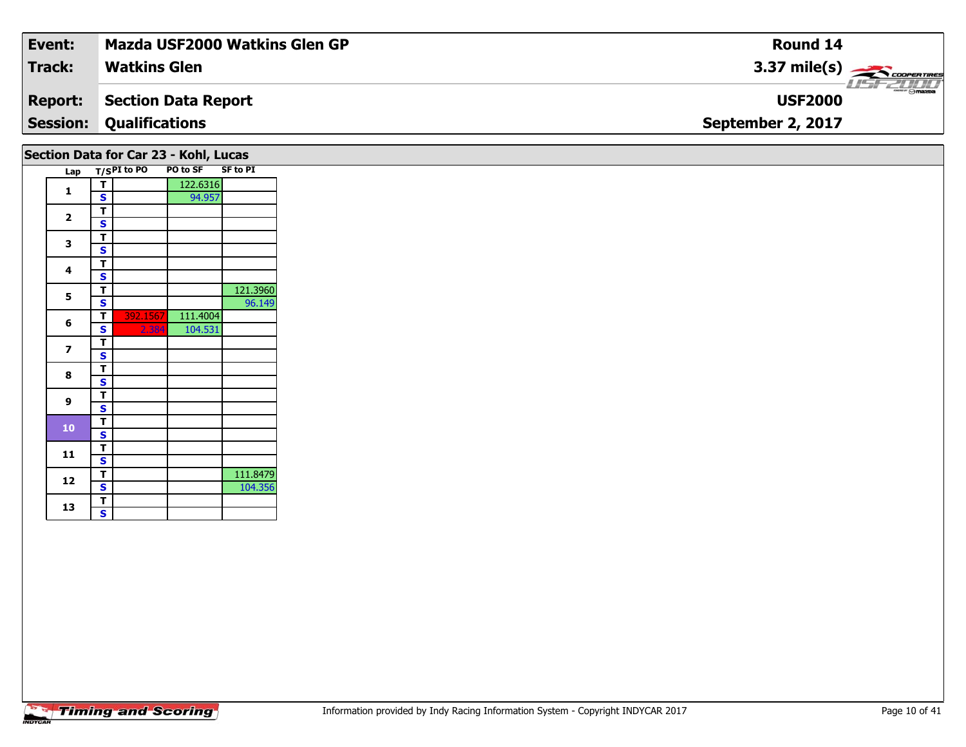| Event:         | Mazda USF2000 Watkins Glen GP         | <b>Round 14</b>                    |
|----------------|---------------------------------------|------------------------------------|
| <b>Track:</b>  | <b>Watkins Glen</b>                   | $3.37 \text{ mile(s)}$             |
| <b>Report:</b> | Section Data Report                   | <b>LISF 2000</b><br><b>USF2000</b> |
|                | <b>Session: Qualifications</b>        | September 2, 2017                  |
|                | Section Data for Car 23 - Kohl, Lucas |                                    |

| Lap |   | T/SPI to PO | PO to SF | <b>SF to PI</b> |
|-----|---|-------------|----------|-----------------|
|     | т |             | 122.6316 |                 |
| 1   | S |             | 94.957   |                 |
|     | т |             |          |                 |
| 2   | S |             |          |                 |
|     | т |             |          |                 |
| 3   | S |             |          |                 |
|     | т |             |          |                 |
| 4   | S |             |          |                 |
|     | т |             |          | 121.3960        |
| 5   | S |             |          | 96.149          |
|     | т | 392.1567    | 111.4004 |                 |
| 6   | S | 2.384       | 104.531  |                 |
|     | т |             |          |                 |
| 7   | S |             |          |                 |
| 8   | т |             |          |                 |
|     | S |             |          |                 |
| 9   | т |             |          |                 |
|     | S |             |          |                 |
| 10  | т |             |          |                 |
|     | S |             |          |                 |
| 11  | т |             |          |                 |
|     | S |             |          |                 |
| 12  | Т |             |          | 111.8479        |
|     | S |             |          | 104.356         |
| 13  | т |             |          |                 |
|     | S |             |          |                 |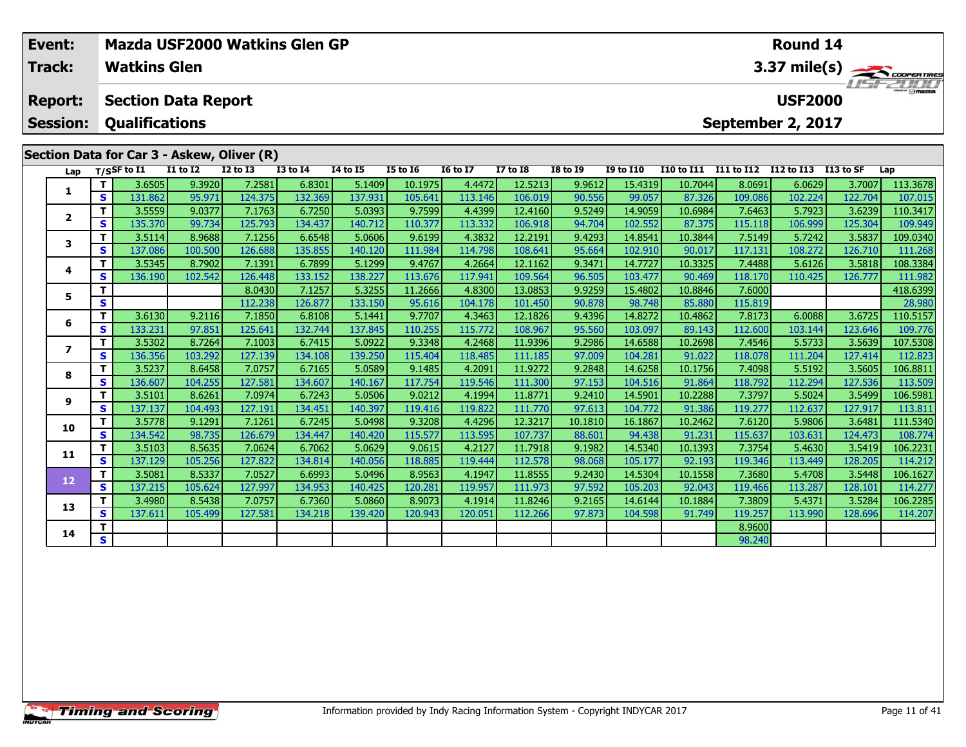| <b>USF2000</b><br><b>Section Data Report</b><br><b>Report:</b><br><b>Session:</b><br><b>Qualifications</b><br>September 2, 2017<br>Section Data for Car 3 - Askew, Oliver (R)<br><b>I1 to I2</b><br><b>I2 to I3</b><br><b>I3 to I4</b><br><b>14 to 15</b><br><b>I5 to 16</b><br><b>16 to 17</b><br><b>I7 to I8</b><br><b>I8 to I9</b><br><b>I9 to I10</b><br><b>I10 to I11</b><br><b>I11 to I12</b><br>I12 to I13<br>I13 to SF<br>$T/S$ SF to $\overline{11}$<br>Lap<br>Lap<br>9.3920<br>12.5213<br>9.9612<br>3.6505<br>7.2581<br>6.8301<br>5.1409<br>10.1975<br>4.4472<br>15.4319<br>10.7044<br>8.0691<br>6.0629<br>3.7007<br>т<br>1<br>S.<br>95.971<br>132.369<br>137.931<br>106.019<br>131.862<br>124.375<br>105.641<br>113.146<br>90.556<br>99.057<br>87.326<br>109.086<br>102.224<br>122.704<br>9.0377<br>7.1763<br>4.4399<br>3.5559<br>6.7250<br>5.0393<br>9.7599<br>12.4160<br>9.5249<br>14.9059<br>10.6984<br>7.6463<br>5.7923<br>3.6239<br>т<br>$\overline{\mathbf{2}}$<br>135.370<br>99.734<br>125.793<br>134.437<br>140.712<br>113.332<br>106.918<br>102.552<br>87.375<br>S.<br>110.377<br>94.704<br>115.118<br>106.999<br>125.304<br>8.9688<br>7.1256<br>4.3832<br>9.4293<br>3.5114<br>6.6548<br>5.0606<br>9.6199<br>12.2191<br>14.8541<br>10.3844<br>7.5149<br>3.5837<br>5.7242<br>3<br>137.086<br>126.688<br>108.641<br>102.910<br>100.500<br>135.855<br>140.120<br>111.984<br>114.798<br>95.664<br>90.017<br>117.131<br>108.272<br>126.710<br>S<br>8.7902<br>7.1391<br>4.2664<br>9.3471<br>14.7727<br>10.3325<br>3.5818<br>т<br>3.5345<br>6.7899<br>5.1299<br>9.4767<br>12.1162<br>7.4488<br>5.6126 |          |
|--------------------------------------------------------------------------------------------------------------------------------------------------------------------------------------------------------------------------------------------------------------------------------------------------------------------------------------------------------------------------------------------------------------------------------------------------------------------------------------------------------------------------------------------------------------------------------------------------------------------------------------------------------------------------------------------------------------------------------------------------------------------------------------------------------------------------------------------------------------------------------------------------------------------------------------------------------------------------------------------------------------------------------------------------------------------------------------------------------------------------------------------------------------------------------------------------------------------------------------------------------------------------------------------------------------------------------------------------------------------------------------------------------------------------------------------------------------------------------------------------------------------------------------------------------------------------------------------------------------------|----------|
|                                                                                                                                                                                                                                                                                                                                                                                                                                                                                                                                                                                                                                                                                                                                                                                                                                                                                                                                                                                                                                                                                                                                                                                                                                                                                                                                                                                                                                                                                                                                                                                                                    |          |
|                                                                                                                                                                                                                                                                                                                                                                                                                                                                                                                                                                                                                                                                                                                                                                                                                                                                                                                                                                                                                                                                                                                                                                                                                                                                                                                                                                                                                                                                                                                                                                                                                    |          |
|                                                                                                                                                                                                                                                                                                                                                                                                                                                                                                                                                                                                                                                                                                                                                                                                                                                                                                                                                                                                                                                                                                                                                                                                                                                                                                                                                                                                                                                                                                                                                                                                                    |          |
|                                                                                                                                                                                                                                                                                                                                                                                                                                                                                                                                                                                                                                                                                                                                                                                                                                                                                                                                                                                                                                                                                                                                                                                                                                                                                                                                                                                                                                                                                                                                                                                                                    |          |
|                                                                                                                                                                                                                                                                                                                                                                                                                                                                                                                                                                                                                                                                                                                                                                                                                                                                                                                                                                                                                                                                                                                                                                                                                                                                                                                                                                                                                                                                                                                                                                                                                    | 113.3678 |
|                                                                                                                                                                                                                                                                                                                                                                                                                                                                                                                                                                                                                                                                                                                                                                                                                                                                                                                                                                                                                                                                                                                                                                                                                                                                                                                                                                                                                                                                                                                                                                                                                    | 107.015  |
|                                                                                                                                                                                                                                                                                                                                                                                                                                                                                                                                                                                                                                                                                                                                                                                                                                                                                                                                                                                                                                                                                                                                                                                                                                                                                                                                                                                                                                                                                                                                                                                                                    | 110.3417 |
|                                                                                                                                                                                                                                                                                                                                                                                                                                                                                                                                                                                                                                                                                                                                                                                                                                                                                                                                                                                                                                                                                                                                                                                                                                                                                                                                                                                                                                                                                                                                                                                                                    | 109.949  |
|                                                                                                                                                                                                                                                                                                                                                                                                                                                                                                                                                                                                                                                                                                                                                                                                                                                                                                                                                                                                                                                                                                                                                                                                                                                                                                                                                                                                                                                                                                                                                                                                                    | 109.0340 |
|                                                                                                                                                                                                                                                                                                                                                                                                                                                                                                                                                                                                                                                                                                                                                                                                                                                                                                                                                                                                                                                                                                                                                                                                                                                                                                                                                                                                                                                                                                                                                                                                                    | 111.268  |
| 4                                                                                                                                                                                                                                                                                                                                                                                                                                                                                                                                                                                                                                                                                                                                                                                                                                                                                                                                                                                                                                                                                                                                                                                                                                                                                                                                                                                                                                                                                                                                                                                                                  | 108.3384 |
| S.<br>136.190<br>102.542<br>126.448<br>133.152<br>138.227<br>113.676<br>117.941<br>109.564<br>96.505<br>103.477<br>90.469<br>118.170<br>126.777<br>110.425                                                                                                                                                                                                                                                                                                                                                                                                                                                                                                                                                                                                                                                                                                                                                                                                                                                                                                                                                                                                                                                                                                                                                                                                                                                                                                                                                                                                                                                         | 111.982  |
| 5.3255<br>4.8300<br>11.2666<br>13.0853<br>9.9259<br>15.4802<br>10.8846<br>7.6000<br>т<br>8.0430<br>7.1257<br>5                                                                                                                                                                                                                                                                                                                                                                                                                                                                                                                                                                                                                                                                                                                                                                                                                                                                                                                                                                                                                                                                                                                                                                                                                                                                                                                                                                                                                                                                                                     | 418.6399 |
| S<br>126.877<br>101.450<br>115.819<br>112.238<br>133.150<br>95.616<br>104.178<br>90.878<br>98.748<br>85.880                                                                                                                                                                                                                                                                                                                                                                                                                                                                                                                                                                                                                                                                                                                                                                                                                                                                                                                                                                                                                                                                                                                                                                                                                                                                                                                                                                                                                                                                                                        | 28.980   |
| 3.6725<br>3.6130<br>9.2116<br>7.1850<br>9.7707<br>4.3463<br>9.4396<br>14.8272<br>6.0088<br>6.8108<br>5.1441<br>12.1826<br>10.4862<br>7.8173<br>6                                                                                                                                                                                                                                                                                                                                                                                                                                                                                                                                                                                                                                                                                                                                                                                                                                                                                                                                                                                                                                                                                                                                                                                                                                                                                                                                                                                                                                                                   | 110.5157 |
| S<br>133.231<br>97.851<br>125.641<br>132.744<br>137.845<br>115.772<br>108.967<br>95.560<br>112.600<br>110.255<br>103.097<br>89.143<br>103.144<br>123.646                                                                                                                                                                                                                                                                                                                                                                                                                                                                                                                                                                                                                                                                                                                                                                                                                                                                                                                                                                                                                                                                                                                                                                                                                                                                                                                                                                                                                                                           | 109.776  |
| 8.7264<br>7.1003<br>4.2468<br>3.5302<br>6.7415<br>5.0922<br>9.3348<br>11.9396<br>9.2986<br>14.6588<br>10.2698<br>7.4546<br>5.5733<br>3.5639<br>7                                                                                                                                                                                                                                                                                                                                                                                                                                                                                                                                                                                                                                                                                                                                                                                                                                                                                                                                                                                                                                                                                                                                                                                                                                                                                                                                                                                                                                                                   | 107.5308 |
| S.<br>136.356<br>103.292<br>127.139<br>134.108<br>139.250<br>115.404<br>118.485<br>111.185<br>97.009<br>104.281<br>91.022<br>118.078<br>127.414<br>111.204                                                                                                                                                                                                                                                                                                                                                                                                                                                                                                                                                                                                                                                                                                                                                                                                                                                                                                                                                                                                                                                                                                                                                                                                                                                                                                                                                                                                                                                         | 112.823  |
| 3.5237<br>8.6458<br>7.0757<br>6.7165<br>5.0589<br>9.1485<br>4.2091<br>11.9272<br>9.2848<br>14.6258<br>10.1756<br>7.4098<br>5.5192<br>3.5605<br>8<br>S<br>136.607<br>104.255<br>127.581<br>134.607<br>117.754<br>111.300<br>97.153<br>91.864<br>118.792<br>112.294<br>127.536<br>113.509<br>140.167<br>119.546<br>104.516                                                                                                                                                                                                                                                                                                                                                                                                                                                                                                                                                                                                                                                                                                                                                                                                                                                                                                                                                                                                                                                                                                                                                                                                                                                                                           | 106.8811 |

11 3.5101 8.6261| 7.0974| 6.7243| 5.0506| 9.0212| 4.1994| 11.8771| 9.2410| 14.5901| 10.2288| 7.3797| 5.5024| 3.5499| 106.5981<br>S | 137.137| 104.493| 127.191| 134.451| 140.397| 119.416| 119.822| 111.770| 97.613| 104.772| 91

0 | T | 3.5778| 9.1291| 7.1261| 6.7245| 5.0498| 9.3208| 4.4296| 12.3217| 10.1810| 16.1867| 10.2462| 7.6120| 5.9806| 3.6481| 111.5340<br>| S | 134.542| 98.735| 126.679| 134.447| 140.420| 115.577| 113.595| 107.737| 88.601| 94.4

**<sup>T</sup>** 3.5103 8.5635 7.0624 6.7062 5.0629 9.0615 4.2127 11.7918 9.1982 14.5340 10.1393 7.3754 5.4630 3.5419 106.2231 **<sup>S</sup>** 137.129 105.256 127.822 134.814 140.056 118.885 119.444 112.578 98.068 105.177 92.193 119.346 113.449 128.205 114.212

**<sup>T</sup>** 3.5081 8.5337 7.0527 6.6993 5.0496 8.9563 4.1947 11.8555 9.2430 14.5304 10.1558 7.3680 5.4708 3.5448 106.1627 **<sup>S</sup>** 137.215 105.624 127.997 134.953 140.425 120.281 119.957 111.973 97.592 105.203 92.043 119.466 113.287 128.101 114.277

3 T 3.4980 8.5438 7.0757 6.7360 5.0860 8.9073 4.1914 11.8246 9.2165 14.6144 10.1884 7.3809 5.4371 3.5284 106.2285<br>S 137.611 105.499 127.581 134.218 139.420 120.943 120.051 112.266 97.873 104.598 91.749 119.257 113.990 128.

**<sup>T</sup>** 8.9600 **<sup>S</sup>** 98.240

**9**

**10**

**11**

**12**

**13**

**14**

113.811

114.207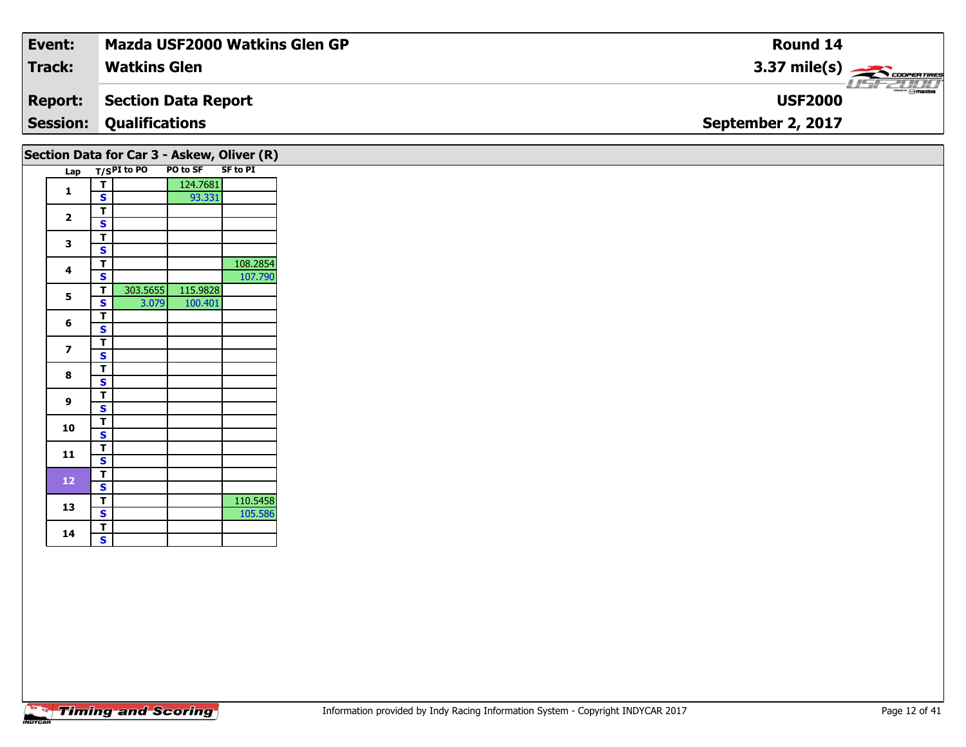| Event:         | Mazda USF2000 Watkins Glen GP              | <b>Round 14</b>                    |
|----------------|--------------------------------------------|------------------------------------|
| <b>Track:</b>  | <b>Watkins Glen</b>                        | $3.37 \text{ mile(s)}$             |
| <b>Report:</b> | Section Data Report                        | <b>LISF 2000</b><br><b>USF2000</b> |
|                | <b>Session: Qualifications</b>             | September 2, 2017                  |
|                | Section Data for Car 3 - Askew, Oliver (R) |                                    |

|     |                         | י ושט וטו שטוש<br>T/SPI to PO | <b>PO to SF</b> | <b>ASKCHILD INTERVIEWS</b><br><b>SF to PI</b> |
|-----|-------------------------|-------------------------------|-----------------|-----------------------------------------------|
| Lap |                         |                               |                 |                                               |
| 1   | т                       |                               | 124.7681        |                                               |
|     | S                       |                               | 93.331          |                                               |
| 2   | т                       |                               |                 |                                               |
|     | S                       |                               |                 |                                               |
| 3   | T                       |                               |                 |                                               |
|     | S                       |                               |                 |                                               |
| 4   | т                       |                               |                 | 108.2854                                      |
|     | S                       |                               |                 | 107.790                                       |
| 5   | т                       | 303.5655                      | 115.9828        |                                               |
|     | S                       | 3.079                         | 100.401         |                                               |
|     | т                       |                               |                 |                                               |
| 6   | S                       |                               |                 |                                               |
|     | T                       |                               |                 |                                               |
| 7   | S                       |                               |                 |                                               |
|     | т                       |                               |                 |                                               |
| 8   | S                       |                               |                 |                                               |
|     | т                       |                               |                 |                                               |
| 9   | S                       |                               |                 |                                               |
|     | T                       |                               |                 |                                               |
| 10  | $\overline{\mathbf{s}}$ |                               |                 |                                               |
|     | т                       |                               |                 |                                               |
| 11  | S                       |                               |                 |                                               |
|     | T                       |                               |                 |                                               |
| 12  | S                       |                               |                 |                                               |
|     | т                       |                               |                 | 110.5458                                      |
| 13  | S                       |                               |                 | 105.586                                       |
|     | T                       |                               |                 |                                               |
| 14  | S                       |                               |                 |                                               |
|     |                         |                               |                 |                                               |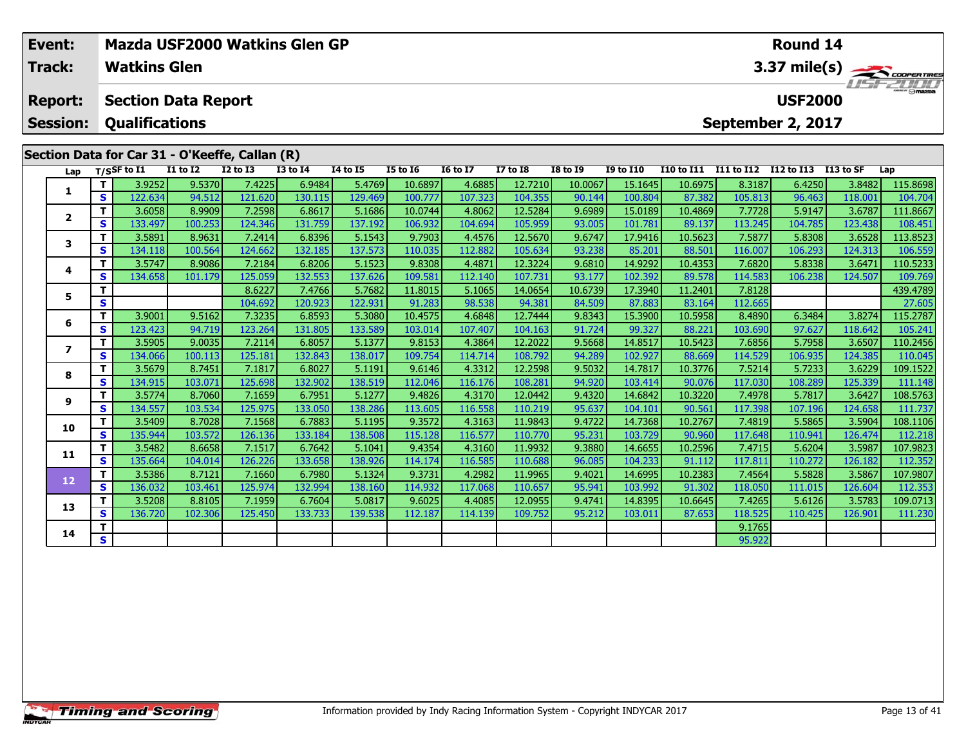| Event:<br><b>Track:</b> |    | <b>Mazda USF2000 Watkins Glen GP</b><br><b>Watkins Glen</b> |                 |                 |                 |                 |                 |                 |                 |                 |                  |                   |            | Round 14          |           | 3.37 mile(s)<br>$T = T/T/T$ |  |  |  |  |
|-------------------------|----|-------------------------------------------------------------|-----------------|-----------------|-----------------|-----------------|-----------------|-----------------|-----------------|-----------------|------------------|-------------------|------------|-------------------|-----------|-----------------------------|--|--|--|--|
| <b>Report:</b>          |    | <b>Section Data Report</b>                                  |                 |                 |                 |                 |                 |                 |                 |                 |                  |                   |            | <b>USF2000</b>    |           |                             |  |  |  |  |
| <b>Session:</b>         |    | <b>Qualifications</b>                                       |                 |                 |                 |                 |                 |                 |                 |                 |                  |                   |            | September 2, 2017 |           |                             |  |  |  |  |
|                         |    | Section Data for Car 31 - O'Keeffe, Callan (R)              |                 |                 |                 |                 |                 |                 |                 |                 |                  |                   |            |                   |           |                             |  |  |  |  |
| Lap                     |    | $T/S$ SF to $\overline{11}$                                 | <b>I1 to I2</b> | <b>I2 to I3</b> | <b>I3 to I4</b> | <b>14 to 15</b> | <b>I5 to 16</b> | <b>16 to 17</b> | <b>I7 to I8</b> | <b>I8 to 19</b> | <b>19 to 110</b> | <b>I10 to I11</b> | I11 to I12 | I12 to I13        | I13 to SF | Lap                         |  |  |  |  |
| 1                       | Τ. | 3.9252                                                      | 9.5370          | 7.4225          | 6.9484          | 5.4769          | 10.6897         | 4.6885          | 12.7210         | 10.0067         | 15.1645          | 10.6975           | 8.3187     | 6.4250            | 3.8482    | 115.8698                    |  |  |  |  |
|                         | S. | 122.634                                                     | 94.512          | 121.620         | 130.115         | 129.469         | 100.777         | 107.323         | 104.355         | 90.144          | 100.804          | 87.382            | 105.813    | 96.463            | 118.001   | 104.704                     |  |  |  |  |
| $\overline{2}$          | T. | 3.6058                                                      | 8.9909          | 7.2598          | 6.8617          | 5.1686          | 10.0744         | 4.8062          | 12.5284         | 9.6989          | 15.0189          | 10.4869           | 7.7728     | 5.9147            | 3.6787    | 111.8667                    |  |  |  |  |
|                         | S. | 133.497                                                     | 100.253         | 124.346         | 131.759         | 137.192         | 106.932         | 104.694         | 105.959         | 93.005          | 101.781          | 89.137            | 113.245    | 104.785           | 123.438   | 108.451                     |  |  |  |  |
| 3                       | Τ. | 3.5891                                                      | 8.9631          | 7.2414          | 6.8396          | 5.1543          | 9.7903          | 4.4576          | 12.5670         | 9.6747          | 17.9416          | 10.5623           | 7.5877     | 5.8308            | 3.6528    | 113.8523                    |  |  |  |  |
|                         | S  | 134.118                                                     | 100.564         | 124.662         | 132.185         | 137.573         | 110.035         | 112.882         | 105.634         | 93.238          | 85.201           | 88.501            | 116.007    | 106.293           | 124.313   | 106.559                     |  |  |  |  |
| 4                       | T. | 3.5747                                                      | 8.9086          | 7.2184          | 6.8206          | 5.1523          | 9.8308          | 4.4871          | 12.3224         | 9.6810          | 14.9292          | 10.4353           | 7.6820     | 5.8338            | 3.6471    | 110.5233                    |  |  |  |  |
|                         | S. | 134.658                                                     | 101.179         | 125.059         | 132.553         | 137.626         | 109.581         | 112.140         | 107.731         | 93.177          | 102.392          | 89.578            | 114.583    | 106.238           | 124.507   | 109.769                     |  |  |  |  |
| 5                       |    |                                                             |                 | 8.6227          | 7.4766          | 5.7682          | 11.8015         | 5.1065          | 14.0654         | 10.6739         | 17.3940          | 11.2401           | 7.8128     |                   |           | 439.4789                    |  |  |  |  |
|                         | S  |                                                             |                 | 104.692         | 120.923         | 122.931         | 91.283          | 98.538          | 94.381          | 84.509          | 87.883           | 83.164            | 112.665    |                   |           | 27.605                      |  |  |  |  |
| 6                       | T. | 3.9001                                                      | 9.5162          | 7.3235          | 6.8593          | 5.3080          | 10.4575         | 4.6848          | 12.7444         | 9.8343          | 15.3900          | 10.5958           | 8.4890     | 6.3484            | 3.8274    | 115.2787                    |  |  |  |  |
|                         | S  | 123.423                                                     | 94.719          | 123.264         | 131.805         | 133.589         | 103.014         | 107.407         | 104.163         | 91.724          | 99.327           | 88.221            | 103.690    | 97.627            | 118.642   | 105.241                     |  |  |  |  |
| 7                       | Τ. | 3.5905                                                      | 9.0035          | 7.2114          | 6.8057          | 5.1377          | 9.8153          | 4.3864          | 12.2022         | 9.5668          | 14.8517          | 10.5423           | 7.6856     | 5.7958            | 3.6507    | 110.2456                    |  |  |  |  |
|                         | S. | 134.066                                                     | 100.113         | 125.181         | 132.843         | 138.017         | 109.754         | 114.714         | 108.792         | 94.289          | 102.927          | 88.669            | 114.529    | 106.935           | 124.385   | 110.045                     |  |  |  |  |
| 8                       | т  | 3.5679                                                      | 8.7451          | 7.1817          | 6.8027          | 5.1191          | 9.6146          | 4.3312          | 12.2598         | 9.5032          | 14.7817          | 10.3776           | 7.5214     | 5.7233            | 3.6229    | 109.1522                    |  |  |  |  |
|                         | S  | 134.915                                                     | 103.071         | 125.698         | 132.902         | 138.519         | 112.046         | 116.176         | 108.281         | 94.920          | 103.414          | 90.076            | 117.030    | 108.289           | 125.339   | 111.148                     |  |  |  |  |
| $\sim$                  | T. | 3.5774                                                      | 8.7060          | 7.1659          | 6.7951          | 5.1277          | 9.4826          | 4.3170          | 12.0442         | 9.4320          | 14.6842          | 10.3220           | 7.4978     | 5.7817            | 3.6427    | 108.5763                    |  |  |  |  |

| 8  |    | 3.56791          | 8.74511 | 7.1817  | 6.8027  | 5.11911 | 9.61461 | 4.3312  | 12.25981 | 9.50321 | 14.7817 I | 10.37761 | 7.52141         | 5.72331 | 3.62291 | 109.1522 |
|----|----|------------------|---------|---------|---------|---------|---------|---------|----------|---------|-----------|----------|-----------------|---------|---------|----------|
|    | S. | 134.915          | 103.071 | 125.698 | 132.902 | 138.519 | 112.046 | 116.176 | 108.281  | 94.920  | 103.414   | 90.076   | 117.030         | 108.289 | 125.339 | 111.148  |
| 9  |    | 3.5774           | 8.7060  | 7.1659  | 6.7951  | 5.1277  | 9.4826  | 4.3170  | 12.0442  | 9.4320  | 14.6842   | 10.3220  | 7.4978 <b>I</b> | 5.7817  | 3.6427  | 108.5763 |
|    | S. | 134.557          | 103.534 | 125.975 | 133.050 | 138.286 | 113.605 | 116.558 | 110.219  | 95.637  | 104.101   | 90.561   | 117.398         | 107.196 | 124.658 | 111.737  |
| 10 |    | 3.5409           | 8.7028  | 7.1568  | 6.7883  | 5.1195  | 9.3572  | 4.3163  | 11.9843  | 9.4722  | 14.7368   | 10.2767  | 7.4819          | 5.5865  | 3.5904  | 108.1106 |
|    | S. | 135.944          | 103.572 | 126.136 | 133.184 | 138.508 | 115.128 | 116.577 | 110.770  | 95.231  | 103.729   | 90.960   | 117.648         | 110.941 | 126.474 | 112.218  |
| 11 |    | 3.5482           | 8.6658  | 7.1517  | 6.7642  | 5.1041  | 9.4354  | 4.3160  | 11.9932  | 9.3880  | 14.6655   | 10.2596  | 7.4715 l        | 5.6204  | 3.5987  | 107.9823 |
|    | S. | 135.664 <b> </b> | 104.014 | 126.226 | 133.658 | 138.926 | 114.174 | 116.585 | 110.688  | 96.085  | 104.233   | 91.112   | 117.811         | 110.272 | 126.182 | 112.352  |
|    |    | 3.5386           | 8.7121  | 7.1660  | 6.7980  | 5.1324  | 9.3731  | 4.2982  | 11.9965  | 9.4021  | 14.6995   | 10.2383  | 7.4564          | 5.5828  | 3.5867  | 107.9807 |
| 12 | S. | 136.032          | 103.461 | 125.974 | 132.994 | 138.160 | 114.932 | 117.068 | 110.657  | 95.941  | 103.992   | 91.302   | 118.050         | 111.015 | 126.604 | 112.353  |
| 13 |    | 3.5208           | 8.8105  | 7.1959  | 6.7604  | 5.0817  | 9.6025  | 4.4085  | 12.0955  | 9.4741  | 14.8395   | 10.6645  | 7.4265          | 5.6126  | 3.5783  | 109.0713 |
|    | S. | 136.720          | 102.306 | 125.450 | 133.733 | 139.538 | 112.187 | 114.139 | 109.752  | 95.212  | 103.011   | 87.653   | 118.525         | 110.425 | 126.901 | 111.230  |
|    |    |                  |         |         |         |         |         |         |          |         |           |          | 9.1765          |         |         |          |
| 14 | S. |                  |         |         |         |         |         |         |          |         |           |          | 95.922          |         |         |          |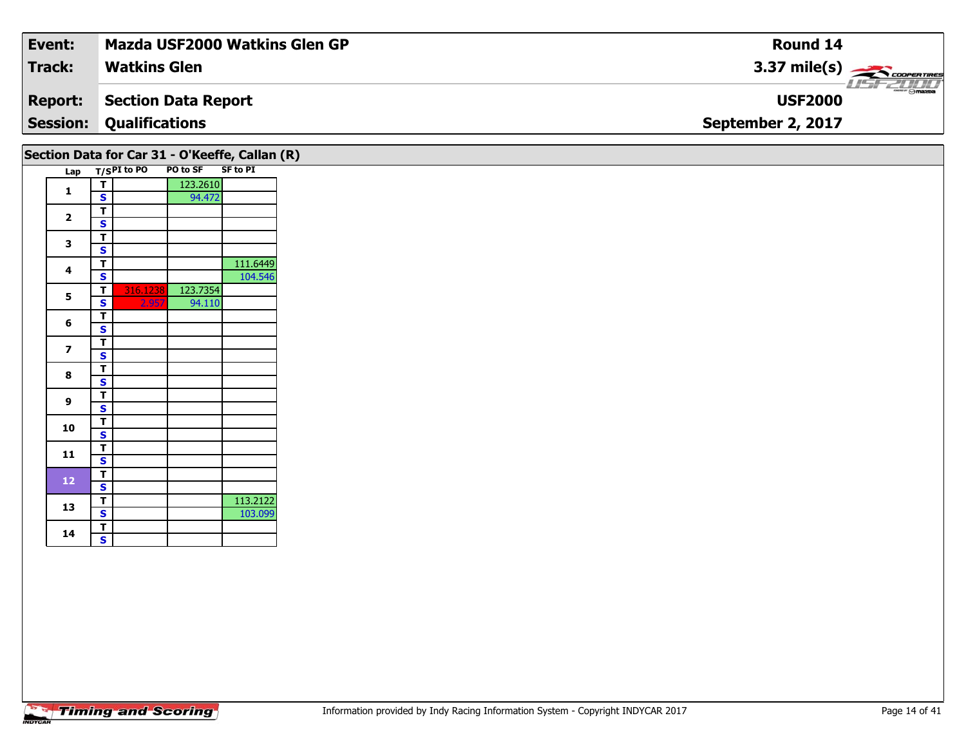| Event:          | <b>Mazda USF2000 Watkins Glen GP</b> | Round 14                                    |
|-----------------|--------------------------------------|---------------------------------------------|
| <b>Track:</b>   | <b>Watkins Glen</b>                  | $3.37 \text{ mile(s)}$                      |
| <b>Report:</b>  | Section Data Report                  | $\overline{\Theta}$ maxba<br><b>USF2000</b> |
| <b>Session:</b> | <b>Qualifications</b>                | September 2, 2017                           |
|                 |                                      |                                             |

|                         |    |                      | Section Data for Car 31 - O'Keeffe, Callan (R) |                 |
|-------------------------|----|----------------------|------------------------------------------------|-----------------|
| Lap                     |    | T/SPI to PO PO to SF |                                                | <b>SF to PI</b> |
|                         | T  |                      | 123.2610                                       |                 |
| 1                       | S  |                      | 94.472                                         |                 |
|                         | т  |                      |                                                |                 |
| $\overline{\mathbf{2}}$ | S  |                      |                                                |                 |
| 3                       | т  |                      |                                                |                 |
|                         | S  |                      |                                                |                 |
| 4                       | т  |                      |                                                | 111.6449        |
|                         | S  |                      |                                                | 104.546         |
| 5                       | т  | 316.1238             | 123.7354                                       |                 |
|                         | S  | 2.957                | 94.110                                         |                 |
| 6                       | T  |                      |                                                |                 |
|                         | S  |                      |                                                |                 |
| $\overline{z}$          | T  |                      |                                                |                 |
|                         | S  |                      |                                                |                 |
| 8                       | т  |                      |                                                |                 |
|                         | S  |                      |                                                |                 |
| 9                       | T  |                      |                                                |                 |
|                         | S  |                      |                                                |                 |
| 10                      | т  |                      |                                                |                 |
|                         | S  |                      |                                                |                 |
| 11                      | T  |                      |                                                |                 |
|                         | S  |                      |                                                |                 |
| 12                      | T. |                      |                                                |                 |
|                         | S  |                      |                                                |                 |
| 13                      | т  |                      |                                                | 113.2122        |
|                         | S  |                      |                                                | 103.099         |
| 14                      | т  |                      |                                                |                 |
|                         | S  |                      |                                                |                 |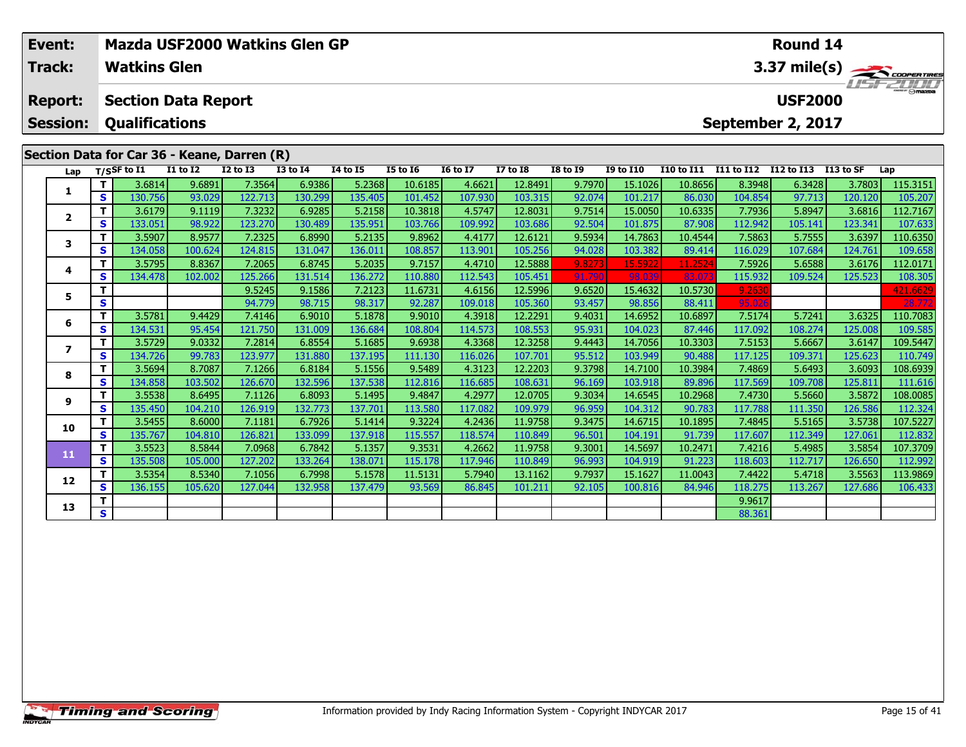| Event:<br>Track:                  |     | <b>Watkins Glen</b>             | Mazda USF2000 Watkins Glen GP               |              |                 |                 |                 |                 |                 |                 |                  |                   |                   | Round 14          |           | 3.37 mile(s)           |
|-----------------------------------|-----|---------------------------------|---------------------------------------------|--------------|-----------------|-----------------|-----------------|-----------------|-----------------|-----------------|------------------|-------------------|-------------------|-------------------|-----------|------------------------|
| <b>Report:</b><br><b>Session:</b> |     | <b>Qualifications</b>           | <b>Section Data Report</b>                  |              |                 |                 |                 |                 |                 |                 |                  |                   | September 2, 2017 | <b>USF2000</b>    |           | <i><b>LISFZOOD</b></i> |
|                                   |     |                                 | Section Data for Car 36 - Keane, Darren (R) |              |                 |                 |                 |                 |                 |                 |                  |                   |                   |                   |           |                        |
|                                   |     | Lap $T/S$ SF to $\overline{11}$ | $I1$ to $I2$                                | $I2$ to $I3$ | <b>I3 to I4</b> | <b>I4 to I5</b> | <b>I5 to 16</b> | <b>16 to 17</b> | <b>I7 to I8</b> | <b>I8 to 19</b> | <b>I9 to I10</b> | <b>I10 to I11</b> | <b>I11 to I12</b> | <b>I12 to I13</b> | I13 to SF | Lap                    |
|                                   | T.  | 3.6814                          | 9.6891                                      | 7.3564       | 6.9386          | 5.2368          | 10.6185         | 4.6621          | 12.8491         | 9.7970          | 15.1026          | 10.8656           | 8.3948            | 6.3428            | 3.7803    | 115.3151               |
|                                   | s l | 130.756                         | 93.029                                      | 122.713      | 130.299         | 135.405         | 101.452         | 107.930         | 103.315         | 92.074          | 101.217          | 86.030            | 104.854           | 97.713            | 120.120   | 105.207                |
|                                   |     | 3.6179                          | 9.1119                                      | 7.3232       | 6.9285          | 5.2158          | 10.3818         | 4.5747          | 12.8031         | 9.7514          | 15.0050          | 10.6335           | 7.7936            | 5.8947            | 3.6816    | 112.7167               |
|                                   | S.  | 133.051                         | 98.922                                      | 123.270      | 130.489         | 135.951         | 103.766         | 109.992         | 103.686         | 92.504          | 101.875          | 87.908            | 112.942           | 105.141           | 123.341   | 107.633                |
| 3                                 |     | 3.5907                          | 8.9577                                      | 7.2325       | 6.8990          | 5.2135          | 9.8962          | 4.4177          | 12.6121         | 9.5934          | 14.7863          | 10.4544           | 7.5863            | 5.7555            | 3.6397    | 110.6350               |
|                                   | S.  | 134.058                         | 100.624                                     | 124.815      | 131.047         | 136.011         | 108.857         | 113.901         | 105.256         | 94.028          | 103.382          | 89.414            | 116.029           | 107.684           | 124.761   | 109.658                |
| 4                                 |     | 3.5795                          | 8.8367                                      | 7.2065       | 6.8745          | 5.2035          | 9.7157          | 4.4710          | 12.5888         | 9.8273          | 15.5922          | 11.2524           | 7.5926            | 5.6588            | 3.6176    | 112.0171               |
|                                   | S.  | 134.478                         | 102.002                                     | 125.266      | 131.514         | 136.272         | 110.880         | 112.543         | 105.451         | 91.790          | 98.039           | 83.07             | 115.932           | 109.524           | 125.523   | 108.305                |
| 5.                                |     |                                 |                                             | 9.5245       | 9.1586          | 7.2123          | 11.6731         | 4.6156          | 12.5996         | 9.6520          | 15.4632          | 10.5730           | 9.2630            |                   |           | 421.6629               |
|                                   | S   |                                 |                                             | 94.779       | 98.715          | 98.317          | 92.287          | 109.018         | 105.360         | 93.457          | 98.856           | 88.411            | 95.026            |                   |           | 28.772                 |

**<sup>T</sup>** 3.5781 9.4429 7.4146 6.9010 5.1878 9.9010 4.3918 12.2291 9.4031 14.6952 10.6897 7.5174 5.7241 3.6325 110.7083 **<sup>S</sup>** 134.531 95.454 121.750 131.009 136.684 108.804 114.573 108.553 95.931 104.023 87.446 117.092 108.274 125.008 109.585

7 | T | 3.5729| 9.0332| 7.2814| 6.8554| 5.1685| 9.6938| 4.3368| 12.3258| 9.4443| 14.7056| 10.3303| 7.5153| 5.6667| 3.6147| 109.5447<br>7 | S | 134.726| 99.783| 123.977| 131.880| 137.195| 111.130| 116.026| 107.701| 95.512| 103

**<sup>T</sup>** 3.5694 8.7087 7.1266 6.8184 5.1556 9.5489 4.3123 12.2203 9.3798 14.7100 10.3984 7.4869 5.6493 3.6093 108.6939 **<sup>S</sup>** 134.858 103.502 126.670 132.596 137.538 112.816 116.685 108.631 96.169 103.918 89.896 117.569 109.708 125.811 111.616

108.0085 | 11 | 1.5538| 1.65495| 1.1126| 6.8093| 5.1495| 9.4847| 4.2977| 12.0705| 9.3034| 14.6545| 10.2968| 7.4730| 5.5660| 3.5872| 108.0085| 9<br>S | 135.450| 104.210| 126.919| 132.773| 137.701| 113.580| 117.082| 109.979| 9

0 | T | 3.5455| 8.6000| 7.1181| 6.7926| 5.1414| 9.3224| 4.2436| 11.9758| 9.3475| 14.6715| 10.1895| 7.4845| 5.5165| 3.5738| 107.5227<br>| S | 135.767| 104.810| 126.821| 133.099| 137.918| 115.557| 118.574| 110.849| 96.501| 104.

**<sup>T</sup>** 3.5523 8.5844 7.0968 6.7842 5.1357 9.3531 4.2662 11.9758 9.3001 14.5697 10.2471 7.4216 5.4985 3.5854 107.3709 **<sup>S</sup>** 135.508 105.000 127.202 133.264 138.071 115.178 117.946 110.849 96.993 104.919 91.223 118.603 112.717 126.650 112.992

**<sup>T</sup>** 3.5354 8.5340 7.1056 6.7998 5.1578 11.5131 5.7940 13.1162 9.7937 15.1627 11.0043 7.4422 5.4718 3.5563 113.9869 **<sup>S</sup>** 136.155 105.620 127.044 132.958 137.479 93.569 86.845 101.211 92.105 100.816 84.946 118.275 113.267 127.686 106.433

**T** 8.9617<br> **S** 88.361

**6**

**7**

**8**

**9**

**10**

**11**

**12**

**13**

110.749

112.324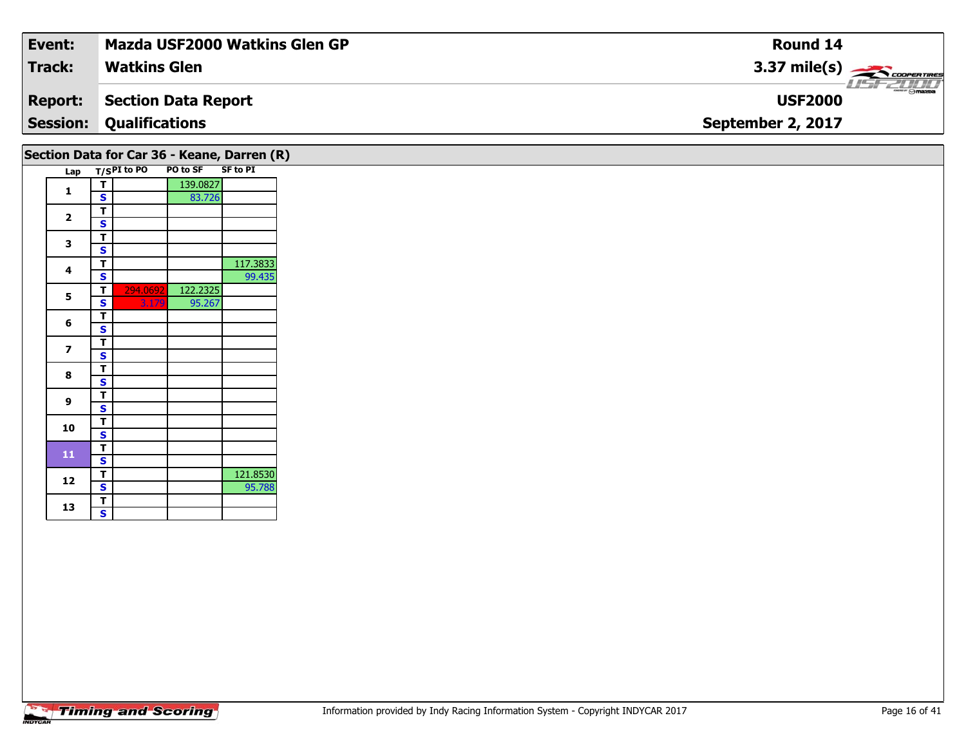| Event:          | <b>Mazda USF2000 Watkins Glen GP</b> | Round 14               |
|-----------------|--------------------------------------|------------------------|
| <b>Track:</b>   | <b>Watkins Glen</b>                  | $3.37 \text{ mile(s)}$ |
| <b>Report:</b>  | Section Data Report                  | <b>USF2000</b>         |
| <b>Session:</b> | <b>Qualifications</b>                | September 2, 2017      |
|                 |                                      |                        |

|                         |   |             |          | Section Data for Car 36 - Keane, Darren (R) |
|-------------------------|---|-------------|----------|---------------------------------------------|
| Lap                     |   | T/SPI to PO | PO to SF | <b>SF to PI</b>                             |
|                         | т |             | 139.0827 |                                             |
| 1                       | S |             | 83.726   |                                             |
|                         | T |             |          |                                             |
| $\overline{2}$          | S |             |          |                                             |
|                         | т |             |          |                                             |
| 3                       | S |             |          |                                             |
|                         | т |             |          | 117.3833                                    |
| 4                       | S |             |          | 99.435                                      |
|                         | т | 294.0692    | 122.2325 |                                             |
| 5                       | S | 3.179       | 95.267   |                                             |
|                         | т |             |          |                                             |
| 6                       | S |             |          |                                             |
|                         | т |             |          |                                             |
| $\overline{\mathbf{z}}$ | S |             |          |                                             |
|                         | т |             |          |                                             |
| 8                       | S |             |          |                                             |
|                         | T |             |          |                                             |
| 9                       | S |             |          |                                             |
|                         | т |             |          |                                             |
| 10                      | S |             |          |                                             |
|                         | т |             |          |                                             |
| 11                      | S |             |          |                                             |
|                         | т |             |          | 121.8530                                    |
| 12                      | S |             |          | 95.788                                      |
|                         | т |             |          |                                             |
| 13                      | S |             |          |                                             |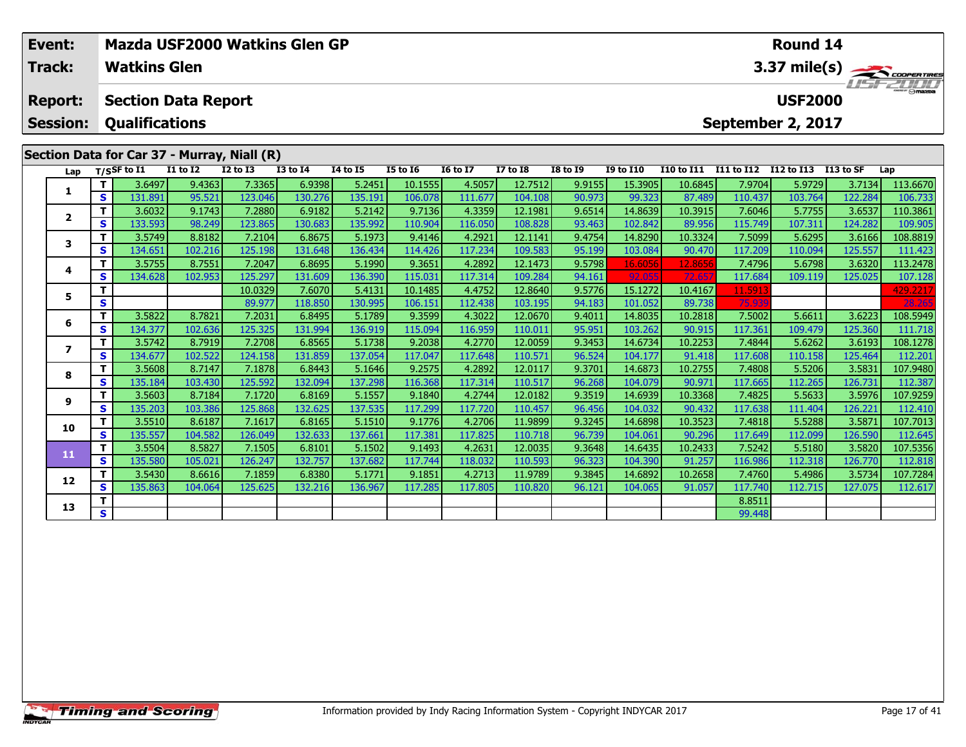| $3.37 \text{ mile(s)}$<br><b>USF2000</b><br><b>Section Data Report</b><br><b>Report:</b><br><b>Qualifications</b><br><b>Session:</b><br>September 2, 2017<br>Section Data for Car 37 - Murray, Niall (R)<br><b>I11 to I12</b><br>$T/S$ SF to $\overline{11}$<br><b>I1 to I2</b><br><b>I2 to I3</b><br><b>I3 to I4</b><br>14 to 15<br><b>I5 to 16</b><br><b>16 to 17</b><br><b>I7 to I8</b><br><b>I8 to 19</b><br><b>I9 to I10</b><br><b>I10 to I11</b><br>I12 to I13<br>I13 to SF<br>Lap<br>Lap<br>9.4363<br>7.3365<br>4.5057<br>12.7512<br>113.6670<br>3.6497<br>6.9398<br>5.2451<br>10.1555<br>9.9155<br>15.3905<br>10.6845<br>7.9704<br>5.9729<br>3.7134<br>Τ.<br>1<br>S<br>123.046<br>130.276<br>135.191<br>106.078<br>90.973<br>103.764<br>131.891<br>95.521<br>111.677<br>104.108<br>99.323<br>87.489<br>110.437<br>122.284<br>106.733<br>4.3359<br>9.1743<br>7.2880<br>6.9182<br>12.1981<br>9.6514<br>14.8639<br>7.6046<br>110.3861<br>3.6032<br>5.2142<br>9.7136<br>10.3915<br>5.7755<br>3.6537<br>$\mathbf{2}$<br>133.593<br>123.865<br>130.683<br>108.828<br>107.311<br>98.249<br>135.992<br>110.904<br>116.050<br>93.463<br>102.842<br>89.956<br>115.749<br>124.282<br>109.905<br>S.<br>4.2921<br>Τ.<br>3.5749<br>8.8182<br>7.2104<br>6.8675<br>5.1973<br>9.4146<br>12.1141<br>9.4754<br>14.8290<br>10.3324<br>7.5099<br>5.6295<br>3.6166<br>108.8819<br>3<br>S.<br>125.198<br>117.234<br>134.651<br>102.216<br>131.648<br>114.426<br>109.583<br>95.199<br>103.084<br>90.470<br>117.209<br>125.557<br>136.434<br>110.094<br>111.423<br>7.2047<br>4.2892<br>9.5798<br>3.6320<br>113.2478<br>3.5755<br>8.7551<br>6.8695<br>5.1990<br>9.3651<br>12.1473<br>16.6056<br>12.8656<br>7.4796<br>5.6798<br>Τ.<br>4<br>125.297<br>131.609<br>92.055<br>109.119<br>107.128<br>134.628<br>102.953<br>136.390<br>115.031<br>117.314<br>109.284<br>94.161<br>72.657<br>117.684<br>125.025<br>s<br>4.4752<br>12.8640<br>10.0329<br>5.4131<br>10.1485<br>9.5776<br>15.1272<br>10.4167<br>11.5913<br>429.2217<br>7.6070<br>5<br>S<br>28.265<br>103.195<br>75.939<br>118.850<br>130.995<br>106.151<br>112.438<br>94.183<br>101.052<br>89.738<br>89.977<br>7.2031<br>4.3022<br>108.5949<br>3.5822<br>8.7821<br>6.8495<br>5.1789<br>9.3599<br>12.0670<br>9.4011<br>14.8035<br>10.2818<br>7.5002<br>3.6223<br>Τ.<br>5.6611<br>6<br>S.<br>134.377<br>102.636<br>125.325<br>131.994<br>136.919<br>115.094<br>116.959<br>110.011<br>95.951<br>103.262<br>90.915<br>117.361<br>109.479<br>125.360<br>111.718<br>3.5742<br>8.7919<br>7.2708<br>4.2770<br>9.3453<br>10.2253<br>5.6262<br>3.6193<br>Τ.<br>6.8565<br>5.1738<br>9.2038<br>12.0059<br>14.6734<br>7.4844<br>108.1278<br>$\overline{\phantom{a}}$<br>134.677<br>102.522<br>131.859<br>137.054<br>117.047<br>117.648<br>110.571<br>117.608<br>112.201<br>S.<br>124.158<br>96.524<br>104.177<br>91.418<br>110.158<br>125.464<br>7.1878<br>5.1646<br>9.2575<br>4.2892<br>12.0117<br>9.3701<br>3.5831<br>107.9480<br>3.5608<br>8.7147<br>6.8443<br>14.6873<br>10.2755<br>7.4808<br>5.5206<br>8<br>135.184<br>132.094<br>110.517<br>96.268<br>103.430<br>125.592<br>137.298<br>117.314<br>90.971<br>117.665<br>112.265 | Event:<br><b>Track:</b> |    | <b>Watkins Glen</b> |  | Mazda USF2000 Watkins Glen GP |         |  |         |  | Round 14 |         |         |
|-------------------------------------------------------------------------------------------------------------------------------------------------------------------------------------------------------------------------------------------------------------------------------------------------------------------------------------------------------------------------------------------------------------------------------------------------------------------------------------------------------------------------------------------------------------------------------------------------------------------------------------------------------------------------------------------------------------------------------------------------------------------------------------------------------------------------------------------------------------------------------------------------------------------------------------------------------------------------------------------------------------------------------------------------------------------------------------------------------------------------------------------------------------------------------------------------------------------------------------------------------------------------------------------------------------------------------------------------------------------------------------------------------------------------------------------------------------------------------------------------------------------------------------------------------------------------------------------------------------------------------------------------------------------------------------------------------------------------------------------------------------------------------------------------------------------------------------------------------------------------------------------------------------------------------------------------------------------------------------------------------------------------------------------------------------------------------------------------------------------------------------------------------------------------------------------------------------------------------------------------------------------------------------------------------------------------------------------------------------------------------------------------------------------------------------------------------------------------------------------------------------------------------------------------------------------------------------------------------------------------------------------------------------------------------------------------------------------------------------------------------------------------------------------------------------------------------------------------------------------------------------------------------------------------------------------------------------------------------------------------------------------------------------------------------------------------------------------------------------------------------------------------------------|-------------------------|----|---------------------|--|-------------------------------|---------|--|---------|--|----------|---------|---------|
|                                                                                                                                                                                                                                                                                                                                                                                                                                                                                                                                                                                                                                                                                                                                                                                                                                                                                                                                                                                                                                                                                                                                                                                                                                                                                                                                                                                                                                                                                                                                                                                                                                                                                                                                                                                                                                                                                                                                                                                                                                                                                                                                                                                                                                                                                                                                                                                                                                                                                                                                                                                                                                                                                                                                                                                                                                                                                                                                                                                                                                                                                                                                                             |                         |    |                     |  |                               |         |  |         |  |          |         |         |
|                                                                                                                                                                                                                                                                                                                                                                                                                                                                                                                                                                                                                                                                                                                                                                                                                                                                                                                                                                                                                                                                                                                                                                                                                                                                                                                                                                                                                                                                                                                                                                                                                                                                                                                                                                                                                                                                                                                                                                                                                                                                                                                                                                                                                                                                                                                                                                                                                                                                                                                                                                                                                                                                                                                                                                                                                                                                                                                                                                                                                                                                                                                                                             |                         |    |                     |  |                               |         |  |         |  |          |         |         |
|                                                                                                                                                                                                                                                                                                                                                                                                                                                                                                                                                                                                                                                                                                                                                                                                                                                                                                                                                                                                                                                                                                                                                                                                                                                                                                                                                                                                                                                                                                                                                                                                                                                                                                                                                                                                                                                                                                                                                                                                                                                                                                                                                                                                                                                                                                                                                                                                                                                                                                                                                                                                                                                                                                                                                                                                                                                                                                                                                                                                                                                                                                                                                             |                         |    |                     |  |                               |         |  |         |  |          |         |         |
|                                                                                                                                                                                                                                                                                                                                                                                                                                                                                                                                                                                                                                                                                                                                                                                                                                                                                                                                                                                                                                                                                                                                                                                                                                                                                                                                                                                                                                                                                                                                                                                                                                                                                                                                                                                                                                                                                                                                                                                                                                                                                                                                                                                                                                                                                                                                                                                                                                                                                                                                                                                                                                                                                                                                                                                                                                                                                                                                                                                                                                                                                                                                                             |                         |    |                     |  |                               |         |  |         |  |          |         |         |
|                                                                                                                                                                                                                                                                                                                                                                                                                                                                                                                                                                                                                                                                                                                                                                                                                                                                                                                                                                                                                                                                                                                                                                                                                                                                                                                                                                                                                                                                                                                                                                                                                                                                                                                                                                                                                                                                                                                                                                                                                                                                                                                                                                                                                                                                                                                                                                                                                                                                                                                                                                                                                                                                                                                                                                                                                                                                                                                                                                                                                                                                                                                                                             |                         |    |                     |  |                               |         |  |         |  |          |         |         |
|                                                                                                                                                                                                                                                                                                                                                                                                                                                                                                                                                                                                                                                                                                                                                                                                                                                                                                                                                                                                                                                                                                                                                                                                                                                                                                                                                                                                                                                                                                                                                                                                                                                                                                                                                                                                                                                                                                                                                                                                                                                                                                                                                                                                                                                                                                                                                                                                                                                                                                                                                                                                                                                                                                                                                                                                                                                                                                                                                                                                                                                                                                                                                             |                         |    |                     |  |                               |         |  |         |  |          |         |         |
|                                                                                                                                                                                                                                                                                                                                                                                                                                                                                                                                                                                                                                                                                                                                                                                                                                                                                                                                                                                                                                                                                                                                                                                                                                                                                                                                                                                                                                                                                                                                                                                                                                                                                                                                                                                                                                                                                                                                                                                                                                                                                                                                                                                                                                                                                                                                                                                                                                                                                                                                                                                                                                                                                                                                                                                                                                                                                                                                                                                                                                                                                                                                                             |                         |    |                     |  |                               |         |  |         |  |          |         |         |
|                                                                                                                                                                                                                                                                                                                                                                                                                                                                                                                                                                                                                                                                                                                                                                                                                                                                                                                                                                                                                                                                                                                                                                                                                                                                                                                                                                                                                                                                                                                                                                                                                                                                                                                                                                                                                                                                                                                                                                                                                                                                                                                                                                                                                                                                                                                                                                                                                                                                                                                                                                                                                                                                                                                                                                                                                                                                                                                                                                                                                                                                                                                                                             |                         |    |                     |  |                               |         |  |         |  |          |         |         |
|                                                                                                                                                                                                                                                                                                                                                                                                                                                                                                                                                                                                                                                                                                                                                                                                                                                                                                                                                                                                                                                                                                                                                                                                                                                                                                                                                                                                                                                                                                                                                                                                                                                                                                                                                                                                                                                                                                                                                                                                                                                                                                                                                                                                                                                                                                                                                                                                                                                                                                                                                                                                                                                                                                                                                                                                                                                                                                                                                                                                                                                                                                                                                             |                         |    |                     |  |                               |         |  |         |  |          |         |         |
|                                                                                                                                                                                                                                                                                                                                                                                                                                                                                                                                                                                                                                                                                                                                                                                                                                                                                                                                                                                                                                                                                                                                                                                                                                                                                                                                                                                                                                                                                                                                                                                                                                                                                                                                                                                                                                                                                                                                                                                                                                                                                                                                                                                                                                                                                                                                                                                                                                                                                                                                                                                                                                                                                                                                                                                                                                                                                                                                                                                                                                                                                                                                                             |                         |    |                     |  |                               |         |  |         |  |          |         |         |
|                                                                                                                                                                                                                                                                                                                                                                                                                                                                                                                                                                                                                                                                                                                                                                                                                                                                                                                                                                                                                                                                                                                                                                                                                                                                                                                                                                                                                                                                                                                                                                                                                                                                                                                                                                                                                                                                                                                                                                                                                                                                                                                                                                                                                                                                                                                                                                                                                                                                                                                                                                                                                                                                                                                                                                                                                                                                                                                                                                                                                                                                                                                                                             |                         |    |                     |  |                               |         |  |         |  |          |         |         |
|                                                                                                                                                                                                                                                                                                                                                                                                                                                                                                                                                                                                                                                                                                                                                                                                                                                                                                                                                                                                                                                                                                                                                                                                                                                                                                                                                                                                                                                                                                                                                                                                                                                                                                                                                                                                                                                                                                                                                                                                                                                                                                                                                                                                                                                                                                                                                                                                                                                                                                                                                                                                                                                                                                                                                                                                                                                                                                                                                                                                                                                                                                                                                             |                         |    |                     |  |                               |         |  |         |  |          |         |         |
|                                                                                                                                                                                                                                                                                                                                                                                                                                                                                                                                                                                                                                                                                                                                                                                                                                                                                                                                                                                                                                                                                                                                                                                                                                                                                                                                                                                                                                                                                                                                                                                                                                                                                                                                                                                                                                                                                                                                                                                                                                                                                                                                                                                                                                                                                                                                                                                                                                                                                                                                                                                                                                                                                                                                                                                                                                                                                                                                                                                                                                                                                                                                                             |                         |    |                     |  |                               |         |  |         |  |          |         |         |
|                                                                                                                                                                                                                                                                                                                                                                                                                                                                                                                                                                                                                                                                                                                                                                                                                                                                                                                                                                                                                                                                                                                                                                                                                                                                                                                                                                                                                                                                                                                                                                                                                                                                                                                                                                                                                                                                                                                                                                                                                                                                                                                                                                                                                                                                                                                                                                                                                                                                                                                                                                                                                                                                                                                                                                                                                                                                                                                                                                                                                                                                                                                                                             |                         |    |                     |  |                               |         |  |         |  |          |         |         |
|                                                                                                                                                                                                                                                                                                                                                                                                                                                                                                                                                                                                                                                                                                                                                                                                                                                                                                                                                                                                                                                                                                                                                                                                                                                                                                                                                                                                                                                                                                                                                                                                                                                                                                                                                                                                                                                                                                                                                                                                                                                                                                                                                                                                                                                                                                                                                                                                                                                                                                                                                                                                                                                                                                                                                                                                                                                                                                                                                                                                                                                                                                                                                             |                         |    |                     |  |                               |         |  |         |  |          |         |         |
|                                                                                                                                                                                                                                                                                                                                                                                                                                                                                                                                                                                                                                                                                                                                                                                                                                                                                                                                                                                                                                                                                                                                                                                                                                                                                                                                                                                                                                                                                                                                                                                                                                                                                                                                                                                                                                                                                                                                                                                                                                                                                                                                                                                                                                                                                                                                                                                                                                                                                                                                                                                                                                                                                                                                                                                                                                                                                                                                                                                                                                                                                                                                                             |                         |    |                     |  |                               |         |  |         |  |          |         |         |
|                                                                                                                                                                                                                                                                                                                                                                                                                                                                                                                                                                                                                                                                                                                                                                                                                                                                                                                                                                                                                                                                                                                                                                                                                                                                                                                                                                                                                                                                                                                                                                                                                                                                                                                                                                                                                                                                                                                                                                                                                                                                                                                                                                                                                                                                                                                                                                                                                                                                                                                                                                                                                                                                                                                                                                                                                                                                                                                                                                                                                                                                                                                                                             |                         |    |                     |  |                               |         |  |         |  |          |         |         |
|                                                                                                                                                                                                                                                                                                                                                                                                                                                                                                                                                                                                                                                                                                                                                                                                                                                                                                                                                                                                                                                                                                                                                                                                                                                                                                                                                                                                                                                                                                                                                                                                                                                                                                                                                                                                                                                                                                                                                                                                                                                                                                                                                                                                                                                                                                                                                                                                                                                                                                                                                                                                                                                                                                                                                                                                                                                                                                                                                                                                                                                                                                                                                             |                         |    |                     |  |                               |         |  |         |  |          |         |         |
|                                                                                                                                                                                                                                                                                                                                                                                                                                                                                                                                                                                                                                                                                                                                                                                                                                                                                                                                                                                                                                                                                                                                                                                                                                                                                                                                                                                                                                                                                                                                                                                                                                                                                                                                                                                                                                                                                                                                                                                                                                                                                                                                                                                                                                                                                                                                                                                                                                                                                                                                                                                                                                                                                                                                                                                                                                                                                                                                                                                                                                                                                                                                                             |                         | S. |                     |  |                               | 116.368 |  | 104.079 |  |          | 126.731 | 112.387 |

107.9259 112.410 12.5633 13.5976 107.9259 117.299 117.299 117.720 110.457 10.457 10.457 10.3368 10.3368 111.4<br>S 135.203 103.386 125.868 132.625 137.535 117.299 117.720 110.457 96.456 104.032 90.432 117.638 111.404 126.221

0 | T | 3.5510| 8.6187| 7.1617| 6.8165| 5.1510| 9.1776| 4.2706| 11.9899| 9.3245| 14.6898| 10.3523| 7.4818| 5.5288| 3.5871| 107.7013<br>| S | 135.557| 104.582| 126.049| 132.633| 137.661| 117.381| 117.825| 110.718| 96.739| 104.

**<sup>T</sup>** 3.5504 8.5827 7.1505 6.8101 5.1502 9.1493 4.2631 12.0035 9.3648 14.6435 10.2433 7.5242 5.5180 3.5820 107.5356 **<sup>S</sup>** 135.580 105.021 126.247 132.757 137.682 117.744 118.032 110.593 96.323 104.390 91.257 116.986 112.318 126.770 112.818

2 T 3.5430 8.6616 7.1859 6.8380 5.1771 9.1851 4.2713 11.9789 9.3845 14.6892 10.2658 7.4760 5.4986 3.5734 107.7284<br>S 135.863 104.064 125.625 132.216 136.967 117.285 117.805 110.820 96.121 104.065 91.057 117.740 112.715 127.

**T** 8.8511 **S** 99.448

**9**

**10**

**11**

**12**

**13**

112.410

112.617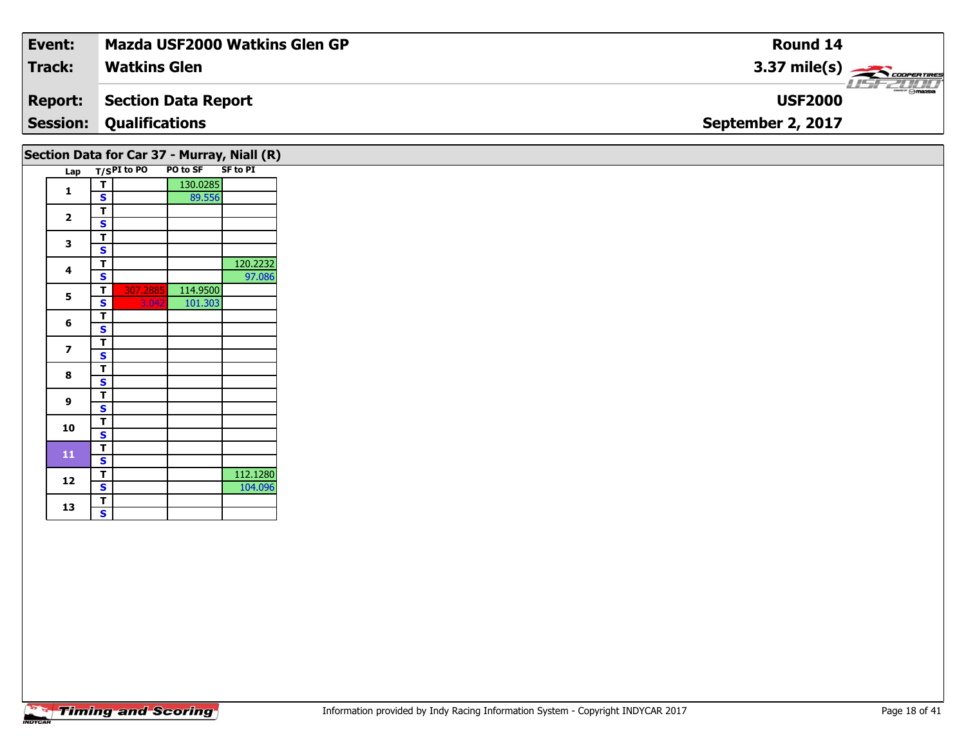| Event:                                      | Mazda USF2000 Watkins Glen GP  | <b>Round 14</b>                    |  |  |  |  |  |  |  |  |
|---------------------------------------------|--------------------------------|------------------------------------|--|--|--|--|--|--|--|--|
| <b>Track:</b>                               | <b>Watkins Glen</b>            | $3.37 \text{ mile(s)}$             |  |  |  |  |  |  |  |  |
| <b>Report:</b>                              | Section Data Report            | <b>LISF 2000</b><br><b>USF2000</b> |  |  |  |  |  |  |  |  |
|                                             | <b>Session: Qualifications</b> | September 2, 2017                  |  |  |  |  |  |  |  |  |
| Section Data for Car 37 - Murray, Niall (R) |                                |                                    |  |  |  |  |  |  |  |  |

|  |     |   |                | . .<br>. <i>, ,</i> | .               |
|--|-----|---|----------------|---------------------|-----------------|
|  | Lap |   | $T/S$ PI to PO | PO to SF            | <b>SF to PI</b> |
|  | 1   | т |                | 130.0285            |                 |
|  |     | S |                | 89.556              |                 |
|  |     | т |                |                     |                 |
|  | 2   | S |                |                     |                 |
|  | 3   | т |                |                     |                 |
|  |     | S |                |                     |                 |
|  | 4   | т |                |                     | 120.2232        |
|  |     | S |                |                     | 97.086          |
|  |     | т | 307.2885       | 114.9500            |                 |
|  | 5   | S | 3.042          | 101.303             |                 |
|  |     | т |                |                     |                 |
|  | 6   | S |                |                     |                 |
|  |     | т |                |                     |                 |
|  | 7   | S |                |                     |                 |
|  |     | т |                |                     |                 |
|  | 8   | S |                |                     |                 |
|  |     | т |                |                     |                 |
|  | 9   | S |                |                     |                 |
|  |     | т |                |                     |                 |
|  | 10  | S |                |                     |                 |
|  |     | т |                |                     |                 |
|  | 11  | S |                |                     |                 |
|  |     | т |                |                     | 112.1280        |
|  | 12  | S |                |                     | 104.096         |
|  |     | т |                |                     |                 |
|  | 13  | S |                |                     |                 |
|  |     |   |                |                     |                 |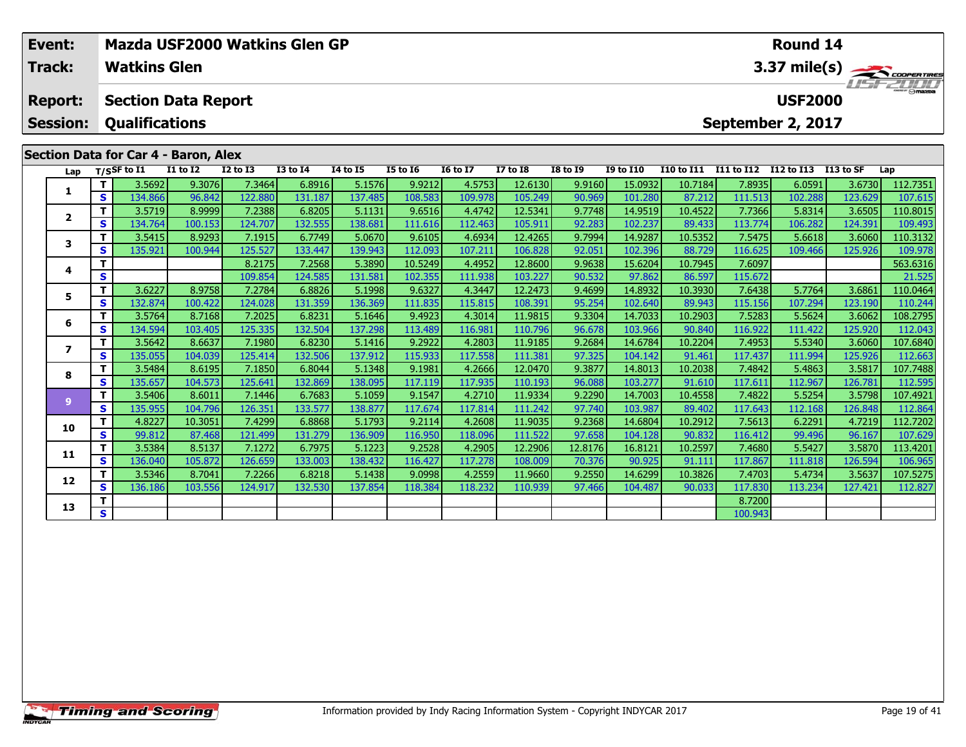| Event:          |    |                                      |                 | Mazda USF2000 Watkins Glen GP |                 |                 |                 |                 |                 |                 |                  |                   |            | <b>Round 14</b>   |            |                |
|-----------------|----|--------------------------------------|-----------------|-------------------------------|-----------------|-----------------|-----------------|-----------------|-----------------|-----------------|------------------|-------------------|------------|-------------------|------------|----------------|
| Track:          |    | <b>Watkins Glen</b>                  |                 |                               |                 |                 |                 |                 |                 |                 |                  |                   |            |                   |            | 3.37 mile(s)   |
| <b>Report:</b>  |    | <b>Section Data Report</b>           |                 |                               |                 |                 |                 |                 |                 |                 |                  |                   |            | <b>USF2000</b>    |            | <b>HSFZUID</b> |
| <b>Session:</b> |    | <b>Qualifications</b>                |                 |                               |                 |                 |                 |                 |                 |                 |                  |                   |            | September 2, 2017 |            |                |
|                 |    |                                      |                 |                               |                 |                 |                 |                 |                 |                 |                  |                   |            |                   |            |                |
|                 |    | Section Data for Car 4 - Baron, Alex |                 |                               |                 |                 |                 |                 |                 |                 |                  |                   |            |                   |            |                |
|                 |    | Lap $T/S$ SF to $\overline{11}$      | <b>I1 to I2</b> | <b>I2 to I3</b>               | <b>I3 to I4</b> | <b>I4 to I5</b> | <b>I5 to 16</b> | <b>16 to 17</b> | <b>I7 to I8</b> | <b>I8 to I9</b> | <b>I9 to I10</b> | <b>I10 to I11</b> | I11 to I12 | I12 to I13        | I 13 to SF | Lap            |
|                 |    | 3.5692                               | 9.3076          | 7.3464                        | 6.8916          | 5.1576          | 9.9212          | 4.5753          | 12.6130         | 9.9160          | 15.0932          | 10.7184           | 7.8935     | 6.0591            | 3.6730     | 112.7351       |
| л.              | S. | 134.866                              | 96.842          | 122.880                       | 131.187         | 137.485         | 108.583         | 109.978         | 105.249         | 90.969          | 101.280          | 87.212            | 111.513    | 102.288           | 123.629    | 107.615        |
| $\overline{2}$  |    | 3.5719                               | 8.9999          | 7.2388                        | 6.8205          | 5.1131          | 9.6516          | 4.4742          | 12.5341         | 9.7748          | 14.9519          | 10.4522           | 7.7366     | 5.8314            | 3.6505     | 110.8015       |
|                 | S. | 134.764                              | 100.153         | 124.707                       | 132.555         | 138.681         | 111.616         | 112.463         | 105.911         | 92.283          | 102.237          | 89.433            | 113.774    | 106.282           | 124.391    | 109.493        |
|                 |    | 35415                                | $89293$         | <b>719151</b>                 | 677491          | 5.0670 L        | 96105           | 46934           | 124265          | 97994           | 14 9287 <b>1</b> | 105352            | 75475      | 566181            | 100035     | 110 3132       |

|    | T. | 3.5719  | 8.99991 | 7.23881 | 6.8205  | 5.1131  | 9.65161 | 4.47421 | 12.5341 | 9.7748  | 14.9519 | 10.4522          | 7.73661 | 5.83141 | 3.65051 | 110.8015 |
|----|----|---------|---------|---------|---------|---------|---------|---------|---------|---------|---------|------------------|---------|---------|---------|----------|
|    | S  | 134.764 | 100.153 | 124.707 | 132.555 | 138.681 | 111.616 | 112.463 | 105.911 | 92.283  | 102.237 | 89.433           | 113.774 | 106.282 | 124.391 | 109.493  |
| 3  |    | 3.5415  | 8.9293  | 7.1915  | 6.7749  | 5.0670  | 9.6105  | 4.6934  | 12.4265 | 9.7994  | 14.9287 | 10.5352          | 7.5475  | 5.6618  | 3.6060  | 110.3132 |
|    | S  | 135.921 | 100.944 | 125.527 | 133.447 | 139.943 | 112.093 | 107.211 | 106.828 | 92.051  | 102.396 | 88.729           | 116.625 | 109.466 | 125.926 | 109.978  |
| 4  |    |         |         | 8.2175  | 7.2568  | 5.3890  | 10.5249 | 4.4952  | 12.8600 | 9.9638  | 15.6204 | 10.7945          | 7.6097  |         |         | 563.6316 |
|    | S  |         |         | 109.854 | 124.585 | 131.581 | 102.355 | 111.938 | 103.227 | 90.532  | 97.862  | 86.597           | 115.672 |         |         | 21.525   |
| 5  |    | 3.6227  | 8.9758  | 7.2784  | 6.8826  | 5.1998  | 9.6327  | 4.3447  | 12.2473 | 9.4699  | 14.8932 | 10.3930 <b> </b> | 7.6438  | 5.7764  | 3.6861  | 110.0464 |
|    | S  | 132.874 | 100.422 | 124.028 | 131.359 | 136.369 | 111.835 | 115.815 | 108.391 | 95.254  | 102.640 | 89.943           | 115.156 | 107.294 | 123.190 | 110.244  |
| 6  |    | 3.5764  | 8.7168  | 7.2025  | 6.8231  | 5.1646  | 9.4923  | 4.3014  | 11.9815 | 9.3304  | 14.7033 | 10.2903          | 7.5283  | 5.5624  | 3.6062  | 108.2795 |
|    | S  | 134.594 | 103.405 | 125.335 | 132.504 | 137.298 | 113.489 | 116.981 | 110.796 | 96.678  | 103.966 | 90.840           | 116.922 | 111.422 | 125.920 | 112.043  |
| 7  |    | 3.5642  | 8.6637  | 7.1980  | 6.8230  | 5.1416  | 9.2922  | 4.2803  | 11.9185 | 9.2684  | 14.6784 | 10.2204          | 7.4953  | 5.5340  | 3.6060  | 107.6840 |
|    | S  | 135.055 | 104.039 | 125.414 | 132.506 | 137.912 | 115.933 | 117.558 | 111.381 | 97.325  | 104.142 | 91.461           | 117.437 | 111.994 | 125.926 | 112.663  |
| 8  |    | 3.5484  | 8.6195  | 7.1850  | 6.8044  | 5.1348  | 9.1981  | 4.2666  | 12.0470 | 9.3877  | 14.8013 | 10.2038          | 7.4842  | 5.4863  | 3.5817  | 107.7488 |
|    | S. | 135.657 | 104.573 | 125.641 | 132.869 | 138.095 | 117.119 | 117.935 | 110.193 | 96.088  | 103.277 | 91.610           | 117.611 | 112.967 | 126.781 | 112.595  |
| q  |    | 3.5406  | 8.6011  | 7.1446  | 6.7683  | 5.1059  | 9.1547  | 4.2710  | 11.9334 | 9.2290  | 14.7003 | 10.4558          | 7.4822  | 5.5254  | 3.5798  | 107.4921 |
|    | S  | 135.955 | 104.796 | 126.351 | 133.577 | 138.877 | 117.674 | 117.814 | 111.242 | 97.740  | 103.987 | 89.402           | 117.643 | 112.168 | 126.848 | 112.864  |
| 10 |    | 4.8227  | 10.3051 | 7.4299  | 6.8868  | 5.1793  | 9.2114  | 4.2608  | 11.9035 | 9.2368  | 14.6804 | 10.2912          | 7.5613  | 6.2291  | 4.7219  | 112.7202 |
|    | S. | 99.812  | 87.468  | 121.499 | 131.279 | 136.909 | 116.950 | 118.096 | 111.522 | 97.658  | 104.128 | 90.832           | 116.412 | 99.496  | 96.167  | 107.629  |
| 11 |    | 3.5384  | 8.5137  | 7.1272  | 6.7975  | 5.1223  | 9.2528  | 4.2905  | 12.2906 | 12.8176 | 16.8121 | 10.2597          | 7.4680  | 5.5427  | 3.5870  | 113.4201 |
|    | S  | 136.040 | 105.872 | 126.659 | 133.003 | 138.432 | 116.427 | 117.278 | 108.009 | 70.376  | 90.925  | 91.111           | 117.867 | 111.818 | 126.594 | 106.965  |
| 12 |    | 3.5346  | 8.7041  | 7.2266  | 6.8218  | 5.1438  | 9.0998  | 4.2559  | 11.9660 | 9.2550  | 14.6299 | 10.3826          | 7.4703  | 5.4734  | 3.5637  | 107.5275 |
|    | S. | 136.186 | 103.556 | 124.917 | 132.530 | 137.854 | 118.384 | 118.232 | 110.939 | 97.466  | 104.487 | 90.033           | 117.830 | 113.234 | 127.421 | 112.827  |
| 13 |    |         |         |         |         |         |         |         |         |         |         |                  | 8.7200  |         |         |          |
|    | S  |         |         |         |         |         |         |         |         |         |         |                  | 100.943 |         |         |          |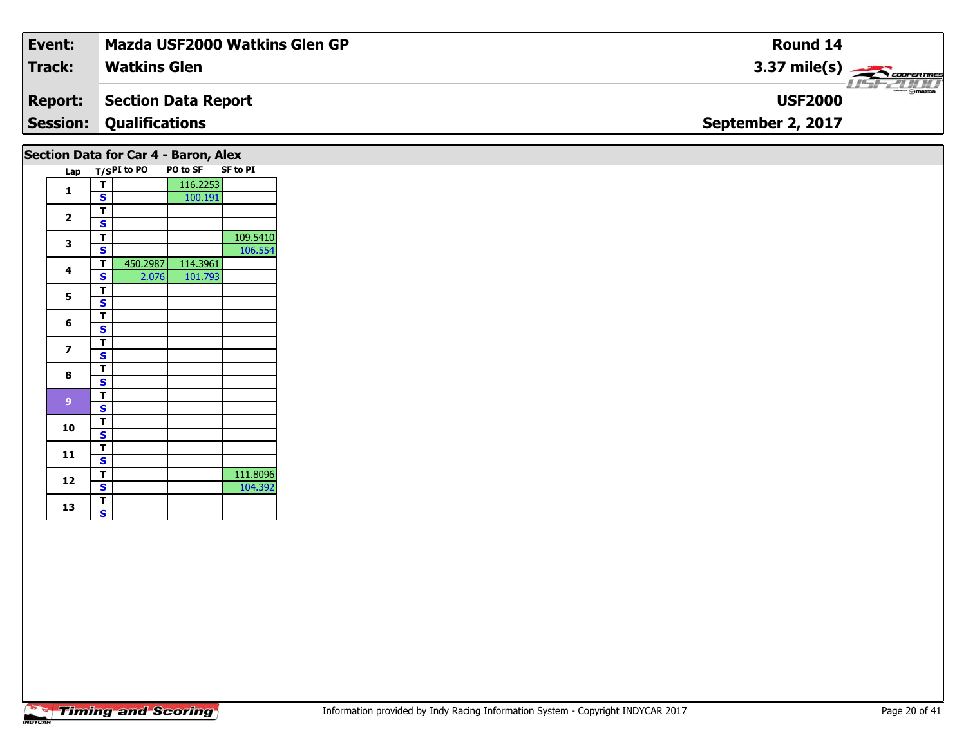| Event:                               | Mazda USF2000 Watkins Glen GP  | <b>Round 14</b>                    |  |  |  |  |  |  |  |
|--------------------------------------|--------------------------------|------------------------------------|--|--|--|--|--|--|--|
| <b>Track:</b>                        | <b>Watkins Glen</b>            | $3.37 \text{ mile(s)}$             |  |  |  |  |  |  |  |
| <b>Report:</b>                       | Section Data Report            | <b>LISF 2000</b><br><b>USF2000</b> |  |  |  |  |  |  |  |
|                                      | <b>Session: Qualifications</b> | September 2, 2017                  |  |  |  |  |  |  |  |
| Section Data for Car 4 - Baron, Alex |                                |                                    |  |  |  |  |  |  |  |

| Lap |                         | $T/SPI$ to PO | ---<br><b>PO to SF</b> | <b>SF to PI</b> |
|-----|-------------------------|---------------|------------------------|-----------------|
|     | т                       |               | 116.2253               |                 |
| 1   | S                       |               | 100.191                |                 |
|     | т                       |               |                        |                 |
| 2   | S                       |               |                        |                 |
| 3   | T                       |               |                        | 109.5410        |
|     | S                       |               |                        | 106.554         |
| 4   | T                       | 450.2987      | 114.3961               |                 |
|     | S                       | 2.076         | 101.793                |                 |
| 5   | T                       |               |                        |                 |
|     | S                       |               |                        |                 |
| 6   | т                       |               |                        |                 |
|     | S                       |               |                        |                 |
| 7   | т                       |               |                        |                 |
|     | S                       |               |                        |                 |
| 8   | т                       |               |                        |                 |
|     | S                       |               |                        |                 |
| 9   | т                       |               |                        |                 |
|     | S                       |               |                        |                 |
| 10  | т                       |               |                        |                 |
|     | S                       |               |                        |                 |
| 11  | т                       |               |                        |                 |
|     | S                       |               |                        |                 |
| 12  | т                       |               |                        | 111.8096        |
|     | S                       |               |                        | 104.392         |
| 13  | Т                       |               |                        |                 |
|     | $\overline{\mathbf{s}}$ |               |                        |                 |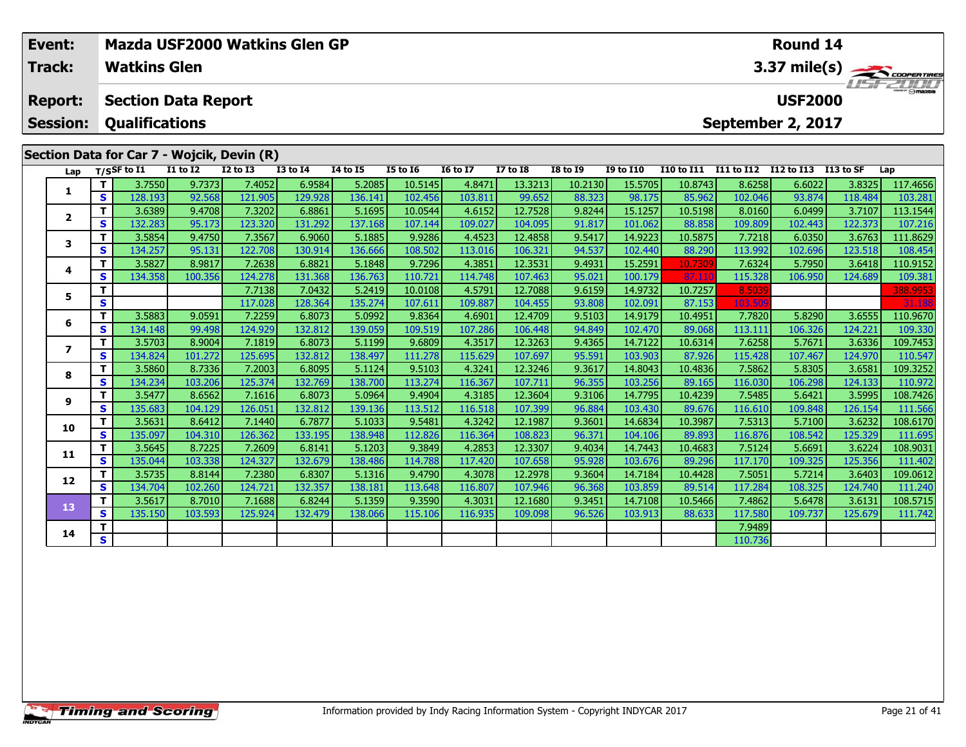| Event:<br><b>Track:</b> |    | <b>Watkins Glen</b>         |                            |                                            | Mazda USF2000 Watkins Glen GP |          |                 |                 |                 |                 |                  |                   |                   | Round 14       |           | $\begin{array}{c}\n 3.37 \text{ mile(s)} \\ \hline\n \text{H5F-2DDD} \\ \end{array}$ |
|-------------------------|----|-----------------------------|----------------------------|--------------------------------------------|-------------------------------|----------|-----------------|-----------------|-----------------|-----------------|------------------|-------------------|-------------------|----------------|-----------|--------------------------------------------------------------------------------------|
| <b>Report:</b>          |    |                             | <b>Section Data Report</b> |                                            |                               |          |                 |                 |                 |                 |                  |                   |                   | <b>USF2000</b> |           |                                                                                      |
| <b>Session:</b>         |    | <b>Qualifications</b>       |                            |                                            |                               |          |                 |                 |                 |                 |                  |                   | September 2, 2017 |                |           |                                                                                      |
|                         |    |                             |                            | Section Data for Car 7 - Wojcik, Devin (R) |                               |          |                 |                 |                 |                 |                  |                   |                   |                |           |                                                                                      |
| Lap                     |    | $T/S$ SF to $\overline{11}$ | <b>I1 to I2</b>            | <b>I2 to I3</b>                            | <b>I3 to I4</b>               | 14 to 15 | <b>I5 to 16</b> | <b>16 to 17</b> | <b>I7 to I8</b> | <b>I8 to 19</b> | <b>I9 to I10</b> | <b>I10 to I11</b> | I11 to I12        | I12 to I13     | I13 to SF | Lap                                                                                  |
|                         | т. | 3.7550                      | 9.7373                     | 7.4052                                     | 6.9584                        | 5.2085   | 10.5145         | 4.8471          | 13.3213         | 10.2130         | 15.5705          | 10.8743           | 8.6258            | 6.6022         | 3.8325    | 117.4656                                                                             |
|                         | S  | 128.193                     | 92.568                     | 121.905                                    | 129.928                       | 136.141  | 102.456         | 103.811         | 99.652          | 88.323          | 98.175           | 85.962            | 102.046           | 93.874         | 118.484   | 103.281                                                                              |
| $\mathbf{2}$            |    | 3.6389                      | 9.4708                     | 7.3202                                     | 6.8861                        | 5.1695   | 10.0544         | 4.6152          | 12.7528         | 9.8244          | 15.1257          | 10.5198           | 8.0160            | 6.0499         | 3.7107    | 113.1544                                                                             |
|                         | S. | 132.283                     | 95.173                     | 123.320                                    | 131.292                       | 137.168  | 107.144         | 109.027         | 104.095         | 91.817          | 101.062          | 88.858            | 109.809           | 102.443        | 122.373   | 107.216                                                                              |
| 3                       | т  | 3.5854                      | 9.4750                     | 7.3567                                     | 6.9060                        | 5.1885   | 9.9286          | 4.4523          | 12.4858         | 9.5417          | 14.9223          | 10.5875           | 7.7218            | 6.0350         | 3.6763    | 111.8629                                                                             |
|                         | S. | 134.257                     | 95.131                     | 122.708                                    | 130.914                       | 136.666  | 108.502         | 113.016         | 106.321         | 94.537          | 102.440          | 88.290            | 113.992           | 102.696        | 123.518   | 108.454                                                                              |
| 4                       | Τ. | 3.5827                      | 8.9817                     | 7.2638                                     | 6.8821                        | 5.1848   | 9.7296          | 4.3851          | 12.3531         | 9.4931          | 15.2591          | 10.7309           | 7.6324            | 5.7950         | 3.6418    | 110.9152                                                                             |
|                         | S  | 134.358                     | 100.356                    | 124.278                                    | 131.368                       | 136.763  | 110.721         | 114.748         | 107.463         | 95.021          | 100.179          | 87.11             | 115.328           | 106.950        | 124.689   | 109.381                                                                              |
| 5                       |    |                             |                            | 7.7138                                     | 7.0432                        | 5.2419   | 10.0108         | 4.5791          | 12.7088         | 9.6159          | 14.9732          | 10.7257           | 8.5039            |                |           | 388.9953                                                                             |
|                         | S  |                             |                            | 117.028                                    | 128.364                       | 135.274  | 107.611         | 109.887         | 104.455         | 93.808          | 102.091          | 87.153            | 103.50            |                |           | 31.188                                                                               |
| 6                       | т  | 3.5883                      | 9.0591                     | 7.2259                                     | 6.8073                        | 5.0992   | 9.8364          | 4.6901          | 12.4709         | 9.5103          | 14.9179          | 10.4951           | 7.7820            | 5.8290         | 3.6555    | 110.9670                                                                             |
|                         | S. | 134.148                     | 99.498                     | 124.929                                    | 132.812                       | 139.059  | 109.519         | 107.286         | 106.448         | 94.849          | 102.470          | 89.068            | 113.111           | 106.326        | 124.221   | 109.330                                                                              |
| $\overline{ }$          | Τ. | 3.5703                      | 8.9004                     | 7.1819                                     | 6.8073                        | 5.1199   | 9.6809          | 4.3517          | 12.3263         | 9.4365          | 14.7122          | 10.6314           | 7.6258            | 5.7671         | 3.6336    | 109.7453                                                                             |
|                         | S. | 134.824                     | 101.272                    | 125.695                                    | 132.812                       | 138.497  | 111.278         | 115.629         | 107.697         | 95.591          | 103.903          | 87.926            | 115.428           | 107.467        | 124.970   | 110.547                                                                              |
|                         |    | 3.5860                      | 8.7336                     | 7.2003                                     | 6.8095                        | 5.1124   | 9.5103          | 4.3241          | 12.3246         | 9.3617          | 14.8043          | 10.4836           | 7.5862            | 5.8305         | 3.6581    | 109.3252                                                                             |
| 8                       | S  | 134.234                     | 103.206                    | 125.374                                    | 132.769                       | 138.700  | 113.274         | 116.367         | 107.711         | 96.355          | 103.256          | 89.165            | 116.030           | 106.298        | 124.133   | 110.972                                                                              |

108.7426 | 19.5426 | 11.566 | 11.566 | 11.566 | 11.586 | 12.6873 | 10.5882 | 10.5883 | 10.5882 | 10.5895 | 10.<br>S | 135.683 | 104.129 | 126.051 | 132.812 | 139.136 | 113.512 | 116.518 | 107.399 | 96.884 | 103.430 | 89.676

0 | T | 3.5631 | 8.6412| 7.1440| 6.7877| 5.1033| 9.5481| 4.3242| 12.1987| 9.3601| 14.6834| 10.3987| 7.5313| 5.7100| 3.6232| 108.6170<br>| S | 135.097| 104.310| 126.362| 133.195| 138.948| 112.826| 116.364| 108.823| 96.371| 104

**<sup>T</sup>** 3.5645 8.7225 7.2609 6.8141 5.1203 9.3849 4.2853 12.3307 9.4034 14.7443 10.4683 7.5124 5.6691 3.6224 108.9031 **<sup>S</sup>** 135.044 103.338 124.327 132.679 138.486 114.788 117.420 107.658 95.928 103.676 89.296 117.170 109.325 125.356 111.402

2 | T | 3.5735| 8.8144| 7.2380| 6.8307| 5.1316| 9.4790| 4.3078| 12.2978| 9.3604| 14.7184| 10.4428| 7.5051| 5.7214| 3.6403| 109.0612<br>| S | 134.704| 102.260| 124.721| 132.357| 1

**<sup>T</sup>** 3.5617 8.7010 7.1688 6.8244 5.1359 9.3590 4.3031 12.1680 9.3451 14.7108 10.5466 7.4862 5.6478 3.6131 108.5715 **<sup>S</sup>** 135.150 103.593 125.924 132.479 138.066 115.106 116.935 109.098 96.526 103.913 88.633 117.580 109.737 125.679 111.742

**<sup>T</sup>** 7.9489 **<sup>S</sup>** 110.736

**9**

**10**

**11**

**12**

**13**

**14**

111.566

111.240

111.742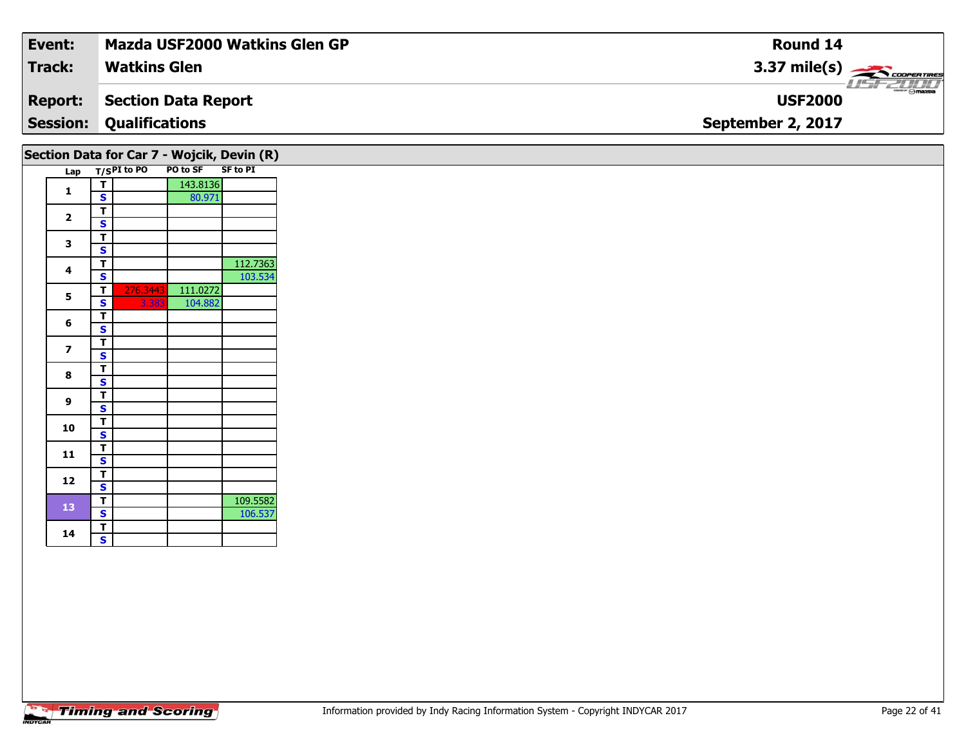| Event:                                     | Mazda USF2000 Watkins Glen GP | <b>Round 14</b>                    |  |  |  |  |  |  |  |
|--------------------------------------------|-------------------------------|------------------------------------|--|--|--|--|--|--|--|
| <b>Track:</b>                              | <b>Watkins Glen</b>           | $3.37 \text{ mile(s)}$             |  |  |  |  |  |  |  |
| <b>Report:</b>                             | <b>Section Data Report</b>    | <b>LISF 2000</b><br><b>USF2000</b> |  |  |  |  |  |  |  |
| <b>Session:</b>                            | <b>Qualifications</b>         | September 2, 2017                  |  |  |  |  |  |  |  |
| Section Data for Car 7 - Wojcik, Devin (R) |                               |                                    |  |  |  |  |  |  |  |

|  |                         |   | $\mathsf{c}$ $\mathsf{c}$ $\mathsf{c}$ $\mathsf{c}$ $\mathsf{c}$ $\mathsf{c}$ $\mathsf{c}$ $\mathsf{c}$ $\mathsf{c}$ $\mathsf{c}$ $\mathsf{c}$ $\mathsf{c}$ $\mathsf{c}$ $\mathsf{c}$ $\mathsf{c}$ $\mathsf{c}$ $\mathsf{c}$ $\mathsf{c}$ $\mathsf{c}$ $\mathsf{c}$ $\mathsf{c}$ $\mathsf{c}$ $\mathsf{c}$ $\mathsf{c}$ $\mathsf{$ |          |                 |
|--|-------------------------|---|------------------------------------------------------------------------------------------------------------------------------------------------------------------------------------------------------------------------------------------------------------------------------------------------------------------------------------|----------|-----------------|
|  | Lap                     |   | $T/SPI$ to PO                                                                                                                                                                                                                                                                                                                      | PO to SF | <b>SF to PI</b> |
|  | 1                       | Т |                                                                                                                                                                                                                                                                                                                                    | 143.8136 |                 |
|  |                         | S |                                                                                                                                                                                                                                                                                                                                    | 80.971   |                 |
|  |                         | T |                                                                                                                                                                                                                                                                                                                                    |          |                 |
|  | $\overline{\mathbf{2}}$ | S |                                                                                                                                                                                                                                                                                                                                    |          |                 |
|  |                         | T |                                                                                                                                                                                                                                                                                                                                    |          |                 |
|  | 3                       | S |                                                                                                                                                                                                                                                                                                                                    |          |                 |
|  |                         | т |                                                                                                                                                                                                                                                                                                                                    |          | 112.7363        |
|  | 4                       | S |                                                                                                                                                                                                                                                                                                                                    |          | 103.534         |
|  |                         | T | 276.3443                                                                                                                                                                                                                                                                                                                           | 111.0272 |                 |
|  | 5                       | S | 3.383                                                                                                                                                                                                                                                                                                                              | 104.882  |                 |
|  |                         | T |                                                                                                                                                                                                                                                                                                                                    |          |                 |
|  | 6                       | S |                                                                                                                                                                                                                                                                                                                                    |          |                 |
|  | 7                       | т |                                                                                                                                                                                                                                                                                                                                    |          |                 |
|  |                         | S |                                                                                                                                                                                                                                                                                                                                    |          |                 |
|  |                         | T |                                                                                                                                                                                                                                                                                                                                    |          |                 |
|  | 8                       | S |                                                                                                                                                                                                                                                                                                                                    |          |                 |
|  |                         | т |                                                                                                                                                                                                                                                                                                                                    |          |                 |
|  | 9                       | S |                                                                                                                                                                                                                                                                                                                                    |          |                 |
|  |                         | т |                                                                                                                                                                                                                                                                                                                                    |          |                 |
|  | 10                      | S |                                                                                                                                                                                                                                                                                                                                    |          |                 |
|  |                         | т |                                                                                                                                                                                                                                                                                                                                    |          |                 |
|  | 11                      | S |                                                                                                                                                                                                                                                                                                                                    |          |                 |
|  |                         | T |                                                                                                                                                                                                                                                                                                                                    |          |                 |
|  | 12                      | S |                                                                                                                                                                                                                                                                                                                                    |          |                 |
|  |                         | T |                                                                                                                                                                                                                                                                                                                                    |          | 109.5582        |
|  | 13                      | S |                                                                                                                                                                                                                                                                                                                                    |          | 106.537         |
|  |                         | T |                                                                                                                                                                                                                                                                                                                                    |          |                 |
|  | 14                      | S |                                                                                                                                                                                                                                                                                                                                    |          |                 |
|  |                         |   |                                                                                                                                                                                                                                                                                                                                    |          |                 |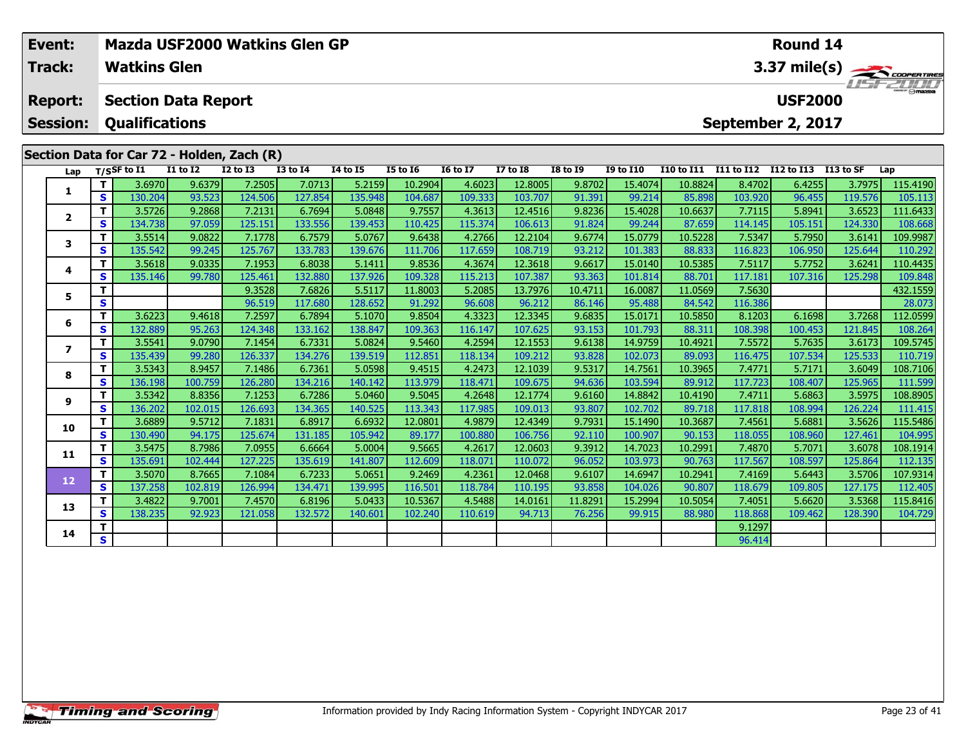| Mazda USF2000 Watkins Glen GP<br>Event:<br>$3.37 \text{ mile(s)}$<br><b>Watkins Glen</b><br><b>Track:</b> |                          |    |                            |                 |                 |                 |                 |                 |                 | Round 14        |                 |                  |                   |                       |                   |           |          |
|-----------------------------------------------------------------------------------------------------------|--------------------------|----|----------------------------|-----------------|-----------------|-----------------|-----------------|-----------------|-----------------|-----------------|-----------------|------------------|-------------------|-----------------------|-------------------|-----------|----------|
|                                                                                                           | <b>Report:</b>           |    | <b>Section Data Report</b> |                 |                 |                 |                 |                 |                 |                 |                 |                  |                   |                       | <b>USF2000</b>    |           |          |
|                                                                                                           | <b>Session:</b>          |    | <b>Qualifications</b>      |                 |                 |                 |                 |                 |                 |                 |                 |                  |                   |                       | September 2, 2017 |           |          |
| Section Data for Car 72 - Holden, Zach (R)                                                                |                          |    |                            |                 |                 |                 |                 |                 |                 |                 |                 |                  |                   |                       |                   |           |          |
|                                                                                                           | Lap                      |    | $T/S$ SF to I1             | <b>I1 to I2</b> | <b>I2 to I3</b> | <b>I3 to I4</b> | <b>14 to 15</b> | <b>I5 to 16</b> | <b>16 to 17</b> | <b>I7 to I8</b> | <b>I8 to 19</b> | <b>I9 to I10</b> | <b>I10 to I11</b> | I11 to I12 I12 to I13 |                   | I13 to SF | Lap      |
|                                                                                                           | 1                        | т  | 3.6970                     | 9.6379          | 7.2505          | 7.0713          | 5.2159          | 10.2904         | 4.6023          | 12.8005         | 9.8702          | 15.4074          | 10.8824           | 8.4702                | 6.4255            | 3.7975    | 115.4190 |
|                                                                                                           |                          | S. | 130.204                    | 93.523          | 124.506         | 127.854         | 135.948         | 104.687         | 109.333         | 103.707         | 91.391          | 99.214           | 85.898            | 103.920               | 96.455            | 119.576   | 105.113  |
|                                                                                                           | $\overline{\mathbf{2}}$  | т  | 3.5726                     | 9.2868          | 7.2131          | 6.7694          | 5.0848          | 9.7557          | 4.3613          | 12.4516         | 9.8236          | 15.4028          | 10.6637           | 7.7115                | 5.8941            | 3.6523    | 111.6433 |
|                                                                                                           |                          | S  | 134.738                    | 97.059          | 125.151         | 133.556         | 139.453         | 110.425         | 115.374         | 106.613         | 91.824          | 99.244           | 87.659            | 114.145               | 105.151           | 124.330   | 108.668  |
|                                                                                                           | 3                        | т  | 3.5514                     | 9.0822          | 7.1778          | 6.7579          | 5.0767          | 9.6438          | 4.2766          | 12.2104         | 9.6774          | 15.0779          | 10.5228           | 7.5347                | 5.7950            | 3.6141    | 109.9987 |
|                                                                                                           |                          | S. | 135.542                    | 99.245          | 125.767         | 133.783         | 139.676         | 111.706         | 117.659         | 108.719         | 93.212          | 101.383          | 88.833            | 116.823               | 106.950           | 125.644   | 110.292  |
|                                                                                                           | 4                        |    | 3.5618                     | 9.0335          | 7.1953          | 6.8038          | 5.1411          | 9.8536          | 4.3674          | 12.3618         | 9.6617          | 15.0140          | 10.5385           | 7.5117                | 5.7752            | 3.6241    | 110.4435 |
|                                                                                                           |                          | S. | 135.146                    | 99.780          | 125.461         | 132.880         | 137.926         | 109.328         | 115.213         | 107.387         | 93.363          | 101.814          | 88.701            | 117.181               | 107.316           | 125.298   | 109.848  |
|                                                                                                           | 5                        | т  |                            |                 | 9.3528          | 7.6826          | 5.5117          | 11.8003         | 5.2085          | 13.7976         | 10.4711         | 16.0087          | 11.0569           | 7.5630                |                   |           | 432.1559 |
|                                                                                                           |                          | S. |                            |                 | 96.519          | 117.680         | 128.652         | 91.292          | 96.608          | 96.212          | 86.146          | 95.488           | 84.542            | 116.386               |                   |           | 28.073   |
|                                                                                                           | 6                        | т  | 3.6223                     | 9.4618          | 7.2597          | 6.7894          | 5.1070          | 9.8504          | 4.3323          | 12.3345         | 9.6835          | 15.0171          | 10.5850           | 8.1203                | 6.1698            | 3.7268    | 112.0599 |
|                                                                                                           |                          | S  | 132.889                    | 95.263          | 124.348         | 133.162         | 138.847         | 109.363         | 116.147         | 107.625         | 93.153          | 101.793          | 88.311            | 108.398               | 100.453           | 121.845   | 108.264  |
|                                                                                                           | $\overline{\phantom{a}}$ | т  | 3.5541                     | 9.0790          | 7.1454          | 6.7331          | 5.0824          | 9.5460          | 4.2594          | 12.1553         | 9.6138          | 14.9759          | 10.4921           | 7.5572                | 5.7635            | 3.6173    | 109.5745 |
|                                                                                                           |                          | S. | 135.439                    | 99.280          | 126.337         | 134.276         | 139.519         | 112.851         | 118.134         | 109.212         | 93.828          | 102.073          | 89.093            | 116.475               | 107.534           | 125.533   | 110.719  |
|                                                                                                           | 8                        | т  | 3.5343                     | 8.9457          | 7.1486          | 6.7361          | 5.0598          | 9.4515          | 4.2473          | 12.1039         | 9.5317          | 14.7561          | 10.3965           | 7.4771                | 5.7171            | 3.6049    | 108.7106 |
|                                                                                                           |                          | S. | 136.198                    | 100.759         | 126.280         | 134.216         | 140.142         | 113.979         | 118.471         | 109.675         | 94.636          | 103.594          | 89.912            | 117.723               | 108.407           | 125.965   | 111.599  |
|                                                                                                           | 9                        |    | 3.5342                     | 8.8356          | 7.1253          | 6.7286          | 5.0460          | 9.5045          | 4.2648          | 12.1774         | 9.6160          | 14.8842          | 10.4190           | 7.4711                | 5.6863            | 3.5975    | 108.8905 |
|                                                                                                           |                          | S  | 136.202                    | 102.015         | 126.693         | 134.365         | 140.525         | 113.343         | 117.985         | 109.013         | 93.807          | 102.702          | 89.718            | 117.818               | 108.994           | 126.224   | 111.415  |

0 | T | 3.6889| 9.5712| 7.1831| 6.8917| 6.6932| 12.0801| 4.9879| 12.4349| 9.7931| 15.1490| 10.3687| 7.4561| 5.6881| 3.5626| 115.5486<br>| S | 130.490| 94.175| 125.674| 131.185| 105.942| 89.177| 100.880| 106.756| 92.110| 100.9

**<sup>T</sup>** 3.5475 8.7986 7.0955 6.6664 5.0004 9.5665 4.2617 12.0603 9.3912 14.7023 10.2991 7.4870 5.7071 3.6078 108.1914 **<sup>S</sup>** 135.691 102.444 127.225 135.619 141.807 112.609 118.071 110.072 96.052 103.973 90.763 117.567 108.597 125.864 112.135

2 T 3.5070 8.7665 7.1084 6.7233 5.0651 9.2469 4.2361 12.0468 9.6107 14.6947 10.2941 7.4169 5.6443 3.5706 107.9314<br>2 S 137.258 102.819 126.994 134.471 139.995 116.501 118.784 110.195 93.858 104.026 90.807 118.679 109.805 12

3 T 3.4822 9.7001 7.4570 6.8196 5.0433 10.5367 4.5488 14.0161 11.8291 15.2994 10.5054 7.4051 5.6620 3.5368 115.8416<br>S 138.235 92.923 121.058 132.572 140.601 102.240 110.619 94.713 76.256 99.915 88.980 118.868 109.462 128.3

**<sup>T</sup>** 9.1297 **<sup>S</sup>** 96.414

**10**

**11**

**12**

**13**

**14**

104.729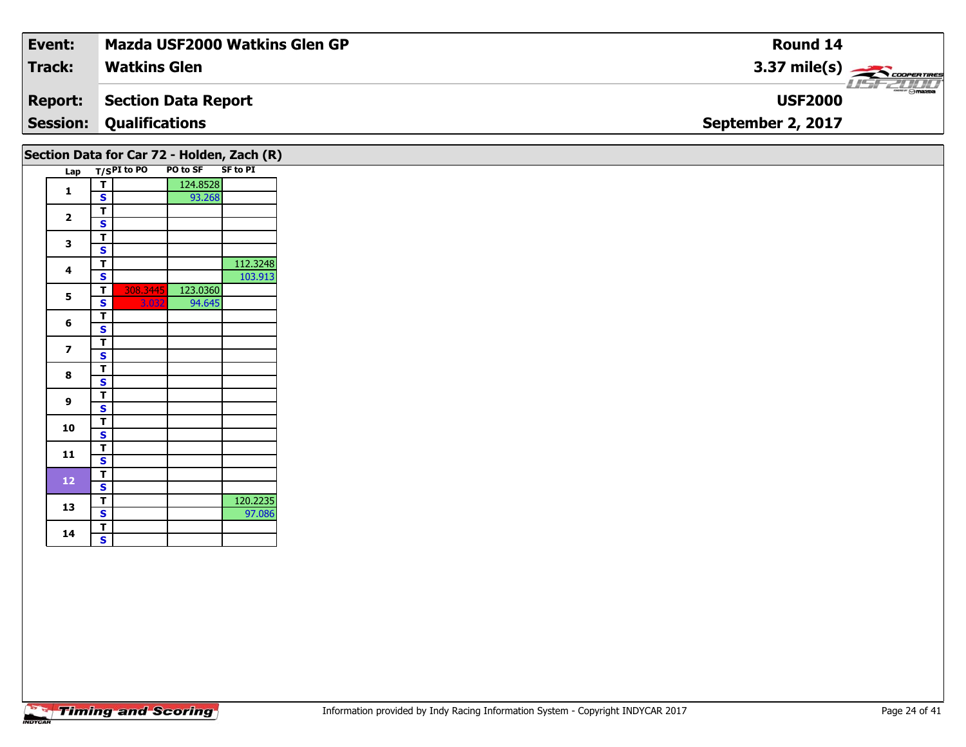| Event:                                     | Mazda USF2000 Watkins Glen GP  | <b>Round 14</b>                    |  |  |  |  |  |  |  |
|--------------------------------------------|--------------------------------|------------------------------------|--|--|--|--|--|--|--|
| <b>Track:</b>                              | <b>Watkins Glen</b>            | $3.37 \text{ mile(s)}$             |  |  |  |  |  |  |  |
| <b>Report:</b>                             | Section Data Report            | <b>LISE 2000</b><br><b>USF2000</b> |  |  |  |  |  |  |  |
|                                            | <b>Session: Qualifications</b> | September 2, 2017                  |  |  |  |  |  |  |  |
| Section Data for Car 72 - Holden, Zach (R) |                                |                                    |  |  |  |  |  |  |  |

|  |                         | וטו שט                  | UUI <i>I</i> 4 |                 | 100000          |
|--|-------------------------|-------------------------|----------------|-----------------|-----------------|
|  | Lap                     |                         | $T/SPI$ to PO  | <b>PO to SF</b> | <b>SF to PI</b> |
|  | 1                       | т                       |                | 124.8528        |                 |
|  |                         | S                       |                | 93.268          |                 |
|  |                         | т                       |                |                 |                 |
|  | $\overline{\mathbf{2}}$ | S                       |                |                 |                 |
|  |                         | т                       |                |                 |                 |
|  | 3                       | S                       |                |                 |                 |
|  |                         | т                       |                |                 | 112.3248        |
|  | 4                       | S                       |                |                 | 103.913         |
|  |                         | т                       | 308.3445       | 123.0360        |                 |
|  | 5                       | S                       | 3.032          | 94.645          |                 |
|  |                         | т                       |                |                 |                 |
|  | 6                       | S                       |                |                 |                 |
|  | 7                       | т                       |                |                 |                 |
|  |                         | S                       |                |                 |                 |
|  |                         | т                       |                |                 |                 |
|  | 8                       | S                       |                |                 |                 |
|  |                         | т                       |                |                 |                 |
|  | 9                       | S                       |                |                 |                 |
|  |                         | T                       |                |                 |                 |
|  | 10                      | $\overline{\mathbf{s}}$ |                |                 |                 |
|  |                         | т                       |                |                 |                 |
|  | 11                      | S                       |                |                 |                 |
|  |                         | T                       |                |                 |                 |
|  | 12                      | S                       |                |                 |                 |
|  |                         | т                       |                |                 | 120.2235        |
|  | 13                      | S                       |                |                 | 97.086          |
|  |                         | T                       |                |                 |                 |
|  | 14                      | S                       |                |                 |                 |
|  |                         |                         |                |                 |                 |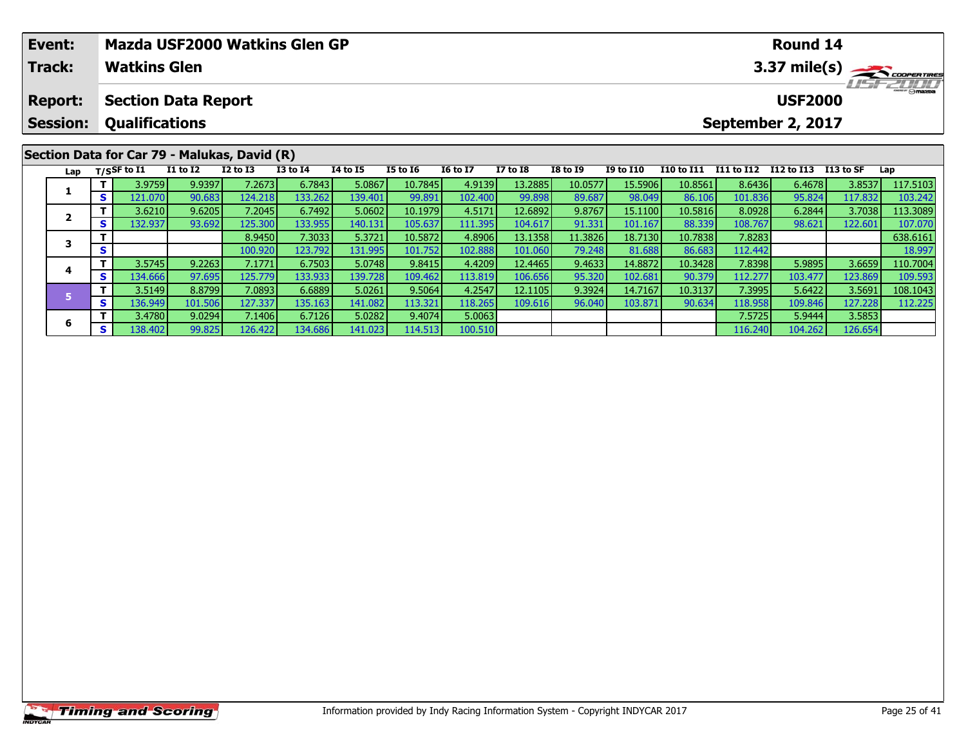|  | Event:          |     |                       |                            | Mazda USF2000 Watkins Glen GP                |                 |                 |                 |                 |                 |                 |                  |                   |            | Round 14          |           |           |
|--|-----------------|-----|-----------------------|----------------------------|----------------------------------------------|-----------------|-----------------|-----------------|-----------------|-----------------|-----------------|------------------|-------------------|------------|-------------------|-----------|-----------|
|  | <b>Track:</b>   |     | <b>Watkins Glen</b>   |                            |                                              |                 |                 |                 |                 |                 | 3.37 mile(s)    |                  |                   |            |                   |           |           |
|  | <b>Report:</b>  |     |                       | <b>Section Data Report</b> |                                              |                 |                 |                 |                 |                 |                 |                  |                   |            | <b>USF2000</b>    |           | LISFZULLI |
|  | <b>Session:</b> |     | <b>Qualifications</b> |                            |                                              |                 |                 |                 |                 |                 |                 |                  |                   |            | September 2, 2017 |           |           |
|  |                 |     |                       |                            | Section Data for Car 79 - Malukas, David (R) |                 |                 |                 |                 |                 |                 |                  |                   |            |                   |           |           |
|  |                 |     |                       | <b>I1 to I2</b>            | $I2$ to $I3$                                 | <b>I3 to I4</b> | <b>I4 to I5</b> | <b>I5 to I6</b> | <b>I6 to I7</b> | <b>I7 to I8</b> | <b>I8 to I9</b> | <b>I9 to I10</b> | <b>I10 to I11</b> | I11 to I12 | I12 to I13        | I13 to SF |           |
|  |                 |     | Lap $T/S$ SF to I1    |                            |                                              |                 |                 |                 |                 |                 |                 |                  |                   |            |                   |           | Lap       |
|  |                 |     | 3.9759                | 9.9397                     | 7.2673                                       | 6.7843          | 5.0867          | 10.7845         | 4.9139          | 13.2885         | 10.0577         | 15.5906          | 10.8561           | 8.6436     | 6.4678            | 3.8537    | 117.5103  |
|  | л.              | s l | 121.070               | 90.683                     | 124.218                                      | 133.262         | 139.401         | 99.891          | 102.400         | 99.898          | 89.687          | 98.049           | 86.106            | 101.836    | 95.824            | 117.832   | 103.242   |
|  | $\mathbf{2}$    |     | 3.6210                | 9.6205                     | 7.2045                                       | 6.7492          | 5.0602          | 10.1979         | 4.5171          | 12.6892         | 9.8767          | 15.1100          | 10.5816           | 8.0928     | 6.2844            | 3.7038    | 113.3089  |
|  |                 | s l | 132.937               | 93.692                     | 125.300                                      | 133.955         | 140.131         | 105.637         | 111.395         | 104.617         | 91.331          | 101.167          | 88.339            | 108.767    | 98.621            | 122.601   | 107.070   |

**<sup>T</sup>** 8.9450 7.3033 5.3721 10.5872 4.8906 13.1358 11.3826 18.7130 10.7838 7.8283 638.6161 **<sup>S</sup>** 100.920 123.792 131.995 101.752 102.888 101.060 79.248 81.688 86.683 112.442 18.997

4 | T | 3.5745| 9.2263| 7.1771| 6.7503| 5.0748| 9.8415| 4.4209| 12.4465| 9.4633| 14.8872| 10.3428| 7.8398| 5.9895| 3.6659| 110.7004<br>- S | 134.666| 97.695| 125.779| 133.933| 139.728| 109.462| 113.819| 106.656| 95.320| 102.6

5 11 3.5149| 8.8799| 7.0893| 6.6889| 5.0261| 9.5064| 4.2547| 12.1105| 9.3924| 14.7167| 10.3137| 7.3995| 5.6422| 3.5691| 108.1043<br>- S 136.949| 101.506| 127.337| 135.163| 141.082| 113.321| 118.265| 109.616| 96.040| 103.871|

**<sup>T</sup>** 3.4780 9.0294 7.1406 6.7126 5.0282 9.4074 5.0063 7.5725 5.9444 3.5853 **<sup>S</sup>** 138.402 99.825 126.422 134.686 141.023 114.513 100.510 116.240 104.262 126.654

## **Timing and Scoring**

**3**

**4**

**5**

**6**

107.070

109.593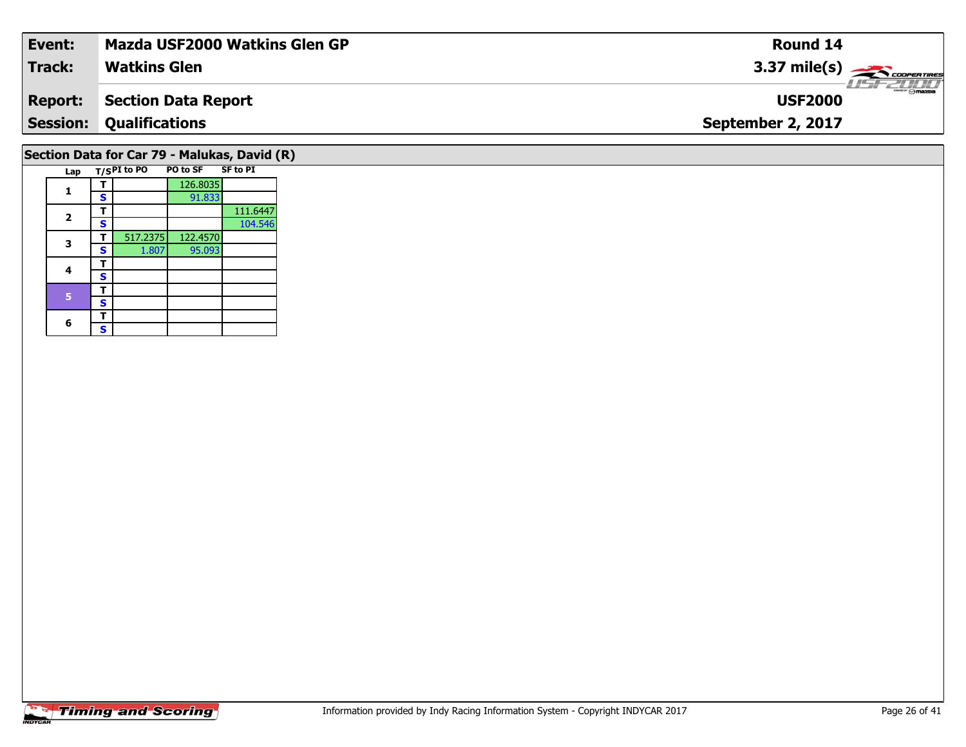| Event:                                       | <b>Mazda USF2000 Watkins Glen GP</b> | Round 14                           |  |  |  |  |  |  |  |
|----------------------------------------------|--------------------------------------|------------------------------------|--|--|--|--|--|--|--|
| Track:                                       | <b>Watkins Glen</b>                  | $3.37 \text{ mile(s)}$             |  |  |  |  |  |  |  |
| <b>Report:</b>                               | Section Data Report                  | <b>LISF 2000</b><br><b>USF2000</b> |  |  |  |  |  |  |  |
| <b>Session:</b>                              | <b>Qualifications</b>                | September 2, 2017                  |  |  |  |  |  |  |  |
| Section Data for Car 79 - Malukas, David (R) |                                      |                                    |  |  |  |  |  |  |  |

|  | Lap                     |   | T/SPI to PO | <b>PO to SF</b> | <b>SF to PI</b> |
|--|-------------------------|---|-------------|-----------------|-----------------|
|  |                         |   |             | 126.8035        |                 |
|  |                         | S |             | 91.833          |                 |
|  |                         | т |             |                 | 111.6447        |
|  | $\overline{\mathbf{2}}$ | S |             |                 | 104.546         |
|  | 3                       |   | 517.2375    | 122.4570        |                 |
|  |                         | S | 1.807       | 95.093          |                 |
|  | 4                       |   |             |                 |                 |
|  |                         | S |             |                 |                 |
|  |                         | т |             |                 |                 |
|  | 5                       | S |             |                 |                 |
|  |                         |   |             |                 |                 |
|  | 6                       | S |             |                 |                 |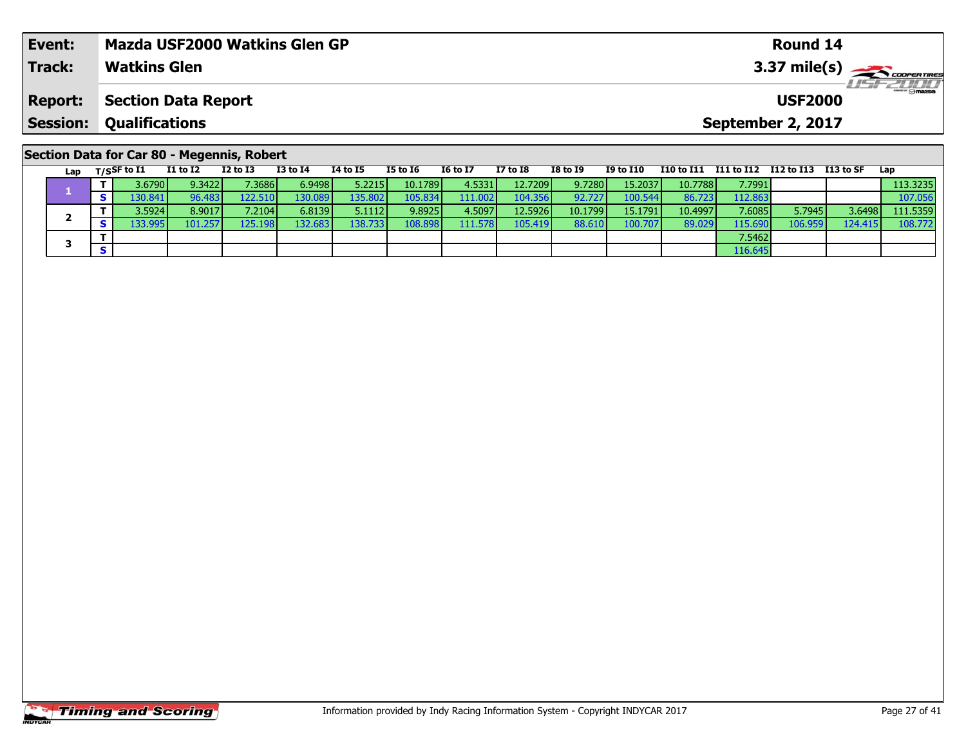| Event:                                     | <b>Mazda USF2000 Watkins Glen GP</b> |                            |          |          |          |          |                 |                 | Round 14 |                   |                        |  |                                            |  |     |  |
|--------------------------------------------|--------------------------------------|----------------------------|----------|----------|----------|----------|-----------------|-----------------|----------|-------------------|------------------------|--|--------------------------------------------|--|-----|--|
| <b>Track:</b>                              |                                      | <b>Watkins Glen</b>        |          |          |          |          |                 |                 |          |                   | $3.37 \text{ mile(s)}$ |  |                                            |  |     |  |
| <b>Report:</b>                             |                                      | <b>Section Data Report</b> |          |          |          |          |                 |                 |          |                   |                        |  | <b>USF2000</b>                             |  |     |  |
| <b>Session:</b>                            | <b>Qualifications</b>                |                            |          |          |          |          |                 |                 |          | September 2, 2017 |                        |  |                                            |  |     |  |
| Section Data for Car 80 - Megennis, Robert |                                      |                            |          |          |          |          |                 |                 |          |                   |                        |  |                                            |  |     |  |
| Lap                                        | T/SSF to I1                          | I1 to I2                   | I2 to I3 | I3 to I4 | 14 to 15 | I5 to 16 | <b>16 to I7</b> | <b>I7 to I8</b> | I8 to I9 | I9 to I10         |                        |  | I10 to I11 I11 to I12 I12 to I13 I13 to SF |  | Lap |  |

**<sup>T</sup>** 3.6790 9.3422 7.3686 6.9498 5.2215 10.1789 4.5331 12.7209 9.7280 15.2037 10.7788 7.7991 113.3235 **<sup>S</sup>** 130.841 96.483 122.510 130.089 135.802 105.834 111.002 104.356 92.727 100.544 86.723 112.863 107.056

2 | T | 3.5924| 8.9017| 7.2104| 6.8139| 5.1112| 9.8925| 4.5097| 12.5926| 10.1799| 15.1791| 10.4997| 7.6085| 5.7945| 3.6498| 111.5359<br>| S | 133.995| 101.257| 125.198| 132.683| 138.733| 108.898| 111.578| 105.419| 88.610| 100

**T** 7.5462<br>**S** 116.645

## **Timing and Scoring**

**1**

**2**

**3**

108.772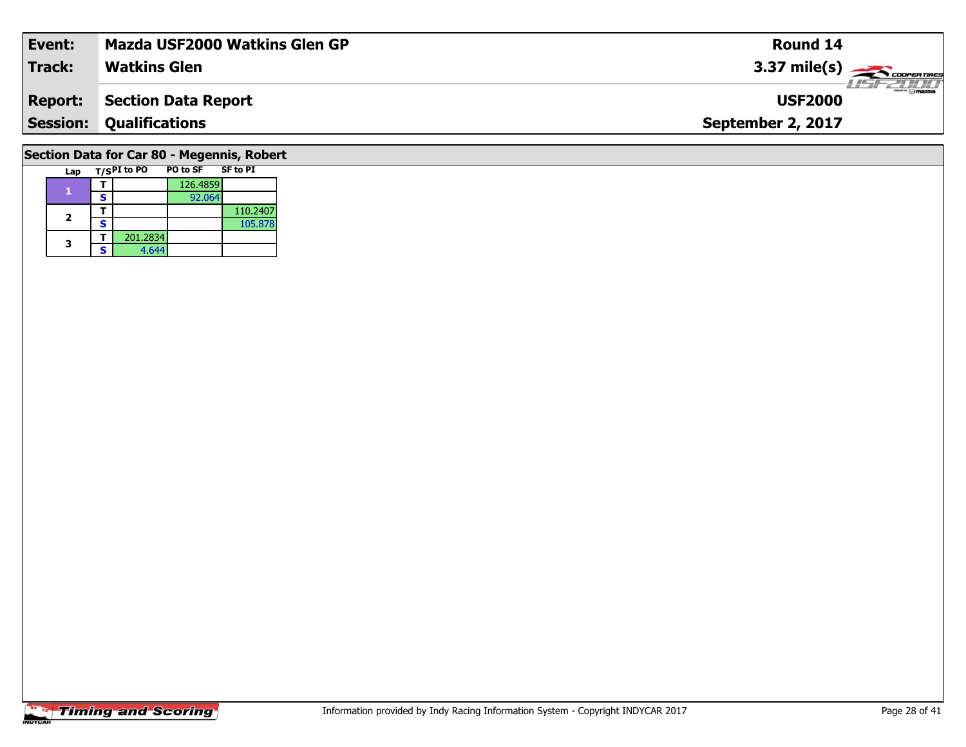| Event:                                     | Mazda USF2000 Watkins Glen GP | Round 14                         |  |  |  |  |  |  |  |  |
|--------------------------------------------|-------------------------------|----------------------------------|--|--|--|--|--|--|--|--|
| <b>Track:</b>                              | <b>Watkins Glen</b>           | $3.37 \text{ mile(s)}$           |  |  |  |  |  |  |  |  |
| <b>Report:</b>                             | <b>Section Data Report</b>    | <b>COMPANY</b><br><b>USF2000</b> |  |  |  |  |  |  |  |  |
| <b>Session:</b>                            | <b>Qualifications</b>         | September 2, 2017                |  |  |  |  |  |  |  |  |
| Section Data for Car 80 - Megennis, Robert |                               |                                  |  |  |  |  |  |  |  |  |

## **Timing and Scoring**

Lap T/S<sup>PI</sup> to PO **PO** to SF SF to PI

**<sup>T</sup>** 126.4859 **<sup>S</sup>** 92.064

**T** 201.2834<br>**S** 4.644 4.644

**2 S** 110.2407

**1**

**2**

**3**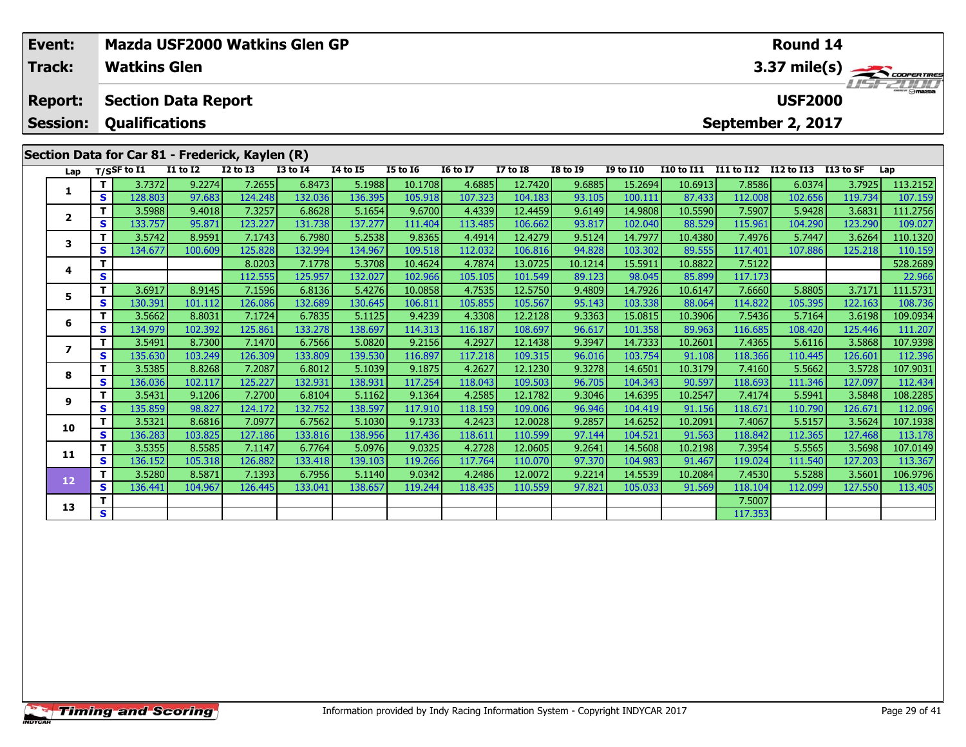| Mazda USF2000 Watkins Glen GP<br>Event:<br><b>Watkins Glen</b><br><b>Track:</b> |                          |          |                             |                 |                                                 |                 |          |                 |                 |                 | Round 14        |                  | 3.37 mile(s)      |                   |                      |         |          |
|---------------------------------------------------------------------------------|--------------------------|----------|-----------------------------|-----------------|-------------------------------------------------|-----------------|----------|-----------------|-----------------|-----------------|-----------------|------------------|-------------------|-------------------|----------------------|---------|----------|
|                                                                                 | <b>Report:</b>           |          | <b>Section Data Report</b>  |                 |                                                 |                 |          |                 |                 |                 |                 |                  |                   |                   | <b>USF2000</b>       |         |          |
|                                                                                 | <b>Session:</b>          |          | <b>Qualifications</b>       |                 |                                                 |                 |          |                 |                 |                 |                 |                  |                   | September 2, 2017 |                      |         |          |
|                                                                                 |                          |          |                             |                 | Section Data for Car 81 - Frederick, Kaylen (R) |                 |          |                 |                 |                 |                 |                  |                   |                   |                      |         |          |
|                                                                                 | Lap                      |          | $T/S$ SF to $\overline{11}$ | <b>I1 to I2</b> | <b>I2 to I3</b>                                 | <b>I3 to I4</b> | 14 to 15 | <b>I5 to 16</b> | <b>16 to 17</b> | <b>I7 to I8</b> | <b>I8 to 19</b> | <b>I9 to I10</b> | <b>I10 to I11</b> | I11 to I12        | I12 to I13 I13 to SF |         | Lap      |
|                                                                                 | 1                        |          | 3.7372                      | 9.2274          | 7.2655                                          | 6.8473          | 5.1988   | 10.1708         | 4.6885          | 12.7420         | 9.6885          | 15.2694          | 10.6913           | 7.8586            | 6.0374               | 3.7925  | 113.2152 |
|                                                                                 |                          | S.       | 128.803                     | 97.683          | 124.248                                         | 132.036         | 136.395  | 105.918         | 107.323         | 104.183         | 93.105          | 100.111          | 87.433            | 112.008           | 102.656              | 119.734 | 107.159  |
|                                                                                 | 2                        | т        | 3.5988                      | 9.4018          | 7.3257                                          | 6.8628          | 5.1654   | 9.6700          | 4.4339          | 12.4459         | 9.6149          | 14.9808          | 10.5590           | 7.5907            | 5.9428               | 3.6831  | 111.2756 |
|                                                                                 |                          | S.       | 133.757                     | 95.871          | 123.227                                         | 131.738         | 137.277  | 111.404         | 113.485         | 106.662         | 93.817          | 102.040          | 88.529            | 115.961           | 104.290              | 123.290 | 109.027  |
|                                                                                 | 3                        | T.       | 3.5742                      | 8.9591          | 7.1743                                          | 6.7980          | 5.2538   | 9.8365          | 4.4914          | 12.4279         | 9.5124          | 14.7977          | 10.4380           | 7.4976            | 5.7447               | 3.6264  | 110.1320 |
|                                                                                 |                          | S.       | 134.677                     | 100.609         | 125.828                                         | 132.994         | 134.967  | 109.518         | 112.032         | 106.816         | 94.828          | 103.302          | 89.555            | 117.401           | 107.886              | 125.218 | 110.159  |
|                                                                                 | 4                        |          |                             |                 | 8.0203                                          | 7.1778          | 5.3708   | 10.4624         | 4.7874          | 13.0725         | 10.1214         | 15.5911          | 10.8822           | 7.5122            |                      |         | 528.2689 |
|                                                                                 |                          | S        |                             |                 | 112.555                                         | 125.957         | 132.027  | 102.966         | 105.105         | 101.549         | 89.123          | 98.045           | 85.899            | 117.173           |                      |         | 22.966   |
|                                                                                 | 5                        | т        | 3.6917                      | 8.9145          | 7.1596                                          | 6.8136          | 5.4276   | 10.0858         | 4.7535          | 12.5750         | 9.4809          | 14.7926          | 10.6147           | 7.6660            | 5.8805               | 3.7171  | 111.5731 |
|                                                                                 |                          | S.       | 130.391                     | 101.112         | 126.086                                         | 132.689         | 130.645  | 106.811         | 105.855         | 105.567         | 95.143          | 103.338          | 88.064            | 114.822           | 105.395              | 122.163 | 108.736  |
|                                                                                 | 6                        | т        | 3.5662                      | 8.8031          | 7.1724                                          | 6.7835          | 5.1125   | 9.4239          | 4.3308          | 12.2128         | 9.3363          | 15.0815          | 10.3906           | 7.5436            | 5.7164               | 3.6198  | 109.0934 |
|                                                                                 |                          | S.       | 134.979                     | 102.392         | 125.861                                         | 133.278         | 138.697  | 114.313         | 116.187         | 108.697         | 96.617          | 101.358          | 89.963            | 116.685           | 108.420              | 125.446 | 111.207  |
|                                                                                 |                          | Τ.       | 3.5491                      | 8.7300          | 7.1470                                          | 6.7566          | 5.0820   | 9.2156          | 4.2927          | 12.1438         | 9.3947          | 14.7333          | 10.2601           | 7.4365            | 5.6116               | 3.5868  | 107.9398 |
|                                                                                 | $\overline{\phantom{a}}$ | <b>S</b> | 135.630                     | 103.249         | 126.309                                         | 133.809         | 139.530  | 116.897         | 117.218         | 109.315         | 96.016          | 103.754          | 91.108            | 118.366           | 110.445              | 126.601 | 112.396  |
|                                                                                 |                          |          | 3.5385                      | 8.8268          | 7.2087                                          | 6.8012          | 5.1039   | 9.1875          | 4.2627          | 12.1230         | 9.3278          | 14.6501          | 10.3179           | 7.4160            | 5.5662               | 3.5728  | 107.9031 |
|                                                                                 | 8                        | s        | 136.036                     | 102.117         | 125.227                                         | 132.931         | 138.931  | 117.254         | 118.043         | 109.503         | 96.705          | 104.343          | 90.597            | 118.693           | 111.346              | 127.097 | 112.434  |

108.2285.001 | 110.2547 | 110.2547 | 110.2547 | 110.2547 | 110.2547 | 110.2547 | 110.2547 | 110.547 | 110.547 |<br>S | 135.859 | 98.827 | 124.172 | 132.752 | 138.597 | 117.910 | 118.159 | 109.006 | 96.946 | 104.419 | 91.156

0 | T | 3.5321| 8.6816| 7.0977| 6.7562| 5.1030| 9.1733| 4.2423| 12.0028| 9.2857| 14.6252| 10.2091| 7.4067| 5.5157| 3.5624| 107.1938<br>| S | 136.283| 103.825| 127.186| 133.816| 138.956| 117.436| 118.611| 110.599| 97.144| 104.

**<sup>T</sup>** 3.5355 8.5585 7.1147 6.7764 5.0976 9.0325 4.2728 12.0605 9.2641 14.5608 10.2198 7.3954 5.5565 3.5698 107.0149 **<sup>S</sup>** 136.152 105.318 126.882 133.418 139.103 119.266 117.764 110.070 97.370 104.983 91.467 119.024 111.540 127.203 113.367

2 T 3.5280 8.5871 7.1393 6.7956 5.1140 9.0342 4.2486 12.0072 9.2214 14.5539 10.2084 7.4530 5.5288 3.5601 106.9796<br>2 S 136.441 104.967 126.445 133.041 138.657 119.244 118.435 110.559 97.821 105.033 91.569 118.104 112.099 12

**T** 7.5007 **S** 1 7.5007

**9**

**10**

**11**

**12**

**13**

112.096

113.405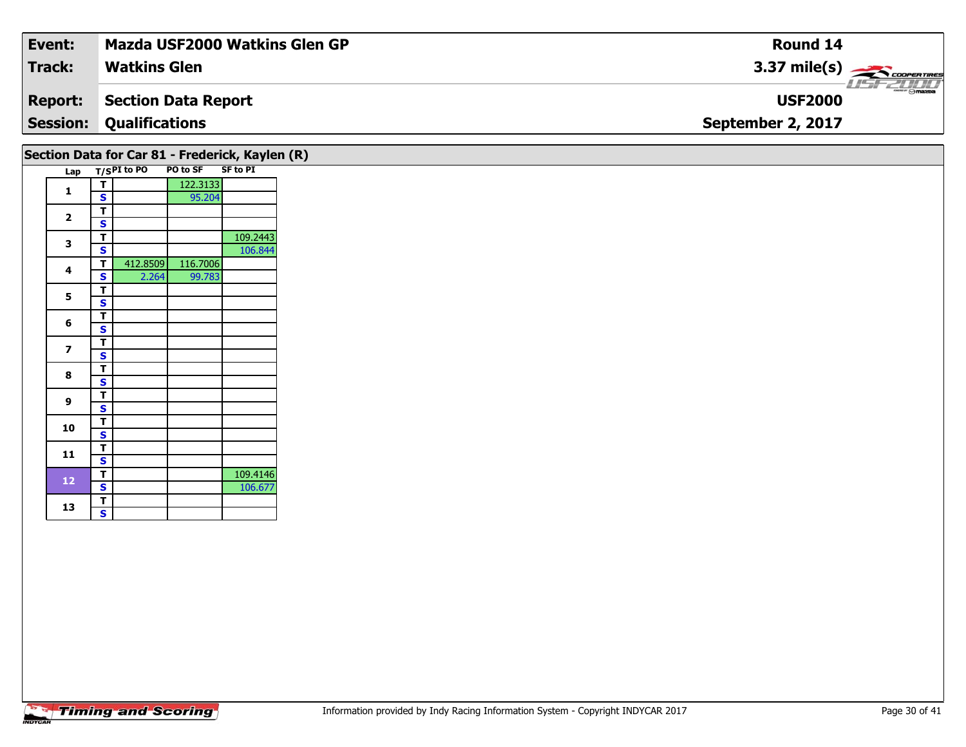| Event:          | Mazda USF2000 Watkins Glen GP | <b>Round 14</b>        |
|-----------------|-------------------------------|------------------------|
| Track:          | <b>Watkins Glen</b>           | $3.37 \text{ mile(s)}$ |
| <b>Report:</b>  | Section Data Report           | <b>USF2000</b>         |
| <b>Session:</b> | <b>Qualifications</b>         | September 2, 2017      |
|                 |                               |                        |

|                |   |             |          | Section Data for Car 81 - Frederick, Kaylen (R) |  |
|----------------|---|-------------|----------|-------------------------------------------------|--|
| Lap            |   | T/SPI to PO | PO to SF | <b>SF to PI</b>                                 |  |
| 1              | т |             | 122.3133 |                                                 |  |
|                | S |             | 95.204   |                                                 |  |
| $\overline{2}$ | т |             |          |                                                 |  |
|                | S |             |          |                                                 |  |
| 3              | т |             |          | 109.2443                                        |  |
|                | S |             |          | 106.844                                         |  |
| 4              | T | 412.8509    | 116.7006 |                                                 |  |
|                | S | 2.264       | 99.783   |                                                 |  |
| 5              | т |             |          |                                                 |  |
|                | S |             |          |                                                 |  |
| 6              | T |             |          |                                                 |  |
|                | S |             |          |                                                 |  |
| 7              | т |             |          |                                                 |  |
|                | S |             |          |                                                 |  |
| 8              | т |             |          |                                                 |  |
|                | S |             |          |                                                 |  |
| 9              | т |             |          |                                                 |  |
|                | S |             |          |                                                 |  |
| 10             | т |             |          |                                                 |  |
|                | S |             |          |                                                 |  |
| 11             | т |             |          |                                                 |  |
|                | S |             |          |                                                 |  |
| 12             | T |             |          | 109.4146                                        |  |
|                | S |             |          | 106.677                                         |  |
| 13             | т |             |          |                                                 |  |
|                | S |             |          |                                                 |  |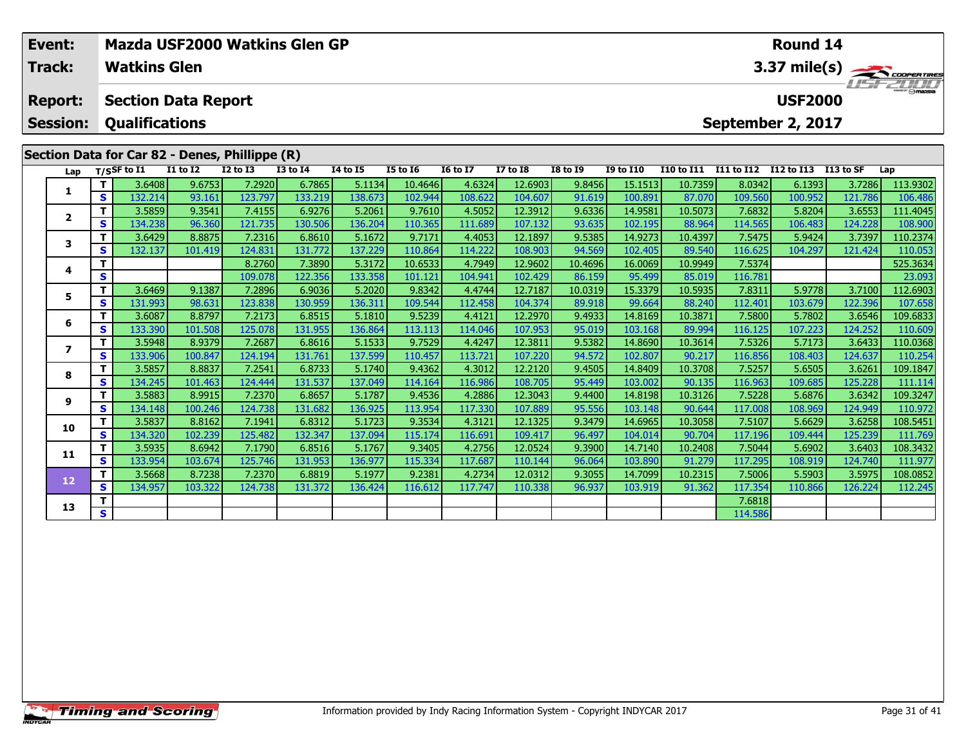| Event:<br>Track:                  | Mazda USF2000 Watkins Glen GP<br>Round 14<br><b>Watkins Glen</b><br>3.37 mile(s) |                                                     |                 |                 |                 |                 |                 |                 |                 |                 |                  |                   |                                                       |                      |         |          |  |
|-----------------------------------|----------------------------------------------------------------------------------|-----------------------------------------------------|-----------------|-----------------|-----------------|-----------------|-----------------|-----------------|-----------------|-----------------|------------------|-------------------|-------------------------------------------------------|----------------------|---------|----------|--|
| <b>Report:</b><br><b>Session:</b> |                                                                                  | <b>Section Data Report</b><br><b>Qualifications</b> |                 |                 |                 |                 |                 |                 |                 |                 |                  |                   | <b>USFZOOD</b><br><b>USF2000</b><br>September 2, 2017 |                      |         |          |  |
|                                   |                                                                                  | Section Data for Car 82 - Denes, Phillippe (R)      |                 |                 |                 |                 |                 |                 |                 |                 |                  |                   |                                                       |                      |         |          |  |
| Lap                               |                                                                                  | T/SSF to $\overline{11}$                            | <b>I1 to I2</b> | <b>I2 to I3</b> | <b>I3 to I4</b> | <b>I4 to I5</b> | <b>I5 to I6</b> | <b>16 to 17</b> | <b>I7 to I8</b> | <b>I8 to I9</b> | <b>I9 to I10</b> | <b>I10 to I11</b> | I11 to I12                                            | I12 to I13 I13 to SF |         | Lap      |  |
|                                   |                                                                                  | 3.6408                                              | 9.6753          | 7.2920          | 6.7865          | 5.1134          | 10.4646         | 4.6324          | 12.6903         | 9.8456          | 15.1513          | 10.7359           | 8.0342                                                | 6.1393               | 3.7286  | 113.9302 |  |
|                                   | s l                                                                              | 132.214                                             | 93.161          | 123.797         | 133.219         | 138.673         | 102.944         | 108.622         | 104.607         | 91.619          | 100.891          | 87.070            | 109.560                                               | 100.952              | 121.786 | 106.486  |  |
|                                   |                                                                                  | 3.5859                                              | 9.3541          | 7.4155          | 6.9276          | 5.2061          | 9.7610          | 4.5052          | 12.3912         | 9.6336          | 14.9581          | 10.5073           | 7.6832                                                | 5.8204               | 3.6553  | 111.4045 |  |
| $\overline{2}$                    | S I                                                                              | 134.238                                             | 96.360          | 121.735         | 130.506         | 136.204         | 110.365         | 111.689         | 107.132         | 93.635          | 102.195          | 88.964            | 114.565                                               | 106.483              | 124.228 | 108.900  |  |
|                                   |                                                                                  | 3.6429                                              | 8.8875          | 7.2316          | 6.8610          | 5.1672          | 9.7171          | 4.4053          | 12.1897         | 9.5385          | 14.9273          | 10.4397           | 7.5475                                                | 5.9424               | 3.7397  | 110.2374 |  |
|                                   | <b>S</b>                                                                         | 132.137                                             | 101.419         | 124.831         | 131.772         | 137.229         | 110.864         | 114.222         | 108.903         | 94.569          | 102.405          | 89.540            | 116.625                                               | 104.297              | 121.424 | 110.053  |  |
|                                   |                                                                                  |                                                     |                 | 8.2760          | 7.3890          | 5.3172          | 10.6533         | 4.7949          | 12.9602         | 10.4696         | 16.0069          | 10.9949           | 7.5374                                                |                      |         | 525.3634 |  |
| 4                                 | <b>S</b>                                                                         |                                                     |                 | 109.078         | 122.356         | 133.358         | 101.121         | 104.941         | 102.429         | 86.159          | 95.499           | 85.019            | 116.781                                               |                      |         | 23.093   |  |

|    |          |         |         | <u>, </u> | , , , , , , | -----   |         | .       | ------  | ------  | ------  | <i></i> | , , , , , |         |         | ,,,,,,,, |
|----|----------|---------|---------|-----------|-------------|---------|---------|---------|---------|---------|---------|---------|-----------|---------|---------|----------|
| 4  | S        |         |         | 109.078   | 122.356     | 133.358 | 101.121 | 104.941 | 102.429 | 86.159  | 95.499  | 85.019  | 116.781   |         |         | 23.093   |
| 5  | т        | 3.6469  | 9.1387  | 7.2896    | 6.9036      | 5.2020  | 9.8342  | 4.4744  | 12.7187 | 10.0319 | 15.3379 | 10.5935 | 7.8311    | 5.9778  | 3.7100  | 112.6903 |
|    | S.       | 131.993 | 98.631  | 123.838   | 130.959     | 136.311 | 109.544 | 112.458 | 104.374 | 89.918  | 99.664  | 88.240  | 112.401   | 103.679 | 122.396 | 107.658  |
| 6  | т        | 3.6087  | 8.8797  | 7.2173    | 6.8515      | 5.1810  | 9.5239  | 4.4121  | 12.2970 | 9.4933  | 14.8169 | 10.3871 | 7.5800    | 5.7802  | 3.6546  | 109.6833 |
|    | S.       | 133.390 | 101.508 | 125.078   | 131.955     | 136.864 | 113.113 | 114.046 | 107.953 | 95.019  | 103.168 | 89.994  | 116.125   | 107.223 | 124.252 | 110.609  |
|    | т        | 3.5948  | 8.9379  | 7.2687    | 6.8616      | 5.1533  | 9.7529  | 4.4247  | 12.3811 | 9.5382  | 14.8690 | 10.3614 | 7.5326    | 5.7173  | 3.6433  | 110.0368 |
|    | S.       | 133.906 | 100.847 | 124.194   | 131.761     | 137.599 | 110.457 | 113.721 | 107.220 | 94.572  | 102.807 | 90.217  | 116.856   | 108.403 | 124.637 | 110.254  |
| 8  | т        | 3.5857  | 8.8837  | 7.2541    | 6.8733      | 5.1740  | 9.4362  | 4.3012  | 12.2120 | 9.4505  | 14.8409 | 10.3708 | 7.5257    | 5.6505  | 3.6261  | 109.1847 |
|    | S.       | 134.245 | 101.463 | 124.444   | 131.537     | 137.049 | 114.164 | 116.986 | 108.705 | 95.449  | 103.002 | 90.135  | 116.963   | 109.685 | 125.228 | 111.114  |
| 9  |          | 3.5883  | 8.9915  | 7.2370    | 6.8657      | 5.1787  | 9.4536  | 4.2886  | 12.3043 | 9.4400  | 14.8198 | 10.3126 | 7.5228    | 5.6876  | 3.6342  | 109.3247 |
|    | <b>S</b> | 134.148 | 100.246 | 124.738   | 131.682     | 136.925 | 113.954 | 117.330 | 107.889 | 95.556  | 103.148 | 90.644  | 117.008   | 108.969 | 124.949 | 110.972  |
| 10 | т        | 3.5837  | 8.8162  | 7.1941    | 6.8312      | 5.1723  | 9.3534  | 4.3121  | 12.1325 | 9.3479  | 14.6965 | 10.3058 | 7.5107    | 5.6629  | 3.6258  | 108.5451 |
|    | S.       | 134.320 | 102.239 | 125.482   | 132.347     | 137.094 | 115.174 | 116.691 | 109.417 | 96.497  | 104.014 | 90.704  | 117.196   | 109.444 | 125.239 | 111.769  |
| 11 | т        | 3.5935  | 8.6942  | 7.1790    | 6.8516      | 5.1767  | 9.3405  | 4.2756  | 12.0524 | 9.3900  | 14.7140 | 10.2408 | 7.5044    | 5.6902  | 3.6403  | 108.3432 |
|    | S.       | 133.954 | 103.674 | 125.746   | 131.953     | 136.977 | 115.334 | 117.687 | 110.144 | 96.064  | 103.890 | 91.279  | 117.295   | 108.919 | 124.740 | 111.977  |
| 12 | т        | 3.5668  | 8.7238  | 7.2370    | 6.8819      | 5.1977  | 9.2381  | 4.2734  | 12.0312 | 9.3055  | 14.7099 | 10.2315 | 7.5006    | 5.5903  | 3.5975  | 108.0852 |
|    | S.       | 134.957 | 103.322 | 124.738   | 131.372     | 136.424 | 116.612 | 117.747 | 110.338 | 96.937  | 103.919 | 91.362  | 117.354   | 110.866 | 126.224 | 112.245  |
| 13 |          |         |         |           |             |         |         |         |         |         |         |         | 7.6818    |         |         |          |
|    | S.       |         |         |           |             |         |         |         |         |         |         |         | 114.586   |         |         |          |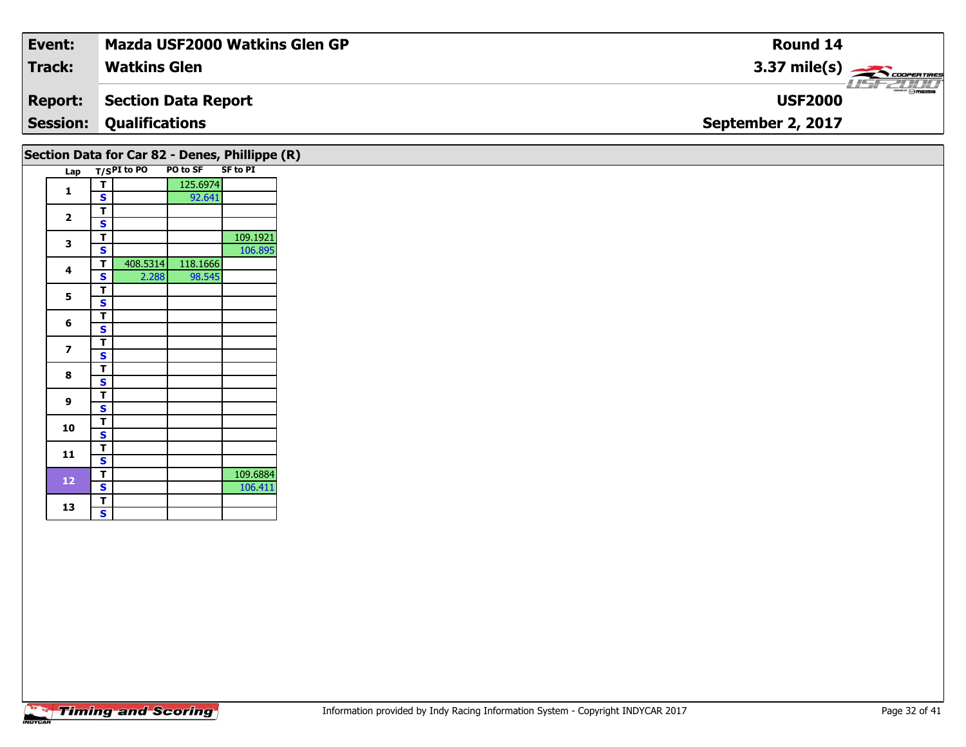| Event:          | <b>Mazda USF2000 Watkins Glen GP</b> | Round 14                                   |
|-----------------|--------------------------------------|--------------------------------------------|
| <b>Track:</b>   | <b>Watkins Glen</b>                  | $3.37 \text{ mile(s)}$                     |
| <b>Report:</b>  | Section Data Report                  | $\frac{1}{\Theta}$ mazpa<br><b>USF2000</b> |
| <b>Session:</b> | <b>Qualifications</b>                | September 2, 2017                          |
|                 |                                      |                                            |

|                         |   |             |          | Section Data for Car 82 - Denes, Phillippe (R) |  |
|-------------------------|---|-------------|----------|------------------------------------------------|--|
| Lap                     |   | T/SPI to PO | PO to SF | <b>SF to PI</b>                                |  |
| 1                       | т |             | 125.6974 |                                                |  |
|                         | S |             | 92.641   |                                                |  |
| $\overline{\mathbf{2}}$ | т |             |          |                                                |  |
|                         | S |             |          |                                                |  |
| 3                       | т |             |          | 109.1921                                       |  |
|                         | S |             |          | 106.895                                        |  |
| 4                       | т | 408.5314    | 118.1666 |                                                |  |
|                         | S | 2.288       | 98.545   |                                                |  |
| 5                       | т |             |          |                                                |  |
|                         | S |             |          |                                                |  |
| 6                       | т |             |          |                                                |  |
|                         | S |             |          |                                                |  |
| 7                       | т |             |          |                                                |  |
|                         | S |             |          |                                                |  |
| 8                       | т |             |          |                                                |  |
|                         | S |             |          |                                                |  |
| 9                       | т |             |          |                                                |  |
|                         | S |             |          |                                                |  |
| 10                      | т |             |          |                                                |  |
|                         | S |             |          |                                                |  |
| 11                      | т |             |          |                                                |  |
|                         | Ś |             |          |                                                |  |
| 12                      | т |             |          | 109.6884                                       |  |
|                         | S |             |          | 106.411                                        |  |
| 13                      | т |             |          |                                                |  |
|                         | S |             |          |                                                |  |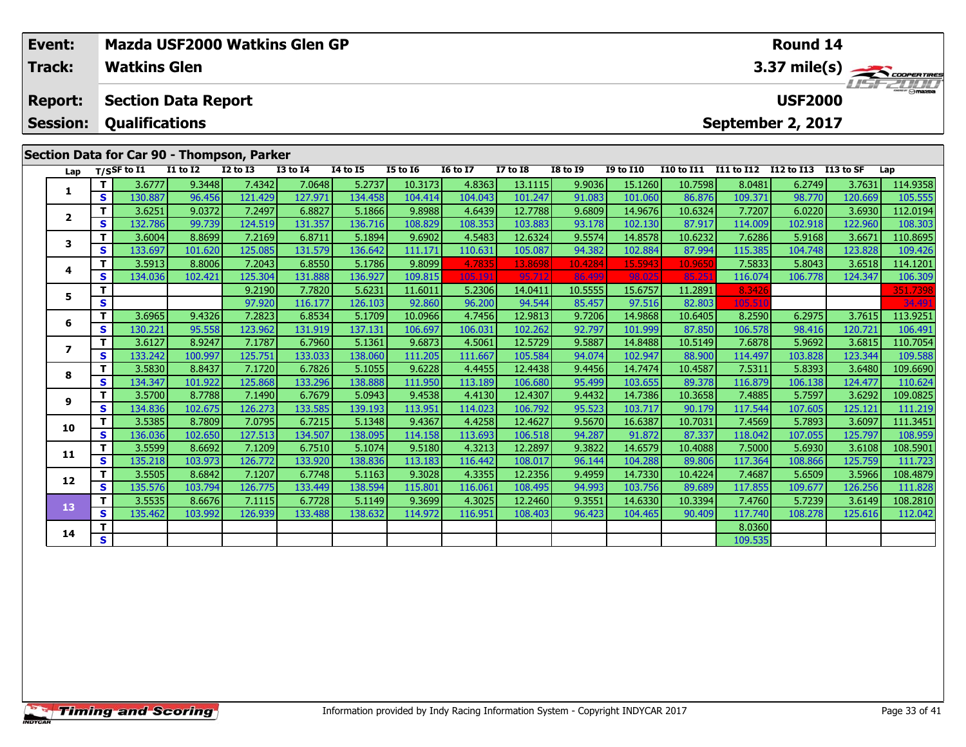|                                                                                          | Event:          |    |                             |                            |                 | <b>Mazda USF2000 Watkins Glen GP</b> |                 |                 |                 |                 |                 |                  |         |         | Round 14          |         |                        |
|------------------------------------------------------------------------------------------|-----------------|----|-----------------------------|----------------------------|-----------------|--------------------------------------|-----------------|-----------------|-----------------|-----------------|-----------------|------------------|---------|---------|-------------------|---------|------------------------|
|                                                                                          | <b>Track:</b>   |    | <b>Watkins Glen</b>         |                            |                 |                                      |                 |                 |                 |                 |                 |                  |         |         |                   |         | $3.37 \text{ mile(s)}$ |
|                                                                                          | <b>Report:</b>  |    |                             | <b>Section Data Report</b> |                 |                                      |                 |                 |                 |                 |                 |                  |         |         | <b>USF2000</b>    |         |                        |
|                                                                                          | <b>Session:</b> |    | <b>Qualifications</b>       |                            |                 |                                      |                 |                 |                 |                 |                 |                  |         |         | September 2, 2017 |         |                        |
| Section Data for Car 90 - Thompson, Parker<br>I10 to I11 I11 to I12 I12 to I13 I13 to SF |                 |    |                             |                            |                 |                                      |                 |                 |                 |                 |                 |                  |         |         |                   |         |                        |
|                                                                                          | Lap             |    | $T/S$ SF to $\overline{11}$ | <b>I1 to I2</b>            | <b>I2 to I3</b> | <b>I3 to I4</b>                      | <b>14 to 15</b> | <b>I5 to 16</b> | <b>16 to 17</b> | <b>I7 to I8</b> | <b>I8 to 19</b> | <b>I9 to I10</b> |         |         |                   |         | Lap                    |
|                                                                                          |                 | T. | 3.6777                      | 9.3448                     | 7.4342          | 7.0648                               | 5.2737          | 10.3173         | 4.8363          | 13.1115         | 9.9036          | 15.1260          | 10.7598 | 8.0481  | 6.2749            | 3.7631  | 114.9358               |
|                                                                                          |                 | S. | 130.887                     | 96.456                     | 121.429         | 127.971                              | 134.458         | 104.414         | 104.043         | 101.247         | 91.083          | 101.060          | 86.876  | 109.371 | 98.770            | 120.669 | 105.555                |
|                                                                                          | $\overline{2}$  | T. | 3.6251                      | 9.0372                     | 7.2497          | 6.8827                               | 5.1866          | 9.8988          | 4.6439          | 12.7788         | 9.6809          | 14.9676          | 10.6324 | 7.7207  | 6.0220            | 3.6930  | 112.0194               |
|                                                                                          |                 | s. | 132.786                     | 99.739                     | 124.519         | 131.357                              | 136.716         | 108.829         | 108.353         | 103.883         | 93.178          | 102.130          | 87.917  | 114.009 | 102.918           | 122.960 | 108.303                |
|                                                                                          | 3               | т  | 3.6004                      | 8.8699                     | 7.2169          | 6.8711                               | 5.1894          | 9.6902          | 4.5483          | 12.6324         | 9.5574          | 14.8578          | 10.6232 | 7.6286  | 5.9168            | 3.6671  | 110.8695               |
|                                                                                          |                 | S. | 133.697                     | 101.620                    | 125.085         | 131.579                              | 136.642         | 111.171         | 110.631         | 105.087         | 94.382          | 102.884          | 87.994  | 115.385 | 104.748           | 123.828 | 109.426                |
|                                                                                          | 4               | T. | 3.5913                      | 8.8006                     | 7.2043          | 6.8550                               | 5.1786          | 9.8099          | 4.7835          | 13.8698         | 10.4284         | 15.5943          | 10.965  | 7.5833  | 5.8043            | 3.6518  | 114.1201               |
|                                                                                          |                 | S. | 134.036                     | 102.421                    | 125.304         | 131.888                              | 136.927         | 109.815         | 105.191         | 95,712          | 86.499          | 98.025           | 85.25   | 116.074 | 106.778           | 124.347 | 106.309                |
|                                                                                          | 5.              | т  |                             |                            | 9.2190          | 7.7820                               | 5.6231          | 11.6011         | 5.2306          | 14.0411         | 10.5555         | 15.6757          | 11.2891 | 8.3426  |                   |         | 351.7398               |
|                                                                                          |                 | S  |                             |                            | 97.920          | 116.177                              | 126.103         | 92.860          | 96.200          | 94.544          | 85.457          | 97.516           | 82.803  | 105.51  |                   |         | 34.49                  |
|                                                                                          | 6               | T. | 3.6965                      | 9.4326                     | 7.2823          | 6.8534                               | 5.1709          | 10.0966         | 4.7456          | 12.9813         | 9.7206          | 14.9868          | 10.6405 | 8.2590  | 6.2975            | 3.7615  | 113.9251               |
|                                                                                          |                 | S. | 130.221                     | 95.558                     | 123.962         | 131.919                              | 137.131         | 106.697         | 106.031         | 102.262         | 92.797          | 101.999          | 87.850  | 106.578 | 98.416            | 120.721 | 106.491                |
|                                                                                          |                 | T. | 3.6127                      | 8.9247                     | 7.1787          | 6.7960                               | 5.1361          | 9.6873          | 4.5061          | 12.5729         | 9.5887          | 14.8488          | 10.5149 | 7.6878  | 5.9692            | 3.6815  | 110.7054               |
|                                                                                          |                 | S. | 133.242                     | 100.997                    | 125.751         | 133.033                              | 138.060         | 111.205         | 111.667         | 105.584         | 94.074          | 102.947          | 88.900  | 114.497 | 103.828           | 123.344 | 109.588                |
|                                                                                          | 8               |    | 3.5830                      | 8.8437                     | 7.1720          | 6.7826                               | 5.1055          | 9.6228          | 4.4455          | 12.4438         | 9.4456          | 14.7474          | 10.4587 | 7.5311  | 5.8393            | 3.6480  | 109.6690               |
|                                                                                          |                 | S. | 134.347                     | 101.922                    | 125.868         | 133.296                              | 138.888         | 111.950         | 113.189         | 106.680         | 95.499          | 103.655          | 89.378  | 116.879 | 106.138           | 124.477 | 110.624                |
|                                                                                          | 9               |    | 3.5700                      | 8.7788                     | 7.1490          | 6.7679                               | 5.0943          | 9.4538          | 4.4130          | 12.4307         | 9.4432          | 14.7386          | 10.3658 | 7.4885  | 5.7597            | 3.6292  | 109.0825               |
|                                                                                          |                 | S. | 134.8361                    | 102.675                    | 126.273         | 133.585                              | 139.193         | 113.951         | 114.023         | 106.792         | 95.523          | 103.717          | 90.179  | 117.544 | 107.605           | 125.121 | 111.219                |

0 T 3.5385| 8.7809| 7.0795| 6.7215| 5.1348| 9.4367| 4.4258| 12.4627| 9.5670| 16.6387| 10.7031| 7.4569| 5.7893| 3.6097| 111.3451<br>| S 136.036| 102.650| 127.513| 134.507| 138.095| 114.158| 113.693| 106.518| 94.287| 91.872| 87

**<sup>T</sup>** 3.5599 8.6692 7.1209 6.7510 5.1074 9.5180 4.3213 12.2897 9.3822 14.6579 10.4088 7.5000 5.6930 3.6108 108.5901 **<sup>S</sup>** 135.218 103.973 126.772 133.920 138.836 113.183 116.442 108.017 96.144 104.288 89.806 117.364 108.866 125.759 111.723

**<sup>T</sup>** 3.5505 8.6842 7.1207 6.7748 5.1163 9.3028 4.3355 12.2356 9.4959 14.7330 10.4224 7.4687 5.6509 3.5966 108.4879 **<sup>S</sup>** 135.576 103.794 126.775 133.449 138.594 115.801 116.061 108.495 94.993 103.756 89.689 117.855 109.677 126.256 111.828

**<sup>T</sup>** 3.5535 8.6676 7.1115 6.7728 5.1149 9.3699 4.3025 12.2460 9.3551 14.6330 10.3394 7.4760 5.7239 3.6149 108.2810 **<sup>S</sup>** 135.462 103.992 126.939 133.488 138.632 114.972 116.951 108.403 96.423 104.465 90.409 117.740 108.278 125.616 112.042

**<sup>T</sup>** 8.0360 **<sup>S</sup>** 109.535

**10**

**11**

**12**

**13**

**14**

111.219

111.828

112.042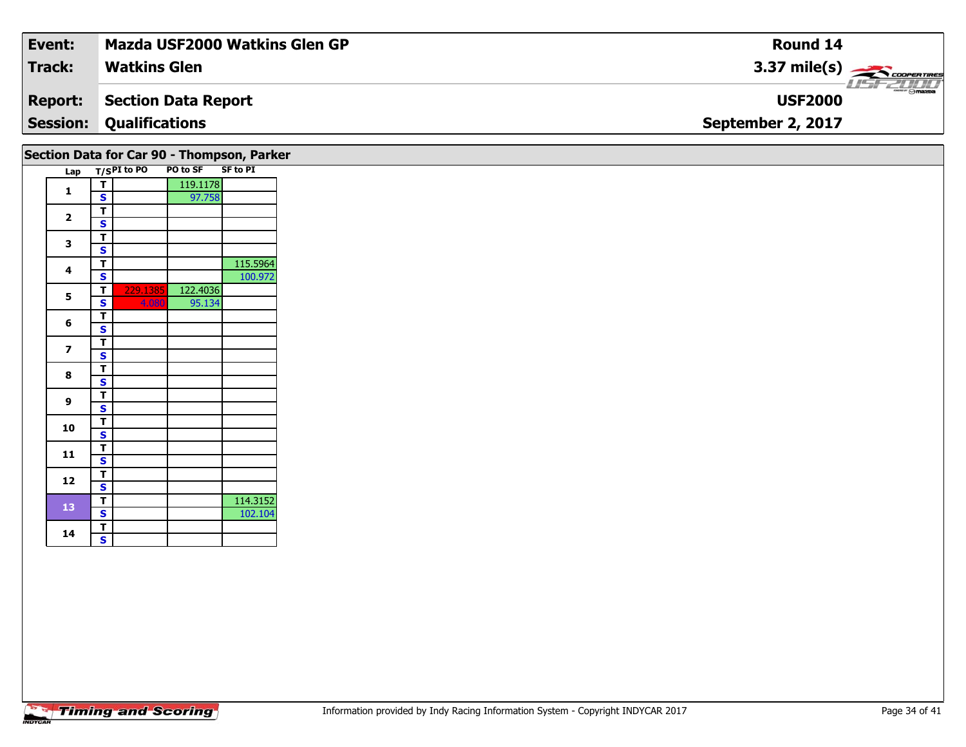| Event:          | <b>Mazda USF2000 Watkins Glen GP</b> | Round 14                                    |
|-----------------|--------------------------------------|---------------------------------------------|
| <b>Track:</b>   | <b>Watkins Glen</b>                  | $3.37 \text{ mile(s)}$                      |
| <b>Report:</b>  | Section Data Report                  | $\overline{\Theta}$ mazpa<br><b>USF2000</b> |
| <b>Session:</b> | <b>Qualifications</b>                | September 2, 2017                           |
|                 |                                      |                                             |

|                         |   |               |          | Section Data for Car 90 - Thompson, Parker |
|-------------------------|---|---------------|----------|--------------------------------------------|
| Lap                     |   | $T/SPI$ to PO | PO to SF | <b>SF to PI</b>                            |
|                         | т |               | 119.1178 |                                            |
| 1                       | S |               | 97.758   |                                            |
|                         | T |               |          |                                            |
| $\overline{\mathbf{2}}$ | S |               |          |                                            |
|                         | т |               |          |                                            |
| 3                       | S |               |          |                                            |
|                         | T |               |          | 115.5964                                   |
| 4                       | S |               |          | 100.972                                    |
|                         | T | 229.1385      | 122.4036 |                                            |
| 5                       | Ś | 4.080         | 95.134   |                                            |
|                         | т |               |          |                                            |
| 6                       | S |               |          |                                            |
|                         | T |               |          |                                            |
| $\overline{\mathbf{z}}$ | S |               |          |                                            |
| 8                       | т |               |          |                                            |
|                         | S |               |          |                                            |
| 9                       | T |               |          |                                            |
|                         | S |               |          |                                            |
| 10                      | т |               |          |                                            |
|                         | S |               |          |                                            |
| 11                      | т |               |          |                                            |
|                         | S |               |          |                                            |
|                         | т |               |          |                                            |
| 12                      | S |               |          |                                            |
|                         | T |               |          | 114.3152                                   |
| 13                      | S |               |          | 102.104                                    |
|                         | т |               |          |                                            |
| 14                      | S |               |          |                                            |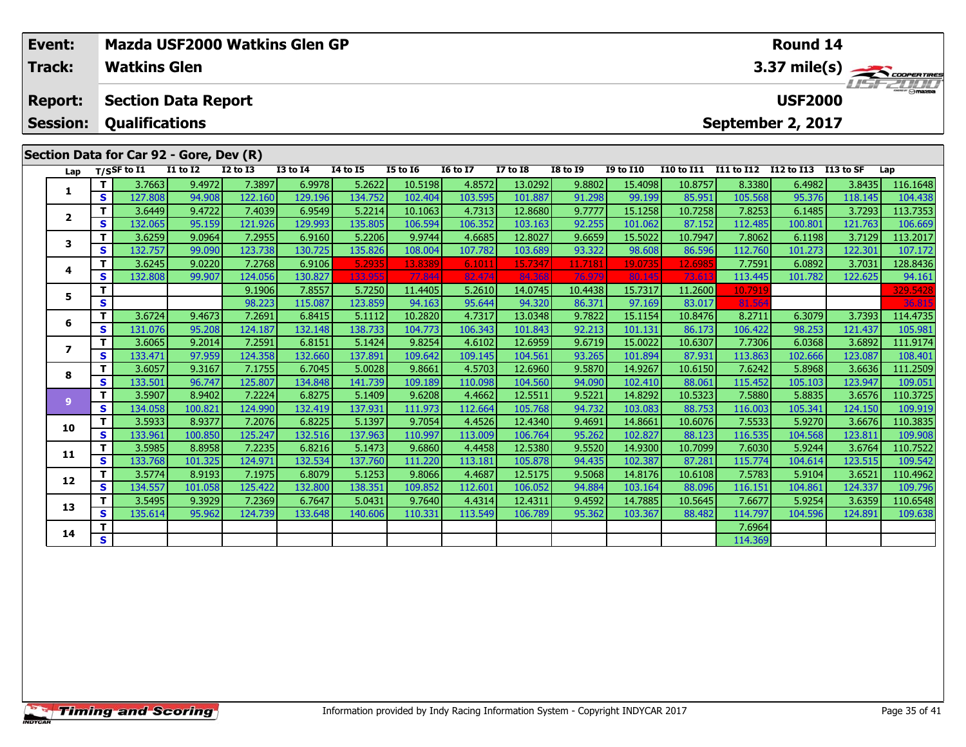| Event:          |        | Mazda USF2000 Watkins Glen GP<br>Round 14 |                  |                   |                   |                   |                   |                   |                    |                  |                    |                                  |                   |                        |                   |                     |
|-----------------|--------|-------------------------------------------|------------------|-------------------|-------------------|-------------------|-------------------|-------------------|--------------------|------------------|--------------------|----------------------------------|-------------------|------------------------|-------------------|---------------------|
| Track:          |        | <b>Watkins Glen</b>                       |                  |                   |                   |                   |                   |                   |                    |                  |                    |                                  |                   | $3.37 \text{ mile(s)}$ |                   |                     |
| <b>Report:</b>  |        | <b>Section Data Report</b>                |                  |                   |                   |                   |                   |                   |                    |                  |                    |                                  |                   | <b>USF2000</b>         |                   |                     |
| <b>Session:</b> |        | <b>Qualifications</b>                     |                  |                   |                   |                   |                   |                   |                    |                  |                    |                                  |                   | September 2, 2017      |                   |                     |
|                 |        | Section Data for Car 92 - Gore, Dev (R)   |                  |                   |                   |                   |                   |                   |                    |                  |                    |                                  |                   |                        |                   |                     |
| Lap             |        | T/SSF to I1                               | <b>I1 to I2</b>  | <b>I2 to I3</b>   | <b>I3 to I4</b>   | 14 to 15          | <b>I5 to 16</b>   | <b>16 to 17</b>   | <b>I7 to I8</b>    | <b>I8 to I9</b>  | <b>I9 to I10</b>   | I10 to I11 I11 to I12 I12 to I13 |                   |                        | I13 to SF         | Lap                 |
| 1               | Τ.     | 3.7663                                    | 9.4972           | 7.3897            | 6.9978            | 5.2622            | 10.5198           | 4.8572            | 13.0292            | 9.8802           | 15.4098            | 10.8757                          | 8.3380            | 6.4982                 | 3.8435            | 116.1648            |
|                 | S      | 127.808                                   | 94.908           | 122.160           | 129.196           | 134.752           | 102.404           | 103.595           | 101.887            | 91.298           | 99.199             | 85.951                           | 105.568           | 95.376                 | 118.145           | 104.438             |
| $\mathbf{2}$    | т<br>S | 3.6449                                    | 9.4722           | 7.4039            | 6.9549            | 5.2214            | 10.1063           | 4.7313            | 12.8680<br>103.163 | 9.7777           | 15.1258            | 10.7258                          | 7.8253            | 6.1485                 | 3.7293            | 113.7353            |
|                 | т      | 132.065<br>3.6259                         | 95.159<br>9.0964 | 121.926<br>7.2955 | 129.993<br>6.9160 | 135.805<br>5.2206 | 106.594           | 106.352<br>4.6685 | 12.8027            | 92.255<br>9.6659 | 101.062<br>15.5022 | 87.152<br>10.7947                | 112.485<br>7.8062 | 100.801<br>6.1198      | 121.763<br>3.7129 | 106.669             |
| 3               | S      | 132.757                                   | 99.090           | 123.738           | 130.725           | 135.826           | 9.9744<br>108.004 | 107.782           | 103.689            | 93.322           | 98.608             | 86.596                           | 112.760           | 101.273                | 122.301           | 113.2017<br>107.172 |
|                 | т      | 3.6245                                    | 9.0220           | 7.2768            | 6.9106            | 5.2935            | 13.8389           | 6.1011            | 15.7347            | 11.7181          | 19.0735            | 12.6985                          | 7.7591            | 6.0892                 | 3.7031            | 128.8436            |
| 4               | S      | 132.808                                   | 99.907           | 124.056           | 130.827           | 133.955           | 77.844            | 82.474            | 84.368             | 76.979           | 80.145             | 73.61                            | 113.445           | 101.782                | 122.625           | 94.161              |
|                 | T.     |                                           |                  | 9.1906            | 7.8557            | 5.7250            | 11.4405           | 5.2610            | 14.0745            | 10.4438          | 15.7317            | 11.2600                          | 10.7919           |                        |                   | 329.5428            |
| 5.              | S.     |                                           |                  | 98.223            | 115.087           | 123.859           | 94.163            | 95.644            | 94.320             | 86.371           | 97.169             | 83.017                           | 81.56             |                        |                   | 36.81               |
|                 | т      | 3.6724                                    | 9.4673           | 7.2691            | 6.8415            | 5.1112            | 10.2820           | 4.7317            | 13.0348            | 9.7822           | 15.1154            | 10.8476                          | 8.2711            | 6.3079                 | 3.7393            | 114.4735            |
| 6               | S      | 131.076                                   | 95.208           | 124.187           | 132.148           | 138.733           | 104.773           | 106.343           | 101.843            | 92.213           | 101.131            | 86.173                           | 106.422           | 98.253                 | 121.437           | 105.981             |
|                 | T.     | 3.6065                                    | 9.2014           | 7.2591            | 6.8151            | 5.1424            | 9.8254            | 4.6102            | 12.6959            | 9.6719           | 15.0022            | 10.6307                          | 7.7306            | 6.0368                 | 3.6892            | 111.9174            |
| 7               | s      | 133.471                                   | 97.959           | 124.358           | 132.660           | 137.891           | 109.642           | 109.145           | 104.561            | 93.265           | 101.894            | 87.931                           | 113.863           | 102.666                | 123.087           | 108.401             |
| 8               | т      | 3.6057                                    | 9.3167           | 7.1755            | 6.7045            | 5.0028            | 9.8661            | 4.5703            | 12.6960            | 9.5870           | 14.9267            | 10.6150                          | 7.6242            | 5.8968                 | 3.6636            | 111.2509            |
|                 | S      | 133.501                                   | 96.747           | 125.807           | 134.848           | 141.739           | 109.189           | 110.098           | 104.560            | 94.090           | 102.410            | 88.061                           | 115.452           | 105.103                | 123.947           | 109.051             |
| $\mathbf{9}$    | т      | 3.5907                                    | 8.9402           | 7.2224            | 6.8275            | 5.1409            | 9.6208            | 4.4662            | 12.5511            | 9.5221           | 14.8292            | 10.5323                          | 7.5880            | 5.8835                 | 3.6576            | 110.3725            |
|                 | S      | 134.058                                   | 100.821          | 124.990           | 132.419           | 137.931           | 111.973           | 112.664           | 105.768            | 94.732           | 103.083            | 88.753                           | 116.003           | 105.341                | 124.150           | 109.919             |
| 10              |        | 3.5933                                    | 8.9377           | 7.2076            | 6.8225            | 5.1397            | 9.7054            | 4.4526            | 12.4340            | 9.4691           | 14.8661            | 10.6076                          | 7.5533            | 5.9270                 | 3.6676            | 110.3835            |
|                 | S      | 133.961                                   | 100.850          | 125.247           | 132.516           | 137.963           | 110.997           | 113.009           | 106.764            | 95.262           | 102.827            | 88.123                           | 116.535           | 104.568                | 123.811           | 109.908             |

**11**

**12**

**13**

**14**

**<sup>T</sup>** 3.5985 8.8958 7.2235 6.8216 5.1473 9.6860 4.4458 12.5380 9.5520 14.9300 10.7099 7.6030 5.9244 3.6764 110.7522 **<sup>S</sup>** 133.768 101.325 124.971 132.534 137.760 111.220 113.181 105.878 94.435 102.387 87.281 115.774 104.614 123.515 109.542

2 T 3.5774 8.9193 7.1975 6.8079 5.1253 9.8066 4.4687 12.5175 9.5068 14.8176 10.6108 7.5783 5.9104 3.6521 110.4962<br>2 S 134.557 101.058 125.422 132.800 138.351 109.852 112.601 106.052 94.884 103.164 88.096 116.151 104.861 12

3 T 3.5495| 9.3929| 7.2369| 6.7647| 5.0431| 9.7640| 4.4314| 12.4311| 9.4592| 14.7885| 10.5645| 7.6677| 5.9254| 3.6359| 110.6548<br>S 135.614| 95.962| 124.739| 133.648| 140.606| 110.331| 113.549| 106.789| 95.362| 103.367| 88.4

**<sup>T</sup>** 7.6964 **<sup>S</sup>** 114.369

109.542

109.796

109.638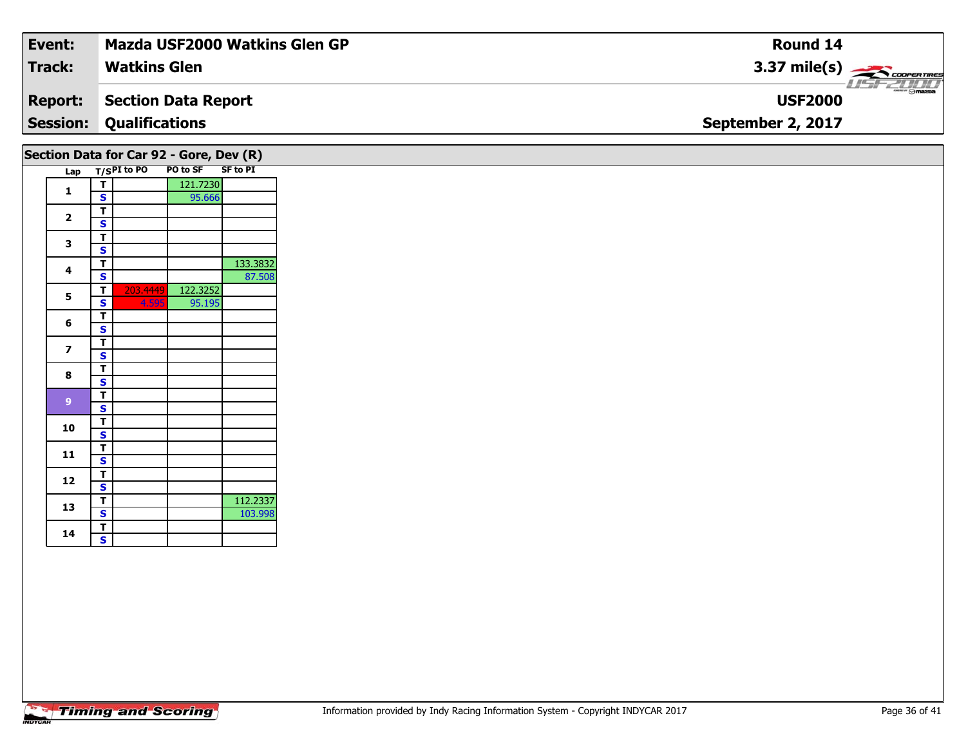| Event:                                  | Mazda USF2000 Watkins Glen GP  | <b>Round 14</b>                    |  |  |  |  |  |  |  |
|-----------------------------------------|--------------------------------|------------------------------------|--|--|--|--|--|--|--|
| <b>Track:</b>                           | <b>Watkins Glen</b>            | $3.37 \text{ mile(s)}$             |  |  |  |  |  |  |  |
| <b>Report:</b>                          | Section Data Report            | <b>LISF 2000</b><br><b>USF2000</b> |  |  |  |  |  |  |  |
|                                         | <b>Session: Qualifications</b> | September 2, 2017                  |  |  |  |  |  |  |  |
| Section Data for Car 92 - Gore, Dev (R) |                                |                                    |  |  |  |  |  |  |  |

| Lap            |   |          | T/SPI to PO PO to SF SF to PI | . יי י   |
|----------------|---|----------|-------------------------------|----------|
|                | т |          | 121.7230                      |          |
| 1              | S |          | 95.666                        |          |
|                | т |          |                               |          |
| $\overline{2}$ | S |          |                               |          |
|                | T |          |                               |          |
| 3              | S |          |                               |          |
| 4              | T |          |                               | 133.3832 |
|                | S |          |                               | 87.508   |
| 5              | Т | 203.4449 | 122.3252                      |          |
|                | S | 4.595    | 95.195                        |          |
| 6              | т |          |                               |          |
|                | S |          |                               |          |
| 7              | т |          |                               |          |
|                | S |          |                               |          |
| 8              | т |          |                               |          |
|                | S |          |                               |          |
| 9              | T |          |                               |          |
|                | S |          |                               |          |
| 10             | т |          |                               |          |
|                | S |          |                               |          |
| 11             | T |          |                               |          |
|                | S |          |                               |          |
| 12             | T |          |                               |          |
|                | S |          |                               |          |
| 13             | Т |          |                               | 112.2337 |
|                | S |          |                               | 103.998  |
| 14             | T |          |                               |          |
|                | Š |          |                               |          |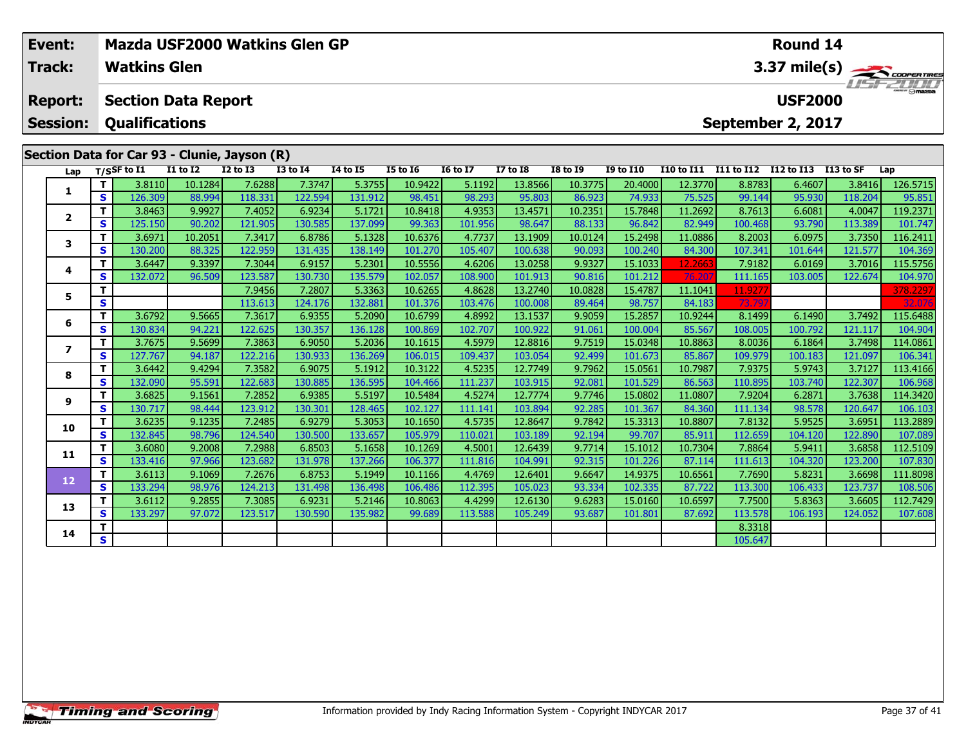| Event:<br><b>Track:</b> |     | Mazda USF2000 Watkins Glen GP<br>Round 14<br><b>Watkins Glen</b><br>$3.37 \text{ mile(s)}$ |              |                                              |                 |                 |                 |                 |                 |                 |                  |                   |                   |                   |           |          |
|-------------------------|-----|--------------------------------------------------------------------------------------------|--------------|----------------------------------------------|-----------------|-----------------|-----------------|-----------------|-----------------|-----------------|------------------|-------------------|-------------------|-------------------|-----------|----------|
| <b>Report:</b>          |     | <b>Section Data Report</b>                                                                 |              |                                              |                 |                 |                 |                 |                 |                 |                  |                   |                   | <b>USF2000</b>    |           | USF 2000 |
| <b>Session:</b>         |     | <b>Qualifications</b>                                                                      |              |                                              |                 |                 |                 |                 |                 |                 |                  |                   |                   | September 2, 2017 |           |          |
|                         |     |                                                                                            |              | Section Data for Car 93 - Clunie, Jayson (R) |                 |                 |                 |                 |                 |                 |                  |                   |                   |                   |           |          |
|                         |     | Lap T/SSF to I1                                                                            | $I1$ to $I2$ | <b>I2 to I3</b>                              | <b>I3 to I4</b> | <b>I4 to I5</b> | <b>I5 to I6</b> | <b>16 to 17</b> | <b>I7 to I8</b> | <b>I8 to I9</b> | <b>I9 to I10</b> | <b>I10 to I11</b> | <b>I11 to I12</b> | I12 to I13        | I13 to SF | Lap      |
|                         |     | 3.8110                                                                                     | 10.1284      | 7.6288                                       | 7.3747          | 5.3755          | 10.9422         | 5.1192          | 13.8566         | 10.3775         | 20.4000          | 12.3770           | 8.8783            | 6.4607            | 3.8416    | 126.5715 |
|                         | S   | 126.309                                                                                    | 88.994       | 118.331                                      | 122.594         | 131.912         | 98.451          | 98.293          | 95.803          | 86.923          | 74.933           | 75.525            | 99.144            | 95.930            | 118.204   | 95.851   |
|                         |     | 3.8463                                                                                     | 9.9927       | 7.4052                                       | 6.9234          | 5.1721          | 10.8418         | 4.9353          | 13.4571         | 10.2351         | 15.7848          | 11.2692           | 8.7613            | 6.6081            | 4.0047    | 119.2371 |
| $\mathbf{2}$            | S.  | 125.150                                                                                    | 90.202       | 121.905                                      | 130.585         | 137.099         | 99.363          | 101.956         | 98.647          | 88.133          | 96.842           | 82.949            | 100.468           | 93.790            | 113.389   | 101.747  |
| 3                       | Τ.  | 3.6971                                                                                     | 10.2051      | 7.3417                                       | 6.8786          | 5.1328          | 10.6376         | 4.7737          | 13.1909         | 10.0124         | 15.2498          | 11.0886           | 8.2003            | 6.0975            | 3.7350    | 116.2411 |
|                         | S.  | 130.200                                                                                    | 88.325       | 122.959                                      | 131.435         | 138.149         | 101.270         | 105.407         | 100.638         | 90.093          | 100.240          | 84.300            | 107.341           | 101.644           | 121.577   | 104.369  |
|                         |     | 3.6447                                                                                     | 9.3397       | 7.3044                                       | 6.9157          | 5.2301          | 10.5556         | 4.6206          | 13.0258         | 9.9327          | 15.1033          | 12.2663           | 7.9182            | 6.0169            | 3.7016    | 115.5756 |
| 4                       | s l | 132.072                                                                                    | 96.509       | 123.587                                      | 130.730         | 135.579         | 102.057         | 108.900         | 101.913         | 90.816          | 101.212          | 76.207            | 111.165           | 103.005           | 122.674   | 104.970  |
|                         |     |                                                                                            |              | 7.9456                                       | 7.2807          | 5.3363          | 10.6265         | 4.8628          | 13.2740         | 10.0828         | 15.4787          | 11.1041           | 11.9277           |                   |           | 378.2297 |
| 5                       | S   |                                                                                            |              | 113.613                                      | 124.176         | 132.881         | 101.376         | 103.476         | 100.008         | 89.464          | 98.757           | 84.183            | 73.797            |                   |           | 32.076   |
|                         | Τ.  | 3.6792                                                                                     | 9.5665       | 7.3617                                       | 6.9355          | 5.2090          | 10.6799         | 4.8992          | 13.1537         | 9.9059          | 15.2857          | 10.9244           | 8.1499            | 6.1490            | 3.7492    | 115.6488 |
| 6                       | S   | 130.834 <b>1</b>                                                                           | 94.221       | 122.625                                      | 130.357         | 136.128         | 100.869         | 102.707         | 100.922         | 91.061          | 100.004          | 85.567            | 108.005 l         | 100.792           | 121.117   | 104.904  |

7 | T | 3.7675| 9.5699| 7.3863| 6.9050| 5.2036| 10.1615| 4.5979| 12.8816| 9.7519| 15.0348| 10.8863| 8.0036| 6.1864| 3.7498| 114.0861<br>7 | S | 127.767| 94.187| 122.216| 130.933| 136.269| 106.015| 109.437| 103.054| 92.499| 10

**<sup>T</sup>** 3.6442 9.4294 7.3582 6.9075 5.1912 10.3122 4.5235 12.7749 9.7962 15.0561 10.7987 7.9375 5.9743 3.7127 113.4166 **<sup>S</sup>** 132.090 95.591 122.683 130.885 136.595 104.466 111.237 103.915 92.081 101.529 86.563 110.895 103.740 122.307 106.968

114.3420 11.0807 |2.0825 | 9.1561 | 7.2852 | 6.9385 | 5.5197 | 10.5484 | 4.5274 | 12.7774 | 9.7746 | 15.0802 |<br>S | 130.717 | 98.444 | 123.912 | 130.301 | 128.465 | 102.127 | 111.141 | 103.894 | 92.285 | 101.367 | 84.360 |

0 T 3.6235| 9.1235| 7.2485| 6.9279| 5.3053| 10.1650| 4.5735| 12.8647| 9.7842| 15.3313| 10.8807| 7.8132| 5.9525| 3.6951| 113.2889<br>| S 132.845| 98.796| 124.540| 130.500| 133.657| 105.979| 110.021| 103.189| 92.194| 99.707| 85

**<sup>T</sup>** 3.6080 9.2008 7.2988 6.8503 5.1658 10.1269 4.5001 12.6439 9.7714 15.1012 10.7304 7.8864 5.9411 3.6858 112.5109 **<sup>S</sup>** 133.416 97.966 123.682 131.978 137.266 106.377 111.816 104.991 92.315 101.226 87.114 111.613 104.320 123.200 107.830

2 T 3.6113 9.1069 7.2676 6.8753 5.1949 10.1166 4.4769 12.6401 9.6647 14.9375 10.6561 7.7690 5.8231 3.6698 111.8098<br>2 S 133.294 98.976 124.213 131.498 136.498 106.486 112.395 105.023 93.334 102.335 87.722 113.300 106.433 12

3 T 3.6112 9.2855 7.3085 6.9231 5.2146 10.8063 4.4299 12.6130 9.6283 15.0160 10.6597 7.7500 5.8363 3.6605 112.7429<br>S 133.297 97.072 123.517 130.590 135.982 99.689 113.588 105.249 93.687 101.801 87.692 113.578 106.193 124.0

**<sup>T</sup>** 8.3318 **<sup>S</sup>** 105.647

**7**

**8**

**9**

**10**

**11**

**12**

**13**

**14**

106.341

106.103

108.506

107.608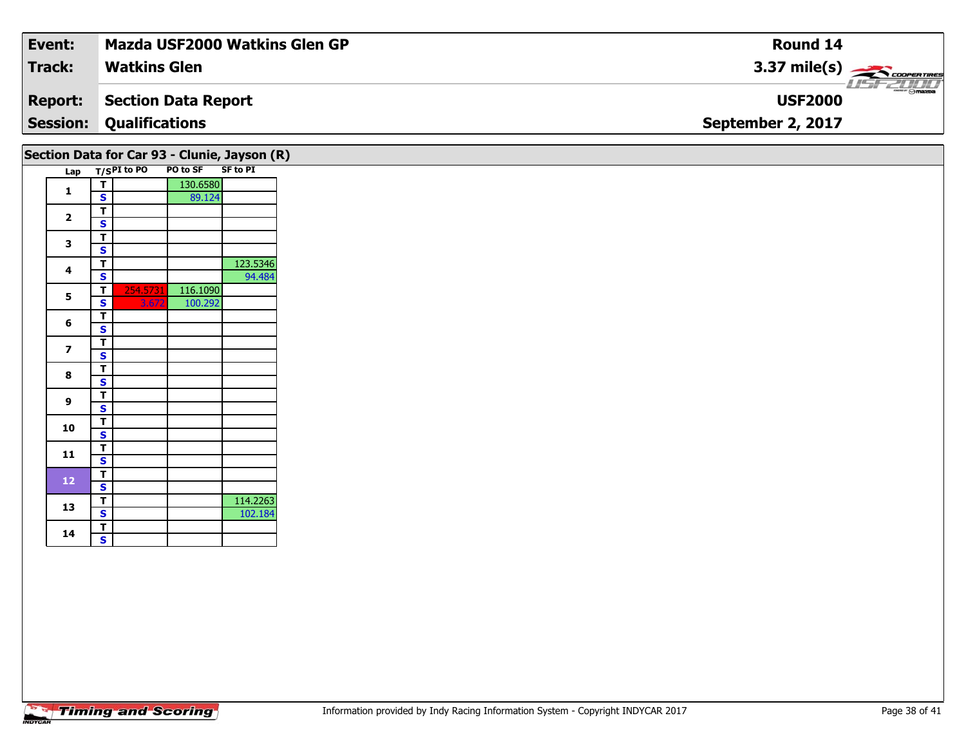| Event:          | <b>Mazda USF2000 Watkins Glen GP</b> | Round 14               |
|-----------------|--------------------------------------|------------------------|
| <b>Track:</b>   | <b>Watkins Glen</b>                  | $3.37 \text{ mile(s)}$ |
| <b>Report:</b>  | Section Data Report                  | <b>USF2000</b>         |
| <b>Session:</b> | <b>Qualifications</b>                | September 2, 2017      |
|                 |                                      |                        |

|  |                         |   |                      |          | Section Data for Car 93 - Clunie, Jayson (R) |
|--|-------------------------|---|----------------------|----------|----------------------------------------------|
|  | Lap                     |   | T/SPI to PO PO to SF |          | <b>SF to PI</b>                              |
|  | 1                       | т |                      | 130.6580 |                                              |
|  |                         | S |                      | 89.124   |                                              |
|  |                         | T |                      |          |                                              |
|  | $\overline{\mathbf{2}}$ | S |                      |          |                                              |
|  |                         | T |                      |          |                                              |
|  | 3                       | S |                      |          |                                              |
|  |                         | T |                      |          | 123.5346                                     |
|  | 4                       | S |                      |          | 94.484                                       |
|  |                         | т | 254.5731             | 116.1090 |                                              |
|  | 5                       | S | 3.672                | 100.292  |                                              |
|  |                         | т |                      |          |                                              |
|  | 6                       | Ś |                      |          |                                              |
|  |                         | T |                      |          |                                              |
|  | 7                       | S |                      |          |                                              |
|  | 8                       | T |                      |          |                                              |
|  |                         | S |                      |          |                                              |
|  | 9                       | т |                      |          |                                              |
|  |                         | S |                      |          |                                              |
|  | 10                      | т |                      |          |                                              |
|  |                         | S |                      |          |                                              |
|  | 11                      | т |                      |          |                                              |
|  |                         | S |                      |          |                                              |
|  | 12                      | T |                      |          |                                              |
|  |                         | S |                      |          |                                              |
|  | 13                      | т |                      |          | 114.2263                                     |
|  |                         | S |                      |          | 102.184                                      |
|  | 14                      | т |                      |          |                                              |
|  |                         | S |                      |          |                                              |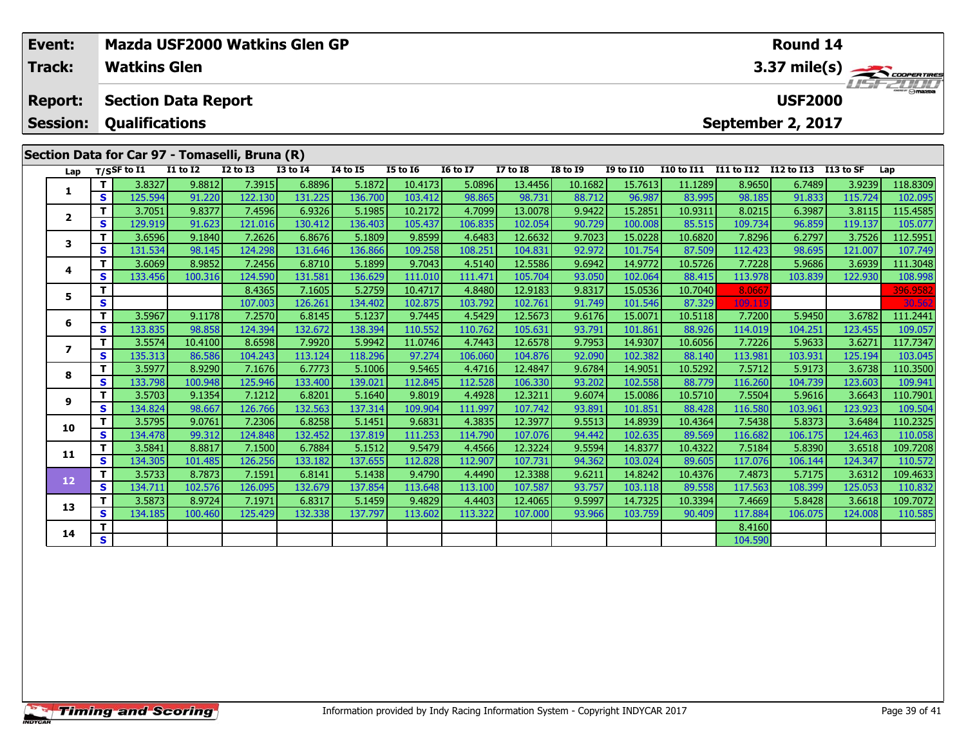| Event:<br><b>Track:</b>  |          | Mazda USF2000 Watkins Glen GP<br><b>Watkins Glen</b> |                            |                                                |                 |          |                 |                 |                 |                 | Round 14<br>3.37 mile(s) |                   |            |                   |           |          |  |  |
|--------------------------|----------|------------------------------------------------------|----------------------------|------------------------------------------------|-----------------|----------|-----------------|-----------------|-----------------|-----------------|--------------------------|-------------------|------------|-------------------|-----------|----------|--|--|
| <b>Report:</b>           |          |                                                      | <b>Section Data Report</b> |                                                |                 |          |                 |                 |                 |                 |                          |                   |            | <b>USF2000</b>    |           |          |  |  |
| <b>Session:</b>          |          | <b>Qualifications</b>                                |                            |                                                |                 |          |                 |                 |                 |                 |                          |                   |            | September 2, 2017 |           |          |  |  |
|                          |          |                                                      |                            | Section Data for Car 97 - Tomaselli, Bruna (R) |                 |          |                 |                 |                 |                 |                          |                   |            |                   |           |          |  |  |
| Lap                      |          | $T/S$ SF to $I1$                                     | <b>I1 to I2</b>            | <b>I2 to I3</b>                                | <b>I3 to I4</b> | 14 to 15 | <b>I5 to 16</b> | <b>16 to 17</b> | <b>I7 to I8</b> | <b>I8 to 19</b> | <b>I9 to I10</b>         | <b>I10 to I11</b> | I11 to I12 | I12 to I13        | I13 to SF | Lap      |  |  |
| 1                        |          | 3.8327                                               | 9.8812                     | 7.3915                                         | 6.8896          | 5.1872   | 10.4173         | 5.0896          | 13.4456         | 10.1682         | 15.7613                  | 11.1289           | 8.9650     | 6.7489            | 3.9239    | 118.8309 |  |  |
|                          | S.       | 125.594                                              | 91.220                     | 122.130                                        | 131.225         | 136.700  | 103.412         | 98.865          | 98.731          | 88.712          | 96.987                   | 83.995            | 98.185     | 91.833            | 115.724   | 102.095  |  |  |
| $\mathbf{z}$             |          | 3.7051                                               | 9.8377                     | 7.4596                                         | 6.9326          | 5.1985   | 10.2172         | 4.7099          | 13.0078         | 9.9422          | 15.2851                  | 10.9311           | 8.0215     | 6.3987            | 3.8115    | 115.4585 |  |  |
|                          | <b>S</b> | 129.919                                              | 91.623                     | 121.016                                        | 130.412         | 136.403  | 105.437         | 106.835         | 102.054         | 90.729          | 100.008                  | 85.515            | 109.734    | 96.859            | 119.137   | 105.077  |  |  |
| 3                        | т        | 3.6596                                               | 9.1840                     | 7.2626                                         | 6.8676          | 5.1809   | 9.8599          | 4.6483          | 12.6632         | 9.7023          | 15.0228                  | 10.6820           | 7.8296     | 6.2797            | 3.7526    | 112.5951 |  |  |
|                          | <b>S</b> | 131.534                                              | 98.145                     | 124.298                                        | 131.646         | 136.866  | 109.258         | 108.251         | 104.831         | 92.972          | 101.754                  | 87.509            | 112.423    | 98.695            | 121.007   | 107.749  |  |  |
| 4                        | T.       | 3.6069                                               | 8.9852                     | 7.2456                                         | 6.8710          | 5.1899   | 9.7043          | 4.5140          | 12.5586         | 9.6942          | 14.9772                  | 10.5726           | 7.7228     | 5.9686            | 3.6939    | 111.3048 |  |  |
|                          | S.       | 133.456                                              | 100.316                    | 124.590                                        | 131.581         | 136.629  | 111.010         | 111.471         | 105.704         | 93.050          | 102.064                  | 88.415            | 113.978    | 103.839           | 122.930   | 108.998  |  |  |
| 5                        |          |                                                      |                            | 8.4365                                         | 7.1605          | 5.2759   | 10.4717         | 4.8480          | 12.9183         | 9.8317          | 15.0536                  | 10.7040           | 8.066      |                   |           | 396.9582 |  |  |
|                          | S        |                                                      |                            | 107.003                                        | 126.261         | 134.402  | 102.875         | 103.792         | 102.761         | 91.749          | 101.546                  | 87.329            | 109.11     |                   |           | 30.562   |  |  |
| 6                        | T.       | 3.5967                                               | 9.1178                     | 7.2570                                         | 6.8145          | 5.1237   | 9.7445          | 4.5429          | 12.5673         | 9.6176          | 15.0071                  | 10.5118           | 7.7200     | 5.9450            | 3.6782    | 111.2441 |  |  |
|                          | <b>S</b> | 133.835                                              | 98.858                     | 124.394                                        | 132.672         | 138.394  | 110.552         | 110.762         | 105.631         | 93.791          | 101.861                  | 88.926            | 114.019    | 104.251           | 123.455   | 109.057  |  |  |
| $\overline{\phantom{a}}$ | Τ.       | 3.5574                                               | 10.4100                    | 8.6598                                         | 7.9920          | 5.9942   | 11.0746         | 4.7443          | 12.6578         | 9.7953          | 14.9307                  | 10.6056           | 7.7226     | 5.9633            | 3.6271    | 117.7347 |  |  |
|                          | S.       | 135.313                                              | 86.586                     | 104.243                                        | 113.124         | 118.296  | 97.274          | 106.060         | 104.876         | 92.090          | 102.382                  | 88.140            | 113.981    | 103.931           | 125.194   | 103.045  |  |  |
| 8                        |          | 3.5977                                               | 8.9290                     | 7.1676                                         | 6.7773          | 5.1006   | 9.5465          | 4.4716          | 12.4847         | 9.6784          | 14.9051                  | 10.5292           | 7.5712     | 5.9173            | 3.6738    | 110.3500 |  |  |
|                          | <b>S</b> | 133.798                                              | 100.948                    | 125.946                                        | 133.400         | 139.021  | 112.845         | 112.528         | 106.330         | 93.202          | 102.558                  | 88.779            | 116.260    | 104.739           | 123.603   | 109.941  |  |  |
| 9                        |          | 3.5703                                               | 9.1354                     | 7.1212                                         | 6.8201          | 5.1640   | 9.8019          | 4.4928          | 12.3211         | 9.6074          | 15.0086                  | 10.5710           | 7.5504     | 5.9616            | 3.6643    | 110.7901 |  |  |
|                          | s        | 134.824                                              | 98.667                     | 126.766                                        | 132.563         | 137.314  | 109.904         | 111.997         | 107.742         | 93.891          | 101.851                  | 88.428            | 116.580    | 103.961           | 123.923   | 109.504  |  |  |

0 | **T** | 3.5795| 9.0761| 7.2306| 6.8258| 5.1451| 9.6831| 4.3835| 12.3977| 9.5513| 14.8939| 10.4364| 7.5438| 5.8373| 3.6484| 110.2325<br>| S | 134.478| 99.312| 124.848| 132.452| 137.819| 111.253| 114.790| 107.076| 94.442| 102

**<sup>T</sup>** 3.5841 8.8817 7.1500 6.7884 5.1512 9.5479 4.4566 12.3224 9.5594 14.8377 10.4322 7.5184 5.8390 3.6518 109.7208 **<sup>S</sup>** 134.305 101.485 126.256 133.182 137.655 112.828 112.907 107.731 94.362 103.024 89.605 117.076 106.144 124.347 110.572

**<sup>T</sup>** 3.5733 8.7873 7.1591 6.8141 5.1438 9.4790 4.4490 12.3388 9.6211 14.8242 10.4376 7.4873 5.7175 3.6312 109.4633 **<sup>S</sup>** 134.711 102.576 126.095 132.679 137.854 113.648 113.100 107.587 93.757 103.118 89.558 117.563 108.399 125.053 110.832

**<sup>T</sup>** 3.5873 8.9724 7.1971 6.8317 5.1459 9.4829 4.4403 12.4065 9.5997 14.7325 10.3394 7.4669 5.8428 3.6618 109.7072 **<sup>S</sup>** 134.185 100.460 125.429 132.338 137.797 113.602 113.322 107.000 93.966 103.759 90.409 117.884 106.075 124.008 110.585

**<sup>T</sup>** 8.4160 **<sup>S</sup>** 104.590

**10**

**11**

**12**

**13**

**14**

110.572

110.832

110.585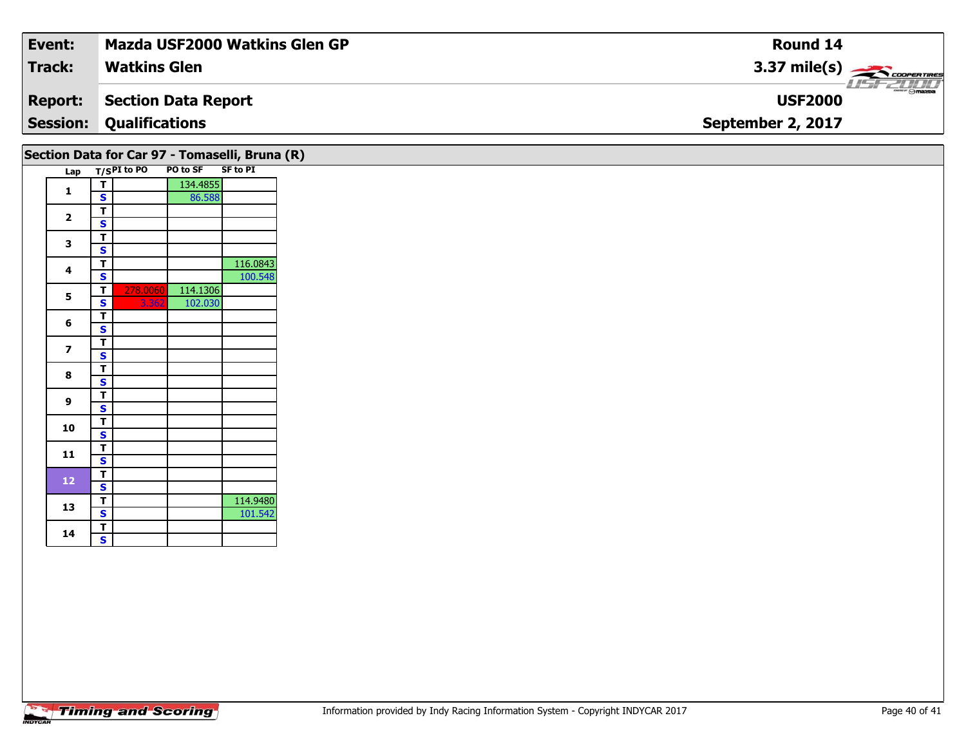| Event:          | <b>Mazda USF2000 Watkins Glen GP</b> | Round 14               |
|-----------------|--------------------------------------|------------------------|
| <b>Track:</b>   | <b>Watkins Glen</b>                  | $3.37 \text{ mile(s)}$ |
| <b>Report:</b>  | <b>Section Data Report</b>           | <b>USF2000</b>         |
| <b>Session:</b> | <b>Qualifications</b>                | September 2, 2017      |
|                 |                                      |                        |

|                |   |             |          | Section Data for Car 97 - Tomaselli, Bruna (R) |  |
|----------------|---|-------------|----------|------------------------------------------------|--|
| Lap            |   | T/SPI to PO | PO to SF | <b>SF to PI</b>                                |  |
|                | т |             | 134.4855 |                                                |  |
| 1              | S |             | 86.588   |                                                |  |
|                | т |             |          |                                                |  |
| $\overline{2}$ | S |             |          |                                                |  |
|                | т |             |          |                                                |  |
| 3              | S |             |          |                                                |  |
|                | т |             |          | 116.0843                                       |  |
| 4              | S |             |          | 100.548                                        |  |
|                | т | 278.0060    | 114.1306 |                                                |  |
| 5              | S | 3.362       | 102.030  |                                                |  |
|                | т |             |          |                                                |  |
| 6              | S |             |          |                                                |  |
|                | т |             |          |                                                |  |
| 7              | S |             |          |                                                |  |
|                | T |             |          |                                                |  |
| 8              | S |             |          |                                                |  |
|                | T |             |          |                                                |  |
| 9              | S |             |          |                                                |  |
|                | т |             |          |                                                |  |
| 10             | S |             |          |                                                |  |
|                | т |             |          |                                                |  |
| 11             | S |             |          |                                                |  |
|                | т |             |          |                                                |  |
| 12             | S |             |          |                                                |  |
|                | т |             |          | 114.9480                                       |  |
| 13             | S |             |          | 101.542                                        |  |
|                | т |             |          |                                                |  |
| 14             | S |             |          |                                                |  |